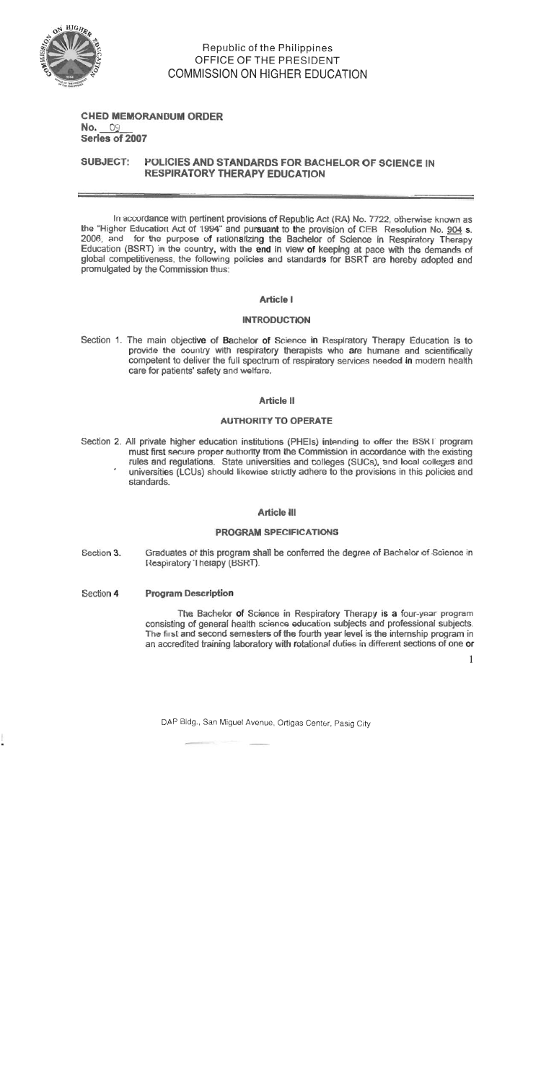

# Republic of the Philippines OFFICE OF THE PRESIDENT **COMMISSION ON HIGHER EDUCATION**

# **CHED MEMORANDUM ORDER** No. 09 Series of 2007

#### **SUBJECT:** POLICIES AND STANDARDS FOR BACHELOR OF SCIENCE IN **RESPIRATORY THERAPY EDUCATION**

In accordance with pertinent provisions of Republic Act (RA) No. 7722, otherwise known as the "Higher Education Act of 1994" and pursuant to the provision of CEB Resolution No. 904 s 2006, and for the purpose of rationalizing the Bachelor of Science in Respiratory Therapy Education (BSRT) in the country, with the end in view of keeping at pace with the demands of global competitiveness, the following policies and standards for BSRT are hereby adopted and promulgated by the Commission thus:

#### **Article I**

#### **INTRODUCTION**

Section 1. The main objective of Bachelor of Science in Respiratory Therapy Education is to provide the country with respiratory therapists who are humane and scientifically competent to deliver the full spectrum of respiratory services needed in modern health care for patients' safety and welfare.

#### Article II

### **AUTHORITY TO OPERATE**

Section 2. All private higher education institutions (PHEIs) intending to offer the BSRT program must first secure proper authority from the Commission in accordance with the existing rules and regulations. State universities and colleges (SUCs), and local colleges and universities (LCUs) should likewise strictly adhere to the provisions in this policies and standards.

#### **Article III**

#### **PROGRAM SPECIFICATIONS**

- Graduates of this program shall be conferred the degree of Bachelor of Science in Section 3. Respiratory Therapy (BSRT).
- Section 4 **Program Description**

The Bachelor of Science in Respiratory Therapy is a four-year program consisting of general health science education subjects and professional subjects. The first and second semesters of the fourth year level is the internship program in an accredited training laboratory with rotational duties in different sections of one or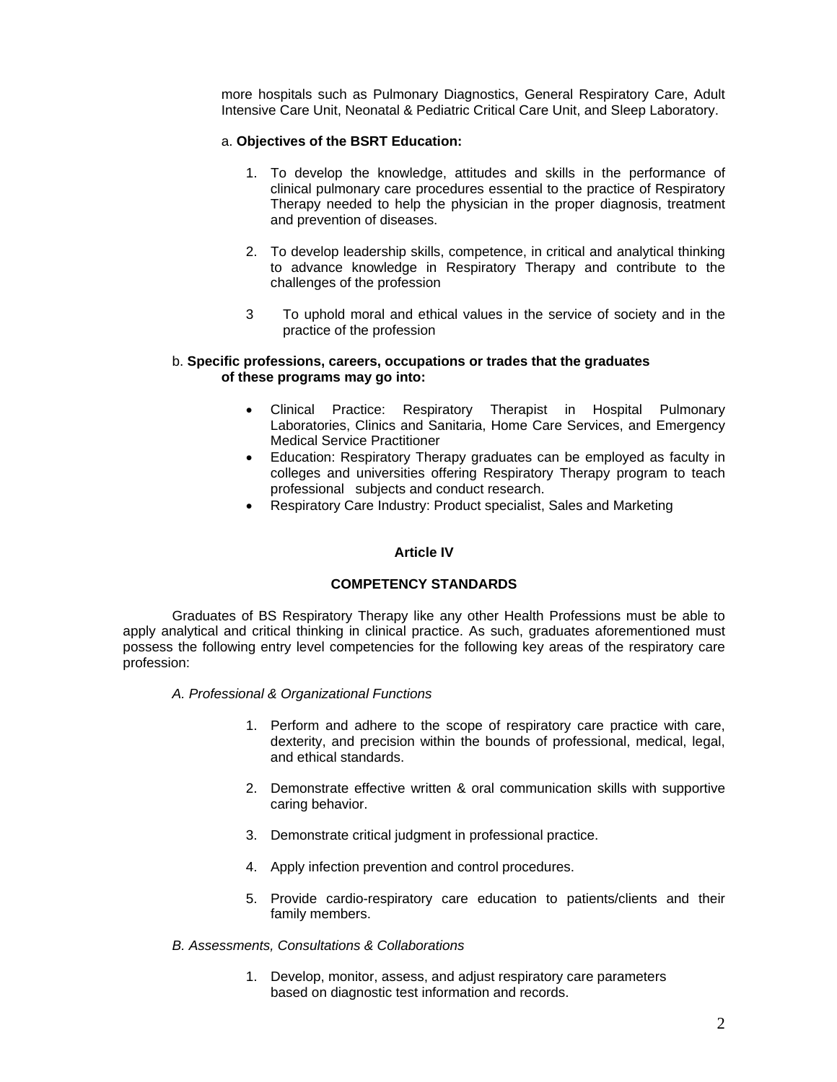more hospitals such as Pulmonary Diagnostics, General Respiratory Care, Adult Intensive Care Unit, Neonatal & Pediatric Critical Care Unit, and Sleep Laboratory.

#### a. **Objectives of the BSRT Education:**

- 1. To develop the knowledge, attitudes and skills in the performance of clinical pulmonary care procedures essential to the practice of Respiratory Therapy needed to help the physician in the proper diagnosis, treatment and prevention of diseases.
- 2. To develop leadership skills, competence, in critical and analytical thinking to advance knowledge in Respiratory Therapy and contribute to the challenges of the profession
- 3 To uphold moral and ethical values in the service of society and in the practice of the profession

#### b. **Specific professions, careers, occupations or trades that the graduates of these programs may go into:**

- Clinical Practice: Respiratory Therapist in Hospital Pulmonary Laboratories, Clinics and Sanitaria, Home Care Services, and Emergency Medical Service Practitioner
- Education: Respiratory Therapy graduates can be employed as faculty in colleges and universities offering Respiratory Therapy program to teach professional subjects and conduct research.
- Respiratory Care Industry: Product specialist, Sales and Marketing

#### **Article IV**

#### **COMPETENCY STANDARDS**

Graduates of BS Respiratory Therapy like any other Health Professions must be able to apply analytical and critical thinking in clinical practice. As such, graduates aforementioned must possess the following entry level competencies for the following key areas of the respiratory care profession:

- *A. Professional & Organizational Functions*
	- 1. Perform and adhere to the scope of respiratory care practice with care, dexterity, and precision within the bounds of professional, medical, legal, and ethical standards.
	- 2. Demonstrate effective written & oral communication skills with supportive caring behavior.
	- 3. Demonstrate critical judgment in professional practice.
	- 4. Apply infection prevention and control procedures.
	- 5. Provide cardio-respiratory care education to patients/clients and their family members.

#### *B. Assessments, Consultations & Collaborations*

1. Develop, monitor, assess, and adjust respiratory care parameters based on diagnostic test information and records.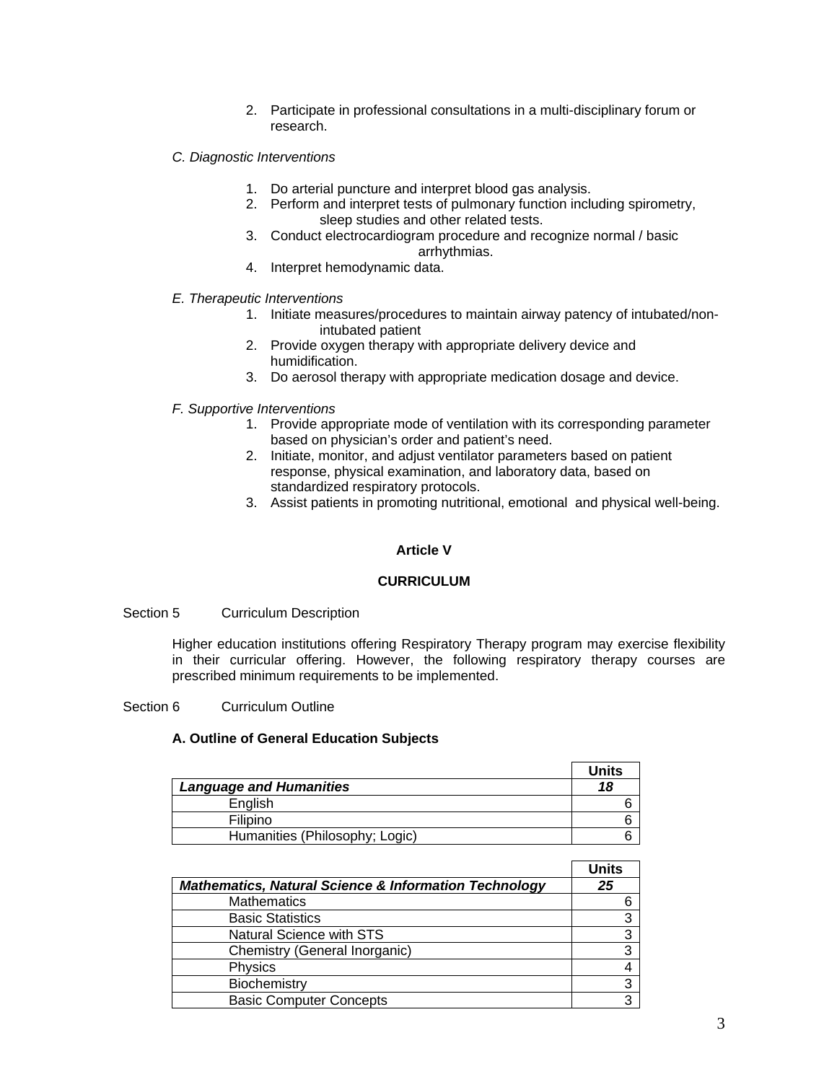- 2. Participate in professional consultations in a multi-disciplinary forum or research.
- *C. Diagnostic Interventions* 
	- 1. Do arterial puncture and interpret blood gas analysis.
	- 2. Perform and interpret tests of pulmonary function including spirometry, sleep studies and other related tests.
	- 3. Conduct electrocardiogram procedure and recognize normal / basic arrhythmias.
	- 4. Interpret hemodynamic data.
- *E. Therapeutic Interventions* 
	- 1. Initiate measures/procedures to maintain airway patency of intubated/nonintubated patient
	- 2. Provide oxygen therapy with appropriate delivery device and humidification.
	- 3. Do aerosol therapy with appropriate medication dosage and device.

#### *F. Supportive Interventions*

- 1. Provide appropriate mode of ventilation with its corresponding parameter based on physician's order and patient's need.
- 2. Initiate, monitor, and adjust ventilator parameters based on patient response, physical examination, and laboratory data, based on standardized respiratory protocols.
- 3. Assist patients in promoting nutritional, emotional and physical well-being.

#### **Article V**

#### **CURRICULUM**

#### Section 5 Curriculum Description

Higher education institutions offering Respiratory Therapy program may exercise flexibility in their curricular offering. However, the following respiratory therapy courses are prescribed minimum requirements to be implemented.

#### Section 6 Curriculum Outline

#### **A. Outline of General Education Subjects**

|                                | Units |
|--------------------------------|-------|
| <b>Language and Humanities</b> | 18    |
| English                        |       |
| Filipino                       |       |
| Humanities (Philosophy; Logic) |       |

|                                                                  | <b>Units</b> |
|------------------------------------------------------------------|--------------|
| <b>Mathematics, Natural Science &amp; Information Technology</b> | 25           |
| <b>Mathematics</b>                                               |              |
| <b>Basic Statistics</b>                                          | 3            |
| <b>Natural Science with STS</b>                                  |              |
| Chemistry (General Inorganic)                                    | ว            |
| Physics                                                          |              |
| Biochemistry                                                     | З            |
| <b>Basic Computer Concepts</b>                                   | ર            |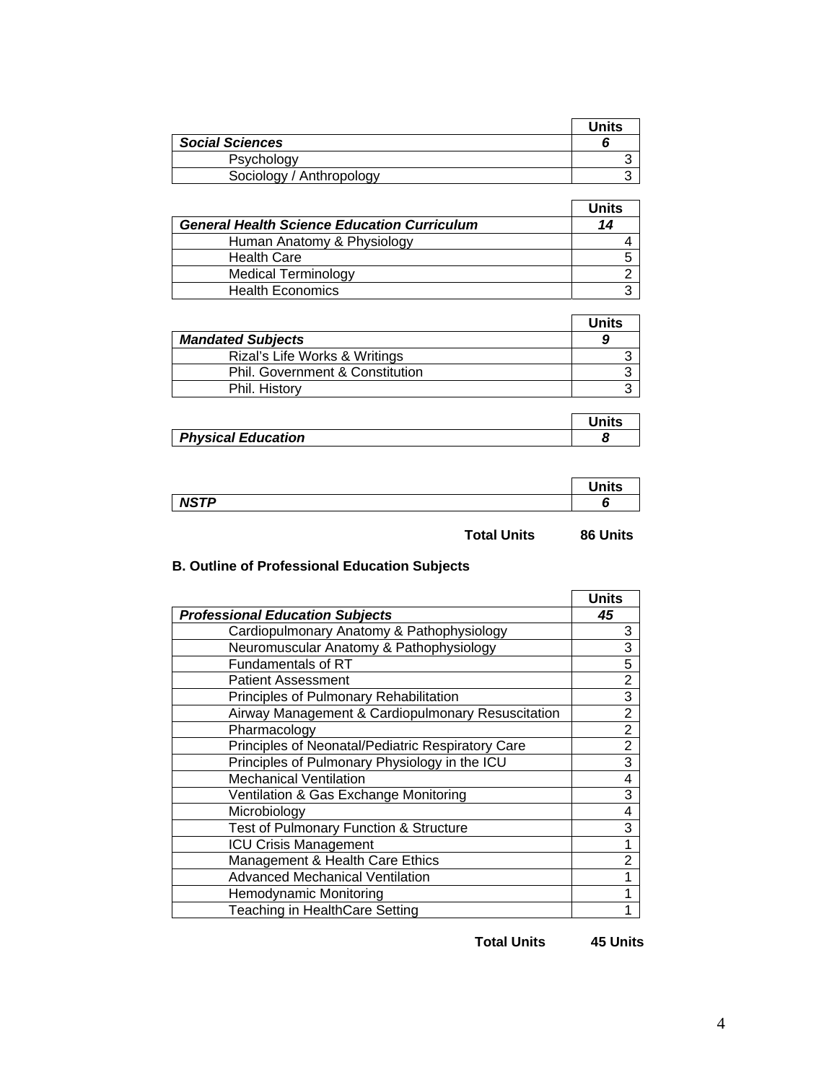|                          | <b>Units</b> |
|--------------------------|--------------|
| <b>Social Sciences</b>   |              |
| Psychology               |              |
| Sociology / Anthropology |              |

|                                                    | <b>Units</b> |
|----------------------------------------------------|--------------|
| <b>General Health Science Education Curriculum</b> | 14           |
| Human Anatomy & Physiology                         |              |
| <b>Health Care</b>                                 |              |
| <b>Medical Terminology</b>                         |              |
| <b>Health Economics</b>                            |              |

|                                 | Units |
|---------------------------------|-------|
| <b>Mandated Subjects</b>        |       |
| Rizal's Life Works & Writings   |       |
| Phil. Government & Constitution |       |
| Phil. History                   |       |

| <b>Physical Education</b> |  |
|---------------------------|--|

|                                  | نها: حدا |
|----------------------------------|----------|
| <b>NCTD</b><br>-<br>, , ,<br>. . |          |

**Total Units 86 Units** 

# **B. Outline of Professional Education Subjects**

|                                                   | <b>Units</b>   |
|---------------------------------------------------|----------------|
| <b>Professional Education Subjects</b>            | 45             |
| Cardiopulmonary Anatomy & Pathophysiology         | 3              |
| Neuromuscular Anatomy & Pathophysiology           | 3              |
| Fundamentals of RT                                | 5              |
| <b>Patient Assessment</b>                         | $\overline{2}$ |
| Principles of Pulmonary Rehabilitation            | 3              |
| Airway Management & Cardiopulmonary Resuscitation | $\overline{2}$ |
| Pharmacology                                      | $\overline{2}$ |
| Principles of Neonatal/Pediatric Respiratory Care | $\overline{2}$ |
| Principles of Pulmonary Physiology in the ICU     | $\overline{3}$ |
| <b>Mechanical Ventilation</b>                     | 4              |
| Ventilation & Gas Exchange Monitoring             | 3              |
| Microbiology                                      | 4              |
| Test of Pulmonary Function & Structure            | 3              |
| <b>ICU Crisis Management</b>                      | 1              |
| Management & Health Care Ethics                   | $\overline{2}$ |
| <b>Advanced Mechanical Ventilation</b>            | 1              |
| Hemodynamic Monitoring                            | 1              |
| Teaching in HealthCare Setting                    | 1              |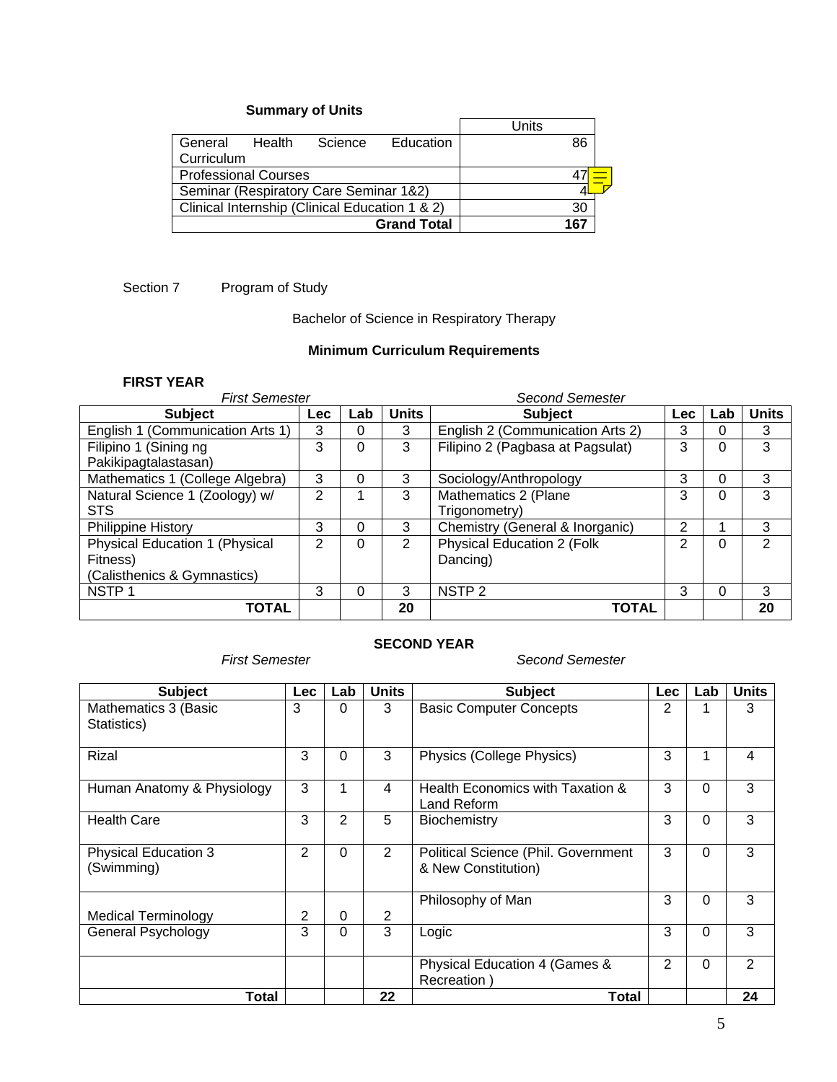# **Summary of Units**

|                                                |        |         |                    | Units |     |  |
|------------------------------------------------|--------|---------|--------------------|-------|-----|--|
| General                                        | Health | Science | Education          |       | 86  |  |
| Curriculum                                     |        |         |                    |       |     |  |
| <b>Professional Courses</b>                    |        |         |                    |       |     |  |
| Seminar (Respiratory Care Seminar 1&2)         |        |         |                    |       |     |  |
| Clinical Internship (Clinical Education 1 & 2) |        |         | 30                 |       |     |  |
|                                                |        |         | <b>Grand Total</b> |       | 167 |  |

# Section 7 Program of Study

# Bachelor of Science in Respiratory Therapy

# **Minimum Curriculum Requirements**

### **FIRST YEAR**

| <b>First Semester</b>            | <b>Second Semester</b> |          |              |                                  |                |          |              |
|----------------------------------|------------------------|----------|--------------|----------------------------------|----------------|----------|--------------|
| <b>Subject</b>                   | <b>Lec</b>             | Lab      | <b>Units</b> | <b>Subject</b>                   | <b>Lec</b>     | Lab      | <b>Units</b> |
| English 1 (Communication Arts 1) | 3                      | 0        | 3            | English 2 (Communication Arts 2) | 3              | 0        | 3            |
| Filipino 1 (Sining ng            | 3                      | 0        | 3            | Filipino 2 (Pagbasa at Pagsulat) | 3              | 0        | 3            |
| Pakikipagtalastasan)             |                        |          |              |                                  |                |          |              |
| Mathematics 1 (College Algebra)  | 3                      | 0        | 3            | Sociology/Anthropology           | 3              | $\Omega$ | 3            |
| Natural Science 1 (Zoology) w/   | $\overline{2}$         |          | 3            | Mathematics 2 (Plane             | 3              | 0        | 3            |
| <b>STS</b>                       |                        |          |              | Trigonometry)                    |                |          |              |
| <b>Philippine History</b>        | 3                      | $\Omega$ | 3            | Chemistry (General & Inorganic)  | 2              |          | 3            |
| Physical Education 1 (Physical   | $\mathcal{P}$          | 0        | 2            | Physical Education 2 (Folk       | $\overline{2}$ | $\Omega$ | 2            |
| Fitness)                         |                        |          |              | Dancing)                         |                |          |              |
| (Calisthenics & Gymnastics)      |                        |          |              |                                  |                |          |              |
| NSTP <sub>1</sub>                | 3                      | $\Omega$ | 3            | NSTP <sub>2</sub>                | 3              | $\Omega$ | 3            |
| TOTAL                            |                        |          | 20           | <b>TOTAL</b>                     |                |          | 20           |

### **SECOND YEAR**

#### *First Semester Second Semester*

| <b>Subject</b>                            | <b>Lec</b> | Lab      | <b>Units</b>   | <b>Subject</b>                                             | <b>Lec</b> | Lab      | <b>Units</b> |
|-------------------------------------------|------------|----------|----------------|------------------------------------------------------------|------------|----------|--------------|
| Mathematics 3 (Basic<br>Statistics)       | 3          | 0        | 3              | <b>Basic Computer Concepts</b>                             | 2          |          | 3            |
| Rizal                                     | 3          | $\Omega$ | 3              | Physics (College Physics)                                  | 3          |          | 4            |
| Human Anatomy & Physiology                | 3          |          | 4              | Health Economics with Taxation &<br>Land Reform            | 3          | $\Omega$ | 3            |
| <b>Health Care</b>                        | 3          | 2        | 5              | Biochemistry                                               | 3          | $\Omega$ | 3            |
| <b>Physical Education 3</b><br>(Swimming) | 2          | $\Omega$ | $\overline{2}$ | Political Science (Phil. Government<br>& New Constitution) | 3          | $\Omega$ | 3            |
|                                           |            |          |                | Philosophy of Man                                          | 3          | $\Omega$ | 3            |
| <b>Medical Terminology</b>                | 2          | $\Omega$ | $\overline{2}$ |                                                            |            |          |              |
| General Psychology                        | 3          | $\Omega$ | 3              | Logic                                                      | 3          | $\Omega$ | 3            |
|                                           |            |          |                | Physical Education 4 (Games &<br>Recreation)               | 2          | $\Omega$ | 2            |
| Total                                     |            |          | 22             | <b>Total</b>                                               |            |          | 24           |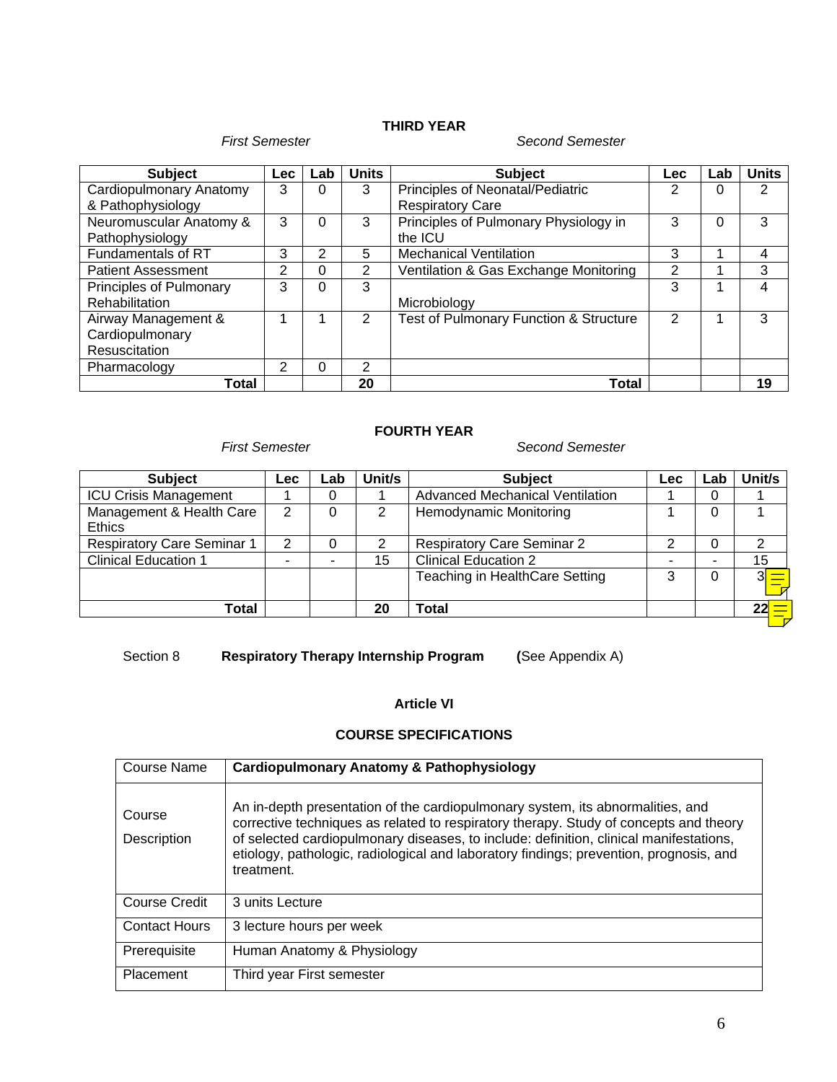# **THIRD YEAR**

#### *First Semester Second Semester*

| <b>Subject</b>            | <b>Lec</b> | Lab | <b>Units</b> | <b>Subject</b>                         | <b>Lec</b> | Lab | <b>Units</b> |
|---------------------------|------------|-----|--------------|----------------------------------------|------------|-----|--------------|
| Cardiopulmonary Anatomy   | 3          | 0   | 3            | Principles of Neonatal/Pediatric       | 2          | 0   | 2            |
| & Pathophysiology         |            |     |              | <b>Respiratory Care</b>                |            |     |              |
| Neuromuscular Anatomy &   | 3          | 0   | 3            | Principles of Pulmonary Physiology in  | 3          | 0   | 3            |
| Pathophysiology           |            |     |              | the ICU                                |            |     |              |
| Fundamentals of RT        | 3          | 2   | 5            | <b>Mechanical Ventilation</b>          | 3          |     | 4            |
| <b>Patient Assessment</b> | 2          | 0   | 2            | Ventilation & Gas Exchange Monitoring  | 2          |     | 3            |
| Principles of Pulmonary   | 3          | 0   | 3            |                                        | 3          |     | 4            |
| Rehabilitation            |            |     |              | Microbiology                           |            |     |              |
| Airway Management &       |            |     | 2            | Test of Pulmonary Function & Structure | 2          |     | 3            |
| Cardiopulmonary           |            |     |              |                                        |            |     |              |
| Resuscitation             |            |     |              |                                        |            |     |              |
| Pharmacology              | 2          | 0   | 2            |                                        |            |     |              |
| Total                     |            |     | 20           | Total                                  |            |     | 19           |

# **FOURTH YEAR**

*First Semester Second Semester*

| <b>Subject</b>                            | Lec. | ∟ab | Unit/s | <b>Subject</b>                    | Lec | Lab | Unit/s         |
|-------------------------------------------|------|-----|--------|-----------------------------------|-----|-----|----------------|
| <b>ICU Crisis Management</b>              |      | O   |        | Advanced Mechanical Ventilation   |     |     |                |
| Management & Health Care<br><b>Ethics</b> | 2    | 0   | 2      | <b>Hemodynamic Monitoring</b>     |     |     |                |
| <b>Respiratory Care Seminar 1</b>         | 2    |     |        | <b>Respiratory Care Seminar 2</b> |     |     |                |
| <b>Clinical Education 1</b>               |      |     | 15     | <b>Clinical Education 2</b>       |     |     | 15             |
|                                           |      |     |        | Teaching in HealthCare Setting    | 3   |     | 3 <sup>l</sup> |
| Total                                     |      |     | 20     | Total                             |     |     | 22<br><u>ा</u> |

Section 8 **Respiratory Therapy Internship Program (**See Appendix A)

# **Article VI**

## **COURSE SPECIFICATIONS**

| <b>Course Name</b>    | <b>Cardiopulmonary Anatomy &amp; Pathophysiology</b>                                                                                                                                                                                                                                                                                                                      |
|-----------------------|---------------------------------------------------------------------------------------------------------------------------------------------------------------------------------------------------------------------------------------------------------------------------------------------------------------------------------------------------------------------------|
| Course<br>Description | An in-depth presentation of the cardiopulmonary system, its abnormalities, and<br>corrective techniques as related to respiratory therapy. Study of concepts and theory<br>of selected cardiopulmonary diseases, to include: definition, clinical manifestations,<br>etiology, pathologic, radiological and laboratory findings; prevention, prognosis, and<br>treatment. |
| <b>Course Credit</b>  | 3 units Lecture                                                                                                                                                                                                                                                                                                                                                           |
| <b>Contact Hours</b>  | 3 lecture hours per week                                                                                                                                                                                                                                                                                                                                                  |
| Prerequisite          | Human Anatomy & Physiology                                                                                                                                                                                                                                                                                                                                                |
| Placement             | Third year First semester                                                                                                                                                                                                                                                                                                                                                 |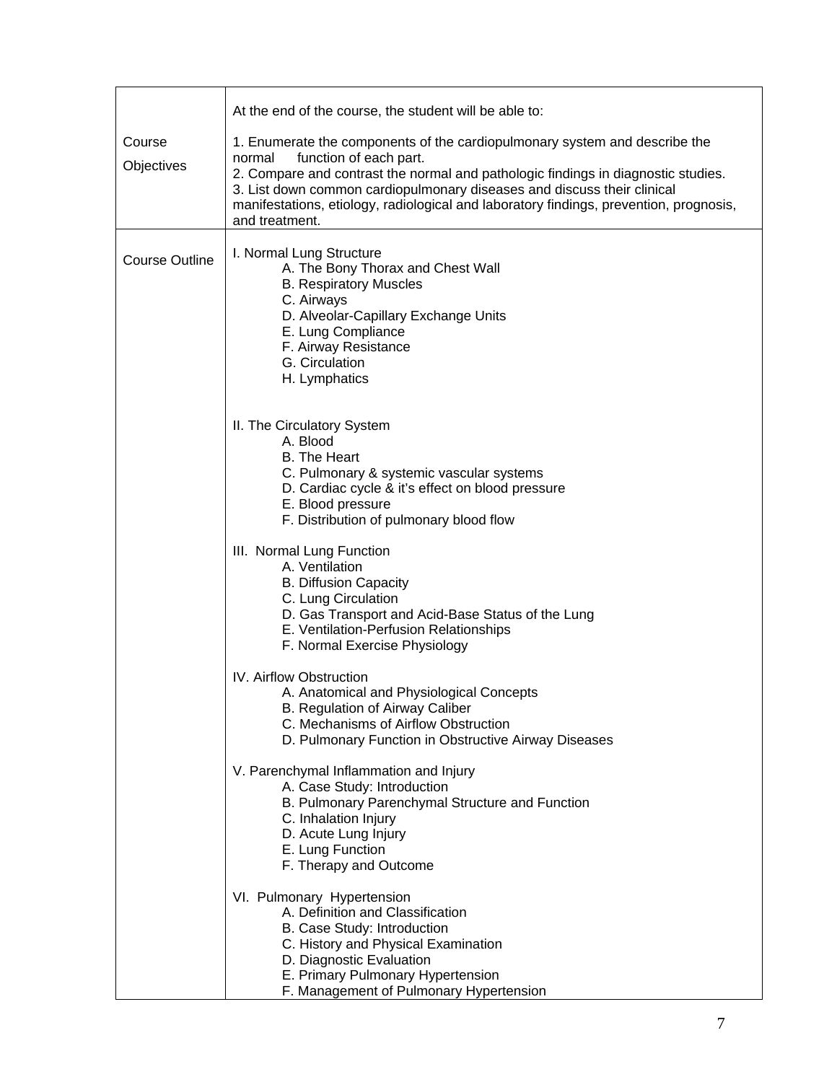|                       | At the end of the course, the student will be able to:                                                                                                                                                                                                                                                                                                                                     |
|-----------------------|--------------------------------------------------------------------------------------------------------------------------------------------------------------------------------------------------------------------------------------------------------------------------------------------------------------------------------------------------------------------------------------------|
| Course<br>Objectives  | 1. Enumerate the components of the cardiopulmonary system and describe the<br>function of each part.<br>normal<br>2. Compare and contrast the normal and pathologic findings in diagnostic studies.<br>3. List down common cardiopulmonary diseases and discuss their clinical<br>manifestations, etiology, radiological and laboratory findings, prevention, prognosis,<br>and treatment. |
| <b>Course Outline</b> | I. Normal Lung Structure<br>A. The Bony Thorax and Chest Wall<br><b>B. Respiratory Muscles</b><br>C. Airways<br>D. Alveolar-Capillary Exchange Units<br>E. Lung Compliance<br>F. Airway Resistance<br>G. Circulation<br>H. Lymphatics                                                                                                                                                      |
|                       | II. The Circulatory System<br>A. Blood<br><b>B.</b> The Heart<br>C. Pulmonary & systemic vascular systems<br>D. Cardiac cycle & it's effect on blood pressure<br>E. Blood pressure<br>F. Distribution of pulmonary blood flow                                                                                                                                                              |
|                       | III. Normal Lung Function<br>A. Ventilation<br><b>B. Diffusion Capacity</b><br>C. Lung Circulation<br>D. Gas Transport and Acid-Base Status of the Lung<br>E. Ventilation-Perfusion Relationships<br>F. Normal Exercise Physiology                                                                                                                                                         |
|                       | IV. Airflow Obstruction<br>A. Anatomical and Physiological Concepts<br>B. Regulation of Airway Caliber<br>C. Mechanisms of Airflow Obstruction<br>D. Pulmonary Function in Obstructive Airway Diseases                                                                                                                                                                                     |
|                       | V. Parenchymal Inflammation and Injury<br>A. Case Study: Introduction<br>B. Pulmonary Parenchymal Structure and Function<br>C. Inhalation Injury<br>D. Acute Lung Injury<br>E. Lung Function<br>F. Therapy and Outcome                                                                                                                                                                     |
|                       | VI. Pulmonary Hypertension<br>A. Definition and Classification<br>B. Case Study: Introduction<br>C. History and Physical Examination<br>D. Diagnostic Evaluation<br>E. Primary Pulmonary Hypertension<br>F. Management of Pulmonary Hypertension                                                                                                                                           |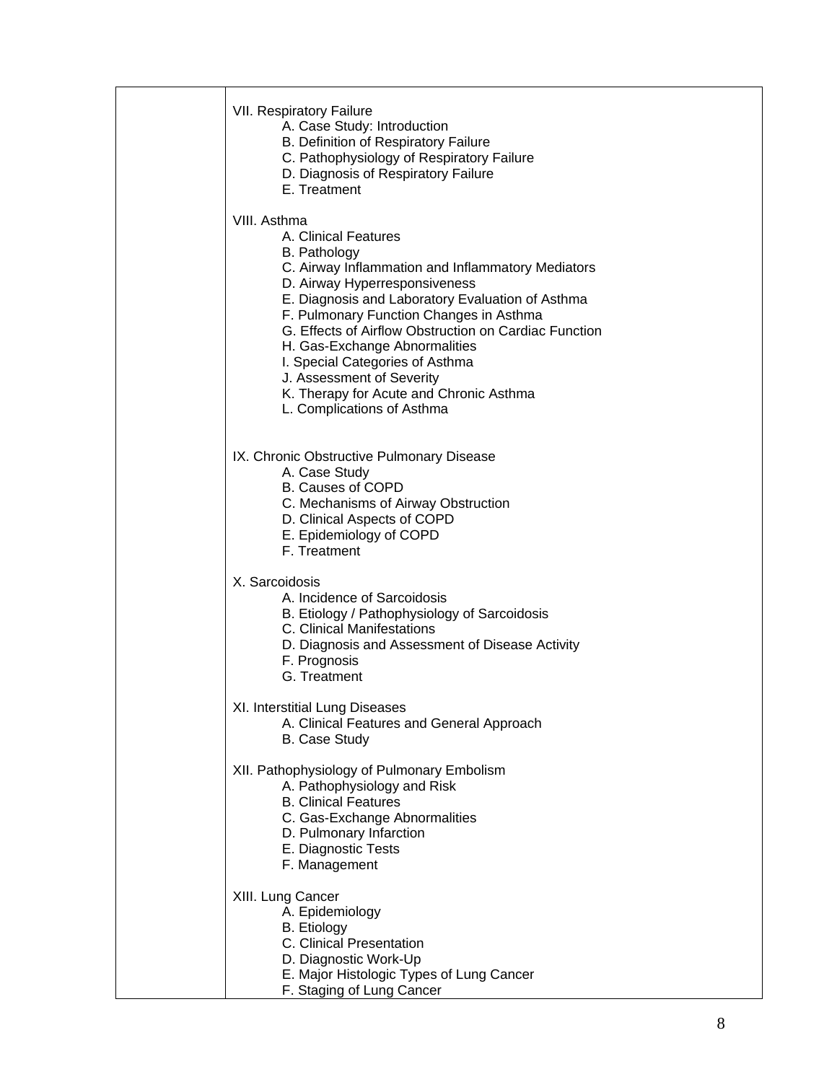| VII. Respiratory Failure<br>A. Case Study: Introduction<br>B. Definition of Respiratory Failure<br>C. Pathophysiology of Respiratory Failure<br>D. Diagnosis of Respiratory Failure<br>E. Treatment                                                                                                                                                                                                                                                                                 |
|-------------------------------------------------------------------------------------------------------------------------------------------------------------------------------------------------------------------------------------------------------------------------------------------------------------------------------------------------------------------------------------------------------------------------------------------------------------------------------------|
| VIII. Asthma<br>A. Clinical Features<br><b>B.</b> Pathology<br>C. Airway Inflammation and Inflammatory Mediators<br>D. Airway Hyperresponsiveness<br>E. Diagnosis and Laboratory Evaluation of Asthma<br>F. Pulmonary Function Changes in Asthma<br>G. Effects of Airflow Obstruction on Cardiac Function<br>H. Gas-Exchange Abnormalities<br>I. Special Categories of Asthma<br>J. Assessment of Severity<br>K. Therapy for Acute and Chronic Asthma<br>L. Complications of Asthma |
| IX. Chronic Obstructive Pulmonary Disease<br>A. Case Study<br><b>B. Causes of COPD</b><br>C. Mechanisms of Airway Obstruction<br>D. Clinical Aspects of COPD<br>E. Epidemiology of COPD<br>F. Treatment                                                                                                                                                                                                                                                                             |
| X. Sarcoidosis<br>A. Incidence of Sarcoidosis<br>B. Etiology / Pathophysiology of Sarcoidosis<br>C. Clinical Manifestations<br>D. Diagnosis and Assessment of Disease Activity<br>F. Prognosis<br>G. Treatment                                                                                                                                                                                                                                                                      |
| XI. Interstitial Lung Diseases<br>A. Clinical Features and General Approach<br><b>B. Case Study</b>                                                                                                                                                                                                                                                                                                                                                                                 |
| XII. Pathophysiology of Pulmonary Embolism<br>A. Pathophysiology and Risk<br><b>B. Clinical Features</b><br>C. Gas-Exchange Abnormalities<br>D. Pulmonary Infarction<br>E. Diagnostic Tests<br>F. Management                                                                                                                                                                                                                                                                        |
| XIII. Lung Cancer<br>A. Epidemiology<br><b>B.</b> Etiology<br>C. Clinical Presentation<br>D. Diagnostic Work-Up<br>E. Major Histologic Types of Lung Cancer<br>F. Staging of Lung Cancer                                                                                                                                                                                                                                                                                            |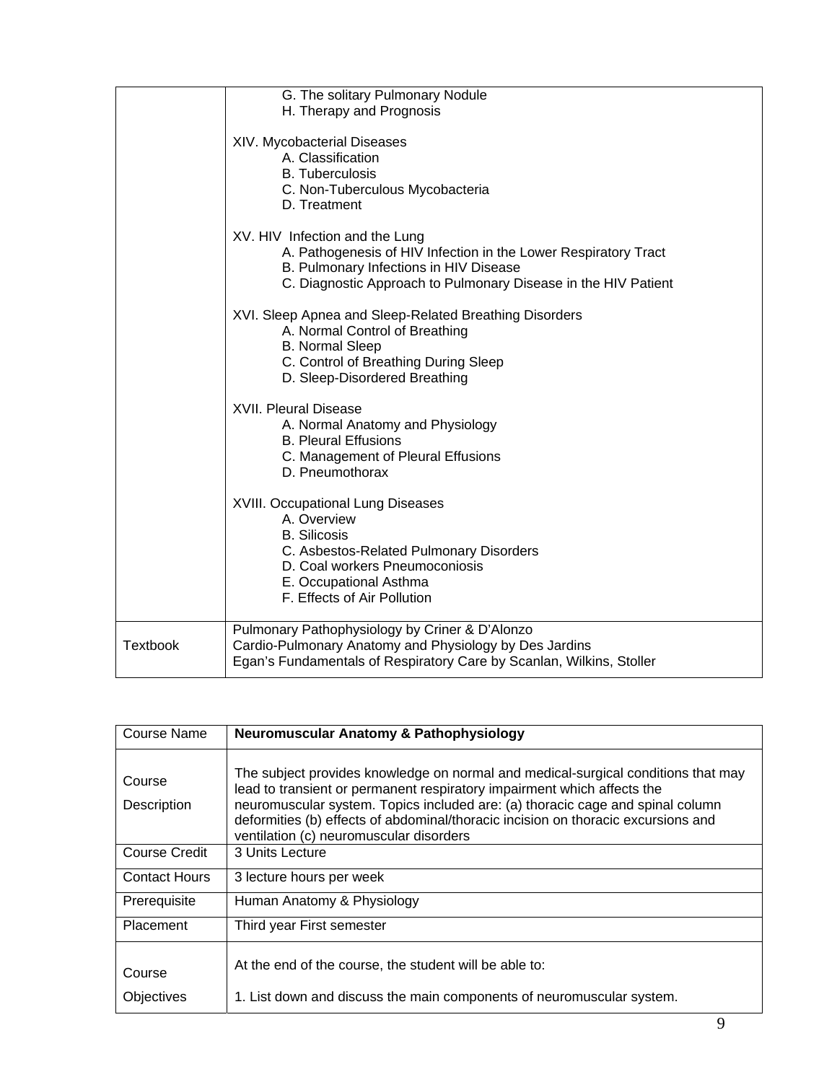|                 | G. The solitary Pulmonary Nodule<br>H. Therapy and Prognosis                                                                                                                                                         |
|-----------------|----------------------------------------------------------------------------------------------------------------------------------------------------------------------------------------------------------------------|
|                 | XIV. Mycobacterial Diseases<br>A. Classification<br><b>B.</b> Tuberculosis<br>C. Non-Tuberculous Mycobacteria<br>D. Treatment                                                                                        |
|                 | XV. HIV Infection and the Lung<br>A. Pathogenesis of HIV Infection in the Lower Respiratory Tract<br>B. Pulmonary Infections in HIV Disease<br>C. Diagnostic Approach to Pulmonary Disease in the HIV Patient        |
|                 | XVI. Sleep Apnea and Sleep-Related Breathing Disorders<br>A. Normal Control of Breathing<br><b>B. Normal Sleep</b><br>C. Control of Breathing During Sleep<br>D. Sleep-Disordered Breathing                          |
|                 | <b>XVII. Pleural Disease</b><br>A. Normal Anatomy and Physiology<br><b>B. Pleural Effusions</b><br>C. Management of Pleural Effusions<br>D. Pneumothorax                                                             |
|                 | <b>XVIII. Occupational Lung Diseases</b><br>A. Overview<br><b>B.</b> Silicosis<br>C. Asbestos-Related Pulmonary Disorders<br>D. Coal workers Pneumoconiosis<br>E. Occupational Asthma<br>F. Effects of Air Pollution |
| <b>Textbook</b> | Pulmonary Pathophysiology by Criner & D'Alonzo<br>Cardio-Pulmonary Anatomy and Physiology by Des Jardins<br>Egan's Fundamentals of Respiratory Care by Scanlan, Wilkins, Stoller                                     |

| Course Name           | Neuromuscular Anatomy & Pathophysiology                                                                                                                                                                                                                                                                                                                                        |
|-----------------------|--------------------------------------------------------------------------------------------------------------------------------------------------------------------------------------------------------------------------------------------------------------------------------------------------------------------------------------------------------------------------------|
| Course<br>Description | The subject provides knowledge on normal and medical-surgical conditions that may<br>lead to transient or permanent respiratory impairment which affects the<br>neuromuscular system. Topics included are: (a) thoracic cage and spinal column<br>deformities (b) effects of abdominal/thoracic incision on thoracic excursions and<br>ventilation (c) neuromuscular disorders |
| Course Credit         | 3 Units Lecture                                                                                                                                                                                                                                                                                                                                                                |
| <b>Contact Hours</b>  | 3 lecture hours per week                                                                                                                                                                                                                                                                                                                                                       |
| Prerequisite          | Human Anatomy & Physiology                                                                                                                                                                                                                                                                                                                                                     |
| <b>Placement</b>      | Third year First semester                                                                                                                                                                                                                                                                                                                                                      |
| Course<br>Objectives  | At the end of the course, the student will be able to:<br>1. List down and discuss the main components of neuromuscular system.                                                                                                                                                                                                                                                |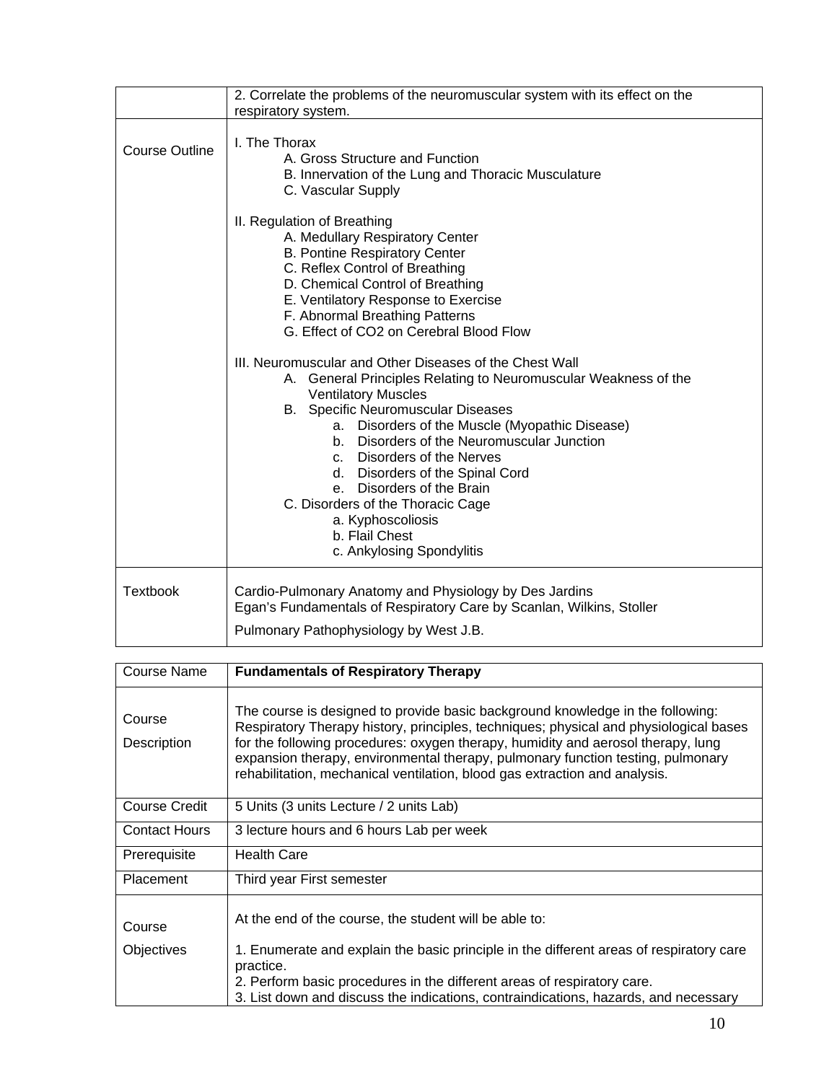|                       | 2. Correlate the problems of the neuromuscular system with its effect on the<br>respiratory system.                                                                                                                                                                                                                                                                                                                                                                                                          |
|-----------------------|--------------------------------------------------------------------------------------------------------------------------------------------------------------------------------------------------------------------------------------------------------------------------------------------------------------------------------------------------------------------------------------------------------------------------------------------------------------------------------------------------------------|
| <b>Course Outline</b> | I. The Thorax<br>A. Gross Structure and Function<br>B. Innervation of the Lung and Thoracic Musculature<br>C. Vascular Supply                                                                                                                                                                                                                                                                                                                                                                                |
|                       | II. Regulation of Breathing<br>A. Medullary Respiratory Center<br><b>B. Pontine Respiratory Center</b><br>C. Reflex Control of Breathing<br>D. Chemical Control of Breathing<br>E. Ventilatory Response to Exercise<br>F. Abnormal Breathing Patterns<br>G. Effect of CO2 on Cerebral Blood Flow                                                                                                                                                                                                             |
|                       | III. Neuromuscular and Other Diseases of the Chest Wall<br>A. General Principles Relating to Neuromuscular Weakness of the<br><b>Ventilatory Muscles</b><br><b>B.</b> Specific Neuromuscular Diseases<br>a. Disorders of the Muscle (Myopathic Disease)<br>b. Disorders of the Neuromuscular Junction<br>c. Disorders of the Nerves<br>d. Disorders of the Spinal Cord<br>e. Disorders of the Brain<br>C. Disorders of the Thoracic Cage<br>a. Kyphoscoliosis<br>b. Flail Chest<br>c. Ankylosing Spondylitis |
| <b>Textbook</b>       | Cardio-Pulmonary Anatomy and Physiology by Des Jardins<br>Egan's Fundamentals of Respiratory Care by Scanlan, Wilkins, Stoller<br>Pulmonary Pathophysiology by West J.B.                                                                                                                                                                                                                                                                                                                                     |

| <b>Course Name</b>    | <b>Fundamentals of Respiratory Therapy</b>                                                                                                                                                                                                                                                                                                                                                                                   |
|-----------------------|------------------------------------------------------------------------------------------------------------------------------------------------------------------------------------------------------------------------------------------------------------------------------------------------------------------------------------------------------------------------------------------------------------------------------|
| Course<br>Description | The course is designed to provide basic background knowledge in the following:<br>Respiratory Therapy history, principles, techniques; physical and physiological bases<br>for the following procedures: oxygen therapy, humidity and aerosol therapy, lung<br>expansion therapy, environmental therapy, pulmonary function testing, pulmonary<br>rehabilitation, mechanical ventilation, blood gas extraction and analysis. |
| <b>Course Credit</b>  | 5 Units (3 units Lecture / 2 units Lab)                                                                                                                                                                                                                                                                                                                                                                                      |
| <b>Contact Hours</b>  | 3 lecture hours and 6 hours Lab per week                                                                                                                                                                                                                                                                                                                                                                                     |
| Prerequisite          | <b>Health Care</b>                                                                                                                                                                                                                                                                                                                                                                                                           |
| <b>Placement</b>      | Third year First semester                                                                                                                                                                                                                                                                                                                                                                                                    |
| Course                | At the end of the course, the student will be able to:                                                                                                                                                                                                                                                                                                                                                                       |
| Objectives            | 1. Enumerate and explain the basic principle in the different areas of respiratory care<br>practice.<br>2. Perform basic procedures in the different areas of respiratory care.<br>3. List down and discuss the indications, contraindications, hazards, and necessary                                                                                                                                                       |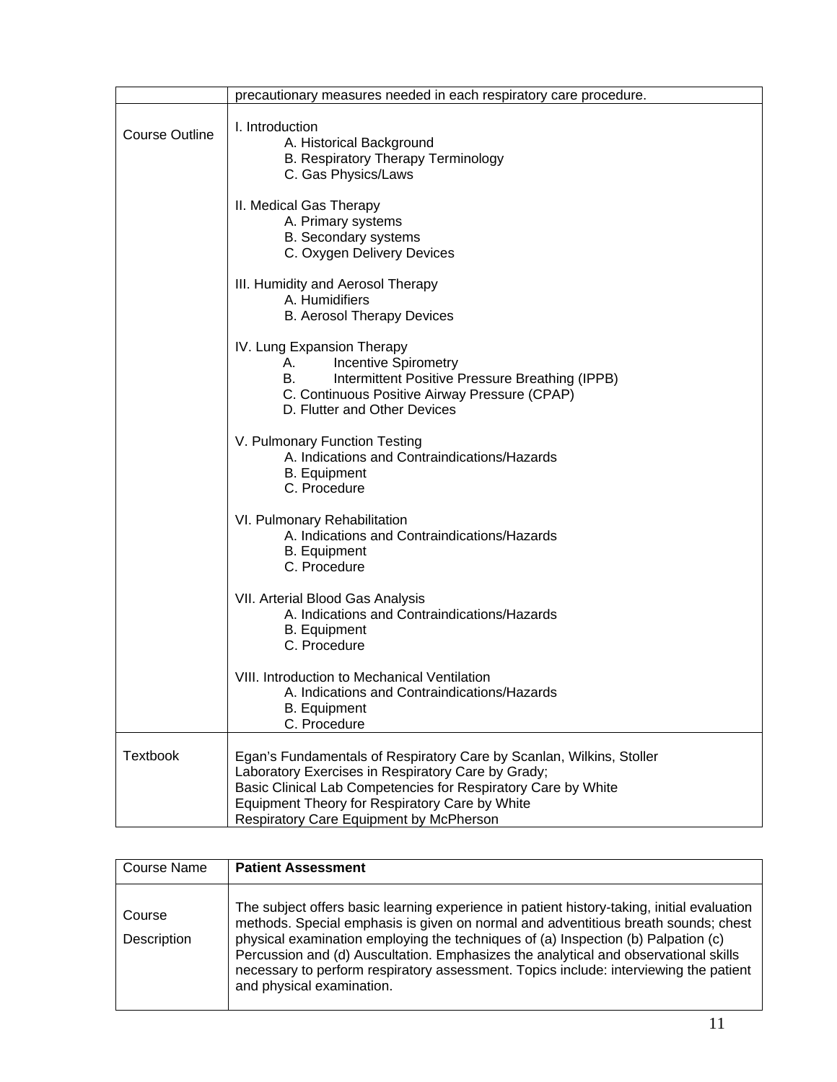|                       | precautionary measures needed in each respiratory care procedure.                                                                                                                                                                                                                        |  |  |
|-----------------------|------------------------------------------------------------------------------------------------------------------------------------------------------------------------------------------------------------------------------------------------------------------------------------------|--|--|
| <b>Course Outline</b> | I. Introduction<br>A. Historical Background<br>B. Respiratory Therapy Terminology<br>C. Gas Physics/Laws                                                                                                                                                                                 |  |  |
|                       | II. Medical Gas Therapy<br>A. Primary systems<br>B. Secondary systems<br>C. Oxygen Delivery Devices                                                                                                                                                                                      |  |  |
|                       | III. Humidity and Aerosol Therapy<br>A. Humidifiers<br><b>B.</b> Aerosol Therapy Devices                                                                                                                                                                                                 |  |  |
|                       | IV. Lung Expansion Therapy<br><b>Incentive Spirometry</b><br>А.<br>Intermittent Positive Pressure Breathing (IPPB)<br>В.<br>C. Continuous Positive Airway Pressure (CPAP)<br>D. Flutter and Other Devices                                                                                |  |  |
|                       | V. Pulmonary Function Testing<br>A. Indications and Contraindications/Hazards<br><b>B.</b> Equipment<br>C. Procedure                                                                                                                                                                     |  |  |
|                       | VI. Pulmonary Rehabilitation<br>A. Indications and Contraindications/Hazards<br><b>B.</b> Equipment<br>C. Procedure                                                                                                                                                                      |  |  |
|                       | VII. Arterial Blood Gas Analysis<br>A. Indications and Contraindications/Hazards<br><b>B.</b> Equipment<br>C. Procedure                                                                                                                                                                  |  |  |
|                       | VIII. Introduction to Mechanical Ventilation<br>A. Indications and Contraindications/Hazards<br><b>B.</b> Equipment<br>C. Procedure                                                                                                                                                      |  |  |
| <b>Textbook</b>       | Egan's Fundamentals of Respiratory Care by Scanlan, Wilkins, Stoller<br>Laboratory Exercises in Respiratory Care by Grady;<br>Basic Clinical Lab Competencies for Respiratory Care by White<br>Equipment Theory for Respiratory Care by White<br>Respiratory Care Equipment by McPherson |  |  |

| <b>Course Name</b>    | <b>Patient Assessment</b>                                                                                                                                                                                                                                                                                                                                                                                                                                                          |
|-----------------------|------------------------------------------------------------------------------------------------------------------------------------------------------------------------------------------------------------------------------------------------------------------------------------------------------------------------------------------------------------------------------------------------------------------------------------------------------------------------------------|
| Course<br>Description | The subject offers basic learning experience in patient history-taking, initial evaluation<br>methods. Special emphasis is given on normal and adventitious breath sounds; chest<br>physical examination employing the techniques of (a) Inspection (b) Palpation (c)<br>Percussion and (d) Auscultation. Emphasizes the analytical and observational skills<br>necessary to perform respiratory assessment. Topics include: interviewing the patient<br>and physical examination. |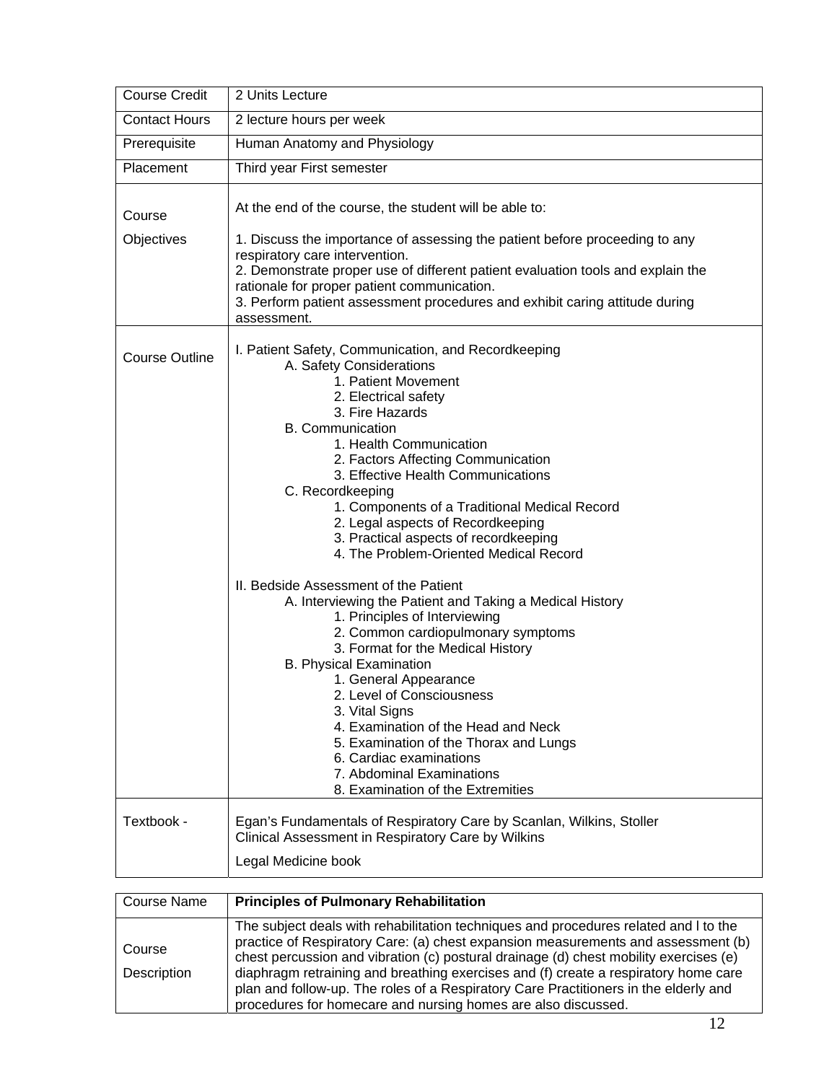| <b>Course Credit</b>  | 2 Units Lecture                                                                                                                                                                                                                                                                                                                                                                                                                                                                                                                                                                                                                                                                                                                                                                                                                                                                                                                                                                           |
|-----------------------|-------------------------------------------------------------------------------------------------------------------------------------------------------------------------------------------------------------------------------------------------------------------------------------------------------------------------------------------------------------------------------------------------------------------------------------------------------------------------------------------------------------------------------------------------------------------------------------------------------------------------------------------------------------------------------------------------------------------------------------------------------------------------------------------------------------------------------------------------------------------------------------------------------------------------------------------------------------------------------------------|
| <b>Contact Hours</b>  | 2 lecture hours per week                                                                                                                                                                                                                                                                                                                                                                                                                                                                                                                                                                                                                                                                                                                                                                                                                                                                                                                                                                  |
| Prerequisite          | Human Anatomy and Physiology                                                                                                                                                                                                                                                                                                                                                                                                                                                                                                                                                                                                                                                                                                                                                                                                                                                                                                                                                              |
| Placement             | Third year First semester                                                                                                                                                                                                                                                                                                                                                                                                                                                                                                                                                                                                                                                                                                                                                                                                                                                                                                                                                                 |
| Course                | At the end of the course, the student will be able to:                                                                                                                                                                                                                                                                                                                                                                                                                                                                                                                                                                                                                                                                                                                                                                                                                                                                                                                                    |
| Objectives            | 1. Discuss the importance of assessing the patient before proceeding to any<br>respiratory care intervention.<br>2. Demonstrate proper use of different patient evaluation tools and explain the<br>rationale for proper patient communication.<br>3. Perform patient assessment procedures and exhibit caring attitude during<br>assessment.                                                                                                                                                                                                                                                                                                                                                                                                                                                                                                                                                                                                                                             |
| <b>Course Outline</b> | I. Patient Safety, Communication, and Recordkeeping<br>A. Safety Considerations<br>1. Patient Movement<br>2. Electrical safety<br>3. Fire Hazards<br><b>B.</b> Communication<br>1. Health Communication<br>2. Factors Affecting Communication<br>3. Effective Health Communications<br>C. Recordkeeping<br>1. Components of a Traditional Medical Record<br>2. Legal aspects of Recordkeeping<br>3. Practical aspects of recordkeeping<br>4. The Problem-Oriented Medical Record<br>II. Bedside Assessment of the Patient<br>A. Interviewing the Patient and Taking a Medical History<br>1. Principles of Interviewing<br>2. Common cardiopulmonary symptoms<br>3. Format for the Medical History<br><b>B. Physical Examination</b><br>1. General Appearance<br>2. Level of Consciousness<br>3. Vital Signs<br>4. Examination of the Head and Neck<br>5. Examination of the Thorax and Lungs<br>6. Cardiac examinations<br>7. Abdominal Examinations<br>8. Examination of the Extremities |
| Textbook -            | Egan's Fundamentals of Respiratory Care by Scanlan, Wilkins, Stoller<br>Clinical Assessment in Respiratory Care by Wilkins                                                                                                                                                                                                                                                                                                                                                                                                                                                                                                                                                                                                                                                                                                                                                                                                                                                                |
|                       | Legal Medicine book                                                                                                                                                                                                                                                                                                                                                                                                                                                                                                                                                                                                                                                                                                                                                                                                                                                                                                                                                                       |

| Course Name           | <b>Principles of Pulmonary Rehabilitation</b>                                                                                                                                                                                                                                                                                                                                                                                                                                                                      |
|-----------------------|--------------------------------------------------------------------------------------------------------------------------------------------------------------------------------------------------------------------------------------------------------------------------------------------------------------------------------------------------------------------------------------------------------------------------------------------------------------------------------------------------------------------|
| Course<br>Description | The subject deals with rehabilitation techniques and procedures related and I to the<br>practice of Respiratory Care: (a) chest expansion measurements and assessment (b)<br>chest percussion and vibration (c) postural drainage (d) chest mobility exercises (e)<br>diaphragm retraining and breathing exercises and (f) create a respiratory home care<br>plan and follow-up. The roles of a Respiratory Care Practitioners in the elderly and<br>procedures for homecare and nursing homes are also discussed. |

П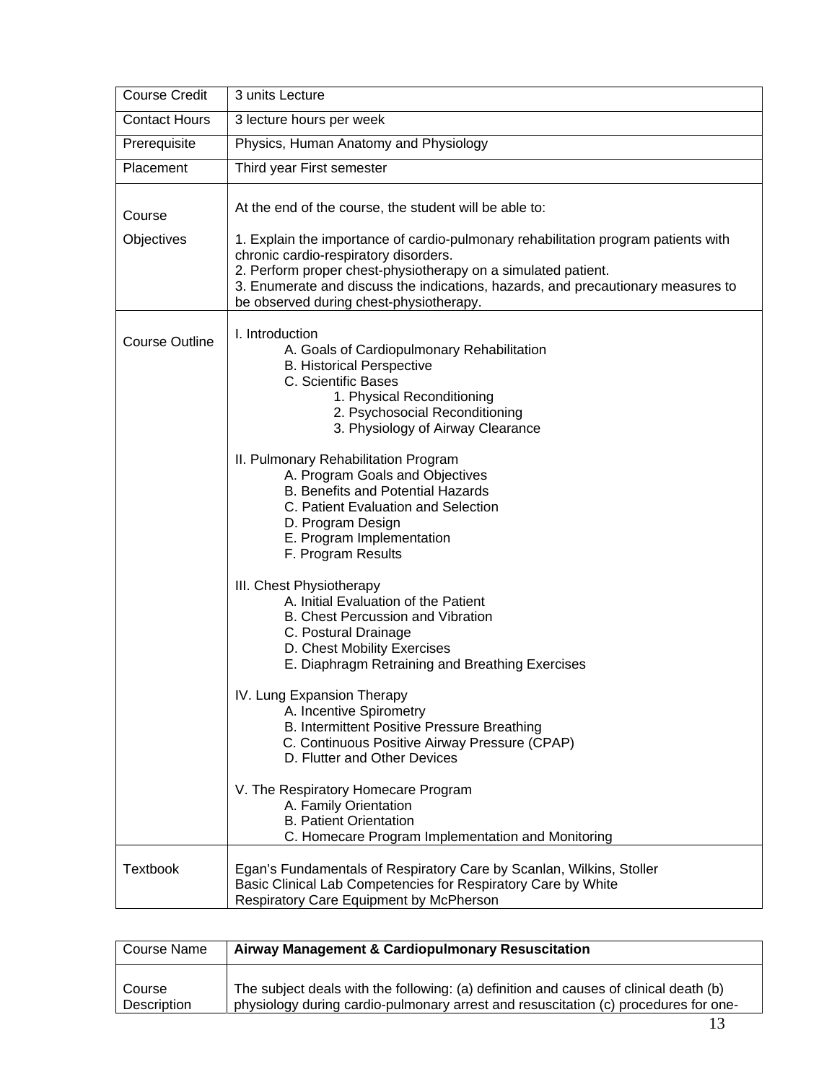| <b>Course Credit</b>  | 3 units Lecture                                                                                                                                                                                                                                                                                                             |  |
|-----------------------|-----------------------------------------------------------------------------------------------------------------------------------------------------------------------------------------------------------------------------------------------------------------------------------------------------------------------------|--|
| <b>Contact Hours</b>  | 3 lecture hours per week                                                                                                                                                                                                                                                                                                    |  |
| Prerequisite          | Physics, Human Anatomy and Physiology                                                                                                                                                                                                                                                                                       |  |
| Placement             | Third year First semester                                                                                                                                                                                                                                                                                                   |  |
| Course                | At the end of the course, the student will be able to:                                                                                                                                                                                                                                                                      |  |
| Objectives            | 1. Explain the importance of cardio-pulmonary rehabilitation program patients with<br>chronic cardio-respiratory disorders.<br>2. Perform proper chest-physiotherapy on a simulated patient.<br>3. Enumerate and discuss the indications, hazards, and precautionary measures to<br>be observed during chest-physiotherapy. |  |
| <b>Course Outline</b> | I. Introduction<br>A. Goals of Cardiopulmonary Rehabilitation<br><b>B. Historical Perspective</b><br>C. Scientific Bases<br>1. Physical Reconditioning<br>2. Psychosocial Reconditioning<br>3. Physiology of Airway Clearance                                                                                               |  |
|                       | II. Pulmonary Rehabilitation Program<br>A. Program Goals and Objectives<br><b>B. Benefits and Potential Hazards</b><br>C. Patient Evaluation and Selection<br>D. Program Design<br>E. Program Implementation<br>F. Program Results                                                                                          |  |
|                       | III. Chest Physiotherapy<br>A. Initial Evaluation of the Patient<br>B. Chest Percussion and Vibration<br>C. Postural Drainage<br>D. Chest Mobility Exercises<br>E. Diaphragm Retraining and Breathing Exercises                                                                                                             |  |
|                       | IV. Lung Expansion Therapy<br>A. Incentive Spirometry<br>B. Intermittent Positive Pressure Breathing<br>C. Continuous Positive Airway Pressure (CPAP)<br>D. Flutter and Other Devices                                                                                                                                       |  |
|                       | V. The Respiratory Homecare Program<br>A. Family Orientation<br><b>B. Patient Orientation</b><br>C. Homecare Program Implementation and Monitoring                                                                                                                                                                          |  |
| <b>Textbook</b>       | Egan's Fundamentals of Respiratory Care by Scanlan, Wilkins, Stoller<br>Basic Clinical Lab Competencies for Respiratory Care by White<br>Respiratory Care Equipment by McPherson                                                                                                                                            |  |

| Course Name | Airway Management & Cardiopulmonary Resuscitation                                     |
|-------------|---------------------------------------------------------------------------------------|
| Course      | The subject deals with the following: (a) definition and causes of clinical death (b) |
| Description | physiology during cardio-pulmonary arrest and resuscitation (c) procedures for one-   |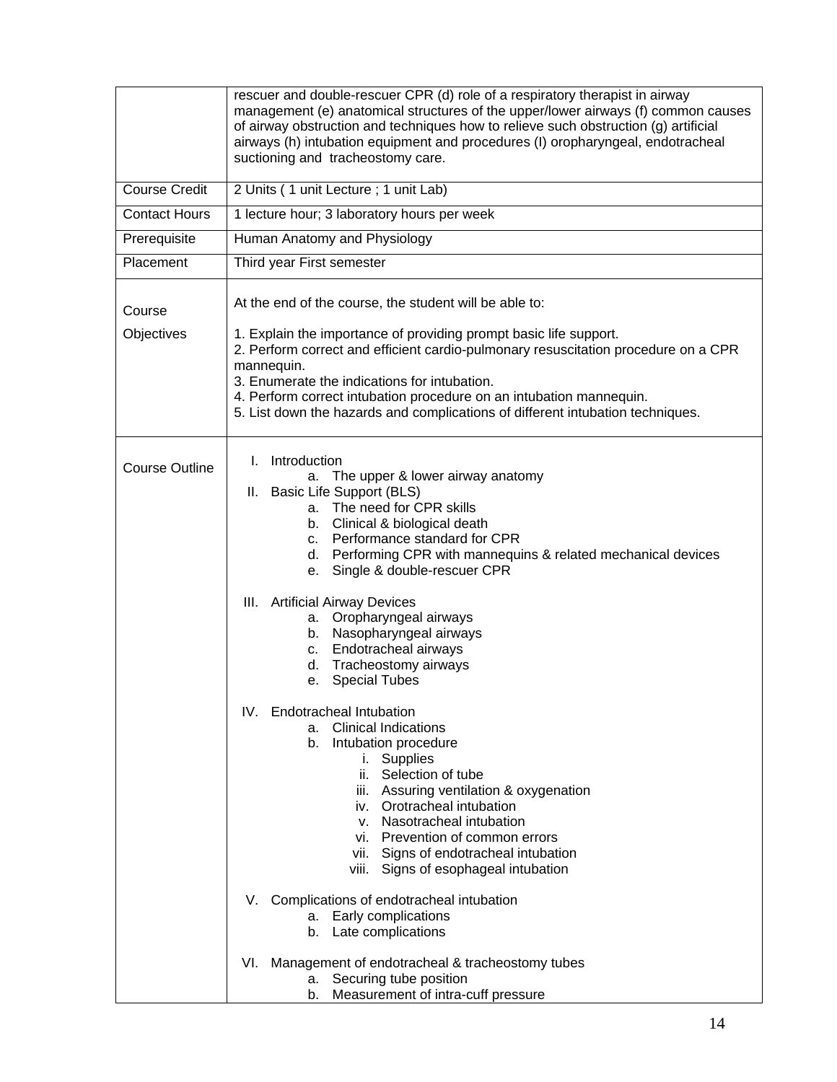|                       | rescuer and double-rescuer CPR (d) role of a respiratory therapist in airway<br>management (e) anatomical structures of the upper/lower airways (f) common causes<br>of airway obstruction and techniques how to relieve such obstruction (g) artificial<br>airways (h) intubation equipment and procedures (I) oropharyngeal, endotracheal<br>suctioning and tracheostomy care.                                                                                                                                                                                                                                                                                                                                                                                                                                                                                                                                                                                                                                      |  |
|-----------------------|-----------------------------------------------------------------------------------------------------------------------------------------------------------------------------------------------------------------------------------------------------------------------------------------------------------------------------------------------------------------------------------------------------------------------------------------------------------------------------------------------------------------------------------------------------------------------------------------------------------------------------------------------------------------------------------------------------------------------------------------------------------------------------------------------------------------------------------------------------------------------------------------------------------------------------------------------------------------------------------------------------------------------|--|
| Course Credit         | 2 Units (1 unit Lecture; 1 unit Lab)                                                                                                                                                                                                                                                                                                                                                                                                                                                                                                                                                                                                                                                                                                                                                                                                                                                                                                                                                                                  |  |
| <b>Contact Hours</b>  | 1 lecture hour; 3 laboratory hours per week                                                                                                                                                                                                                                                                                                                                                                                                                                                                                                                                                                                                                                                                                                                                                                                                                                                                                                                                                                           |  |
| Prerequisite          | Human Anatomy and Physiology                                                                                                                                                                                                                                                                                                                                                                                                                                                                                                                                                                                                                                                                                                                                                                                                                                                                                                                                                                                          |  |
| Placement             | Third year First semester                                                                                                                                                                                                                                                                                                                                                                                                                                                                                                                                                                                                                                                                                                                                                                                                                                                                                                                                                                                             |  |
| Course<br>Objectives  | At the end of the course, the student will be able to:<br>1. Explain the importance of providing prompt basic life support.<br>2. Perform correct and efficient cardio-pulmonary resuscitation procedure on a CPR<br>mannequin.<br>3. Enumerate the indications for intubation.<br>4. Perform correct intubation procedure on an intubation mannequin.<br>5. List down the hazards and complications of different intubation techniques.                                                                                                                                                                                                                                                                                                                                                                                                                                                                                                                                                                              |  |
| <b>Course Outline</b> | Introduction<br>L.<br>The upper & lower airway anatomy<br>а.<br>II. Basic Life Support (BLS)<br>a. The need for CPR skills<br>b. Clinical & biological death<br>c. Performance standard for CPR<br>d. Performing CPR with mannequins & related mechanical devices<br>Single & double-rescuer CPR<br>е.<br>III. Artificial Airway Devices<br>a. Oropharyngeal airways<br>b. Nasopharyngeal airways<br>c. Endotracheal airways<br>d. Tracheostomy airways<br>e. Special Tubes<br>IV. Endotracheal Intubation<br><b>Clinical Indications</b><br>а.<br>Intubation procedure<br>b.<br>i. Supplies<br>ii. Selection of tube<br>iii. Assuring ventilation & oxygenation<br>iv. Orotracheal intubation<br>v. Nasotracheal intubation<br>vi. Prevention of common errors<br>vii. Signs of endotracheal intubation<br>viii. Signs of esophageal intubation<br>Complications of endotracheal intubation<br>V.<br>Early complications<br>а.<br>Late complications<br>b.<br>Management of endotracheal & tracheostomy tubes<br>VI. |  |
|                       | Securing tube position<br>а.<br>Measurement of intra-cuff pressure<br>b.                                                                                                                                                                                                                                                                                                                                                                                                                                                                                                                                                                                                                                                                                                                                                                                                                                                                                                                                              |  |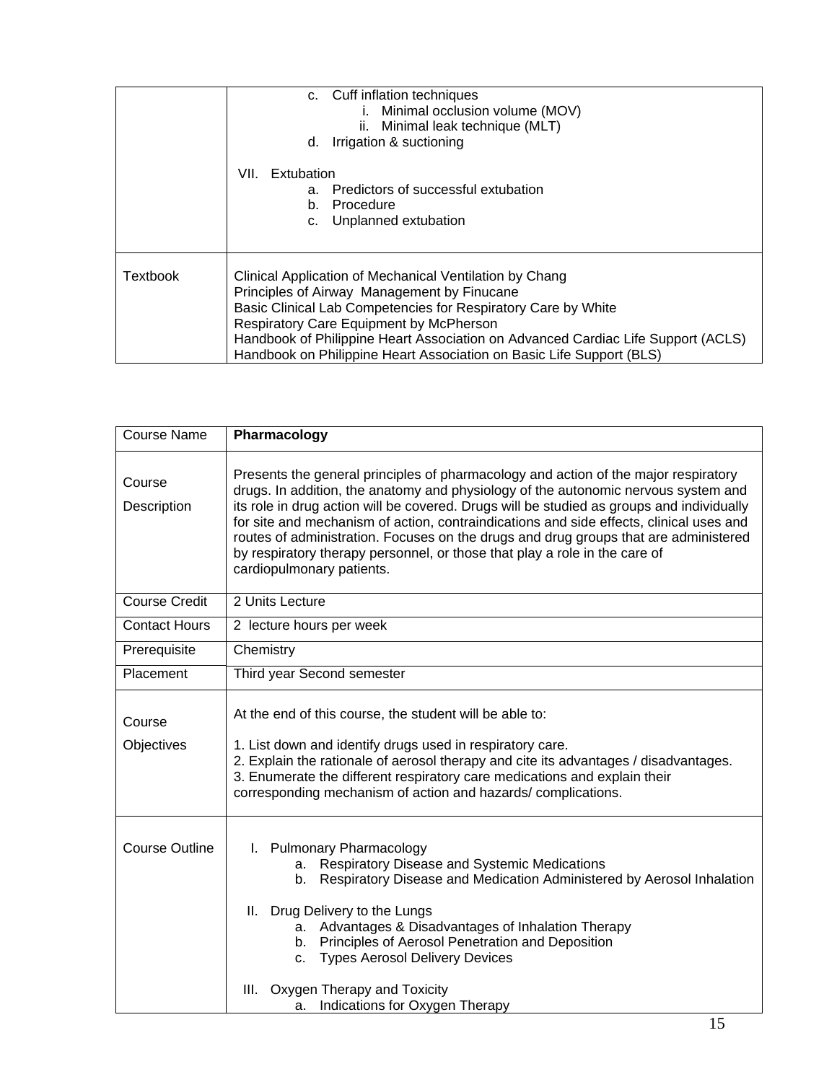|                 | c. Cuff inflation techniques<br>Minimal occlusion volume (MOV)<br>ii. Minimal leak technique (MLT)<br>d. Irrigation & suctioning                                                                                                                                                                                                                                               |
|-----------------|--------------------------------------------------------------------------------------------------------------------------------------------------------------------------------------------------------------------------------------------------------------------------------------------------------------------------------------------------------------------------------|
|                 | VII. Extubation<br>Predictors of successful extubation<br>a.<br>b. Procedure<br>c. Unplanned extubation                                                                                                                                                                                                                                                                        |
| <b>Textbook</b> | Clinical Application of Mechanical Ventilation by Chang<br>Principles of Airway Management by Finucane<br>Basic Clinical Lab Competencies for Respiratory Care by White<br>Respiratory Care Equipment by McPherson<br>Handbook of Philippine Heart Association on Advanced Cardiac Life Support (ACLS)<br>Handbook on Philippine Heart Association on Basic Life Support (BLS) |

| <b>Course Name</b>    | Pharmacology                                                                                                                                                                                                                                                                                                                                                                                                                                                                                                                                                         |  |  |
|-----------------------|----------------------------------------------------------------------------------------------------------------------------------------------------------------------------------------------------------------------------------------------------------------------------------------------------------------------------------------------------------------------------------------------------------------------------------------------------------------------------------------------------------------------------------------------------------------------|--|--|
| Course<br>Description | Presents the general principles of pharmacology and action of the major respiratory<br>drugs. In addition, the anatomy and physiology of the autonomic nervous system and<br>its role in drug action will be covered. Drugs will be studied as groups and individually<br>for site and mechanism of action, contraindications and side effects, clinical uses and<br>routes of administration. Focuses on the drugs and drug groups that are administered<br>by respiratory therapy personnel, or those that play a role in the care of<br>cardiopulmonary patients. |  |  |
| <b>Course Credit</b>  | 2 Units Lecture                                                                                                                                                                                                                                                                                                                                                                                                                                                                                                                                                      |  |  |
| <b>Contact Hours</b>  | 2 lecture hours per week                                                                                                                                                                                                                                                                                                                                                                                                                                                                                                                                             |  |  |
| Prerequisite          | Chemistry                                                                                                                                                                                                                                                                                                                                                                                                                                                                                                                                                            |  |  |
| Placement             | Third year Second semester                                                                                                                                                                                                                                                                                                                                                                                                                                                                                                                                           |  |  |
| Course<br>Objectives  | At the end of this course, the student will be able to:<br>1. List down and identify drugs used in respiratory care.<br>2. Explain the rationale of aerosol therapy and cite its advantages / disadvantages.<br>3. Enumerate the different respiratory care medications and explain their<br>corresponding mechanism of action and hazards/complications.                                                                                                                                                                                                            |  |  |
| <b>Course Outline</b> | I. Pulmonary Pharmacology<br>a. Respiratory Disease and Systemic Medications<br>b. Respiratory Disease and Medication Administered by Aerosol Inhalation<br>II. Drug Delivery to the Lungs<br>a. Advantages & Disadvantages of Inhalation Therapy<br>b. Principles of Aerosol Penetration and Deposition<br>c. Types Aerosol Delivery Devices<br>III. Oxygen Therapy and Toxicity<br>Indications for Oxygen Therapy<br>а.                                                                                                                                            |  |  |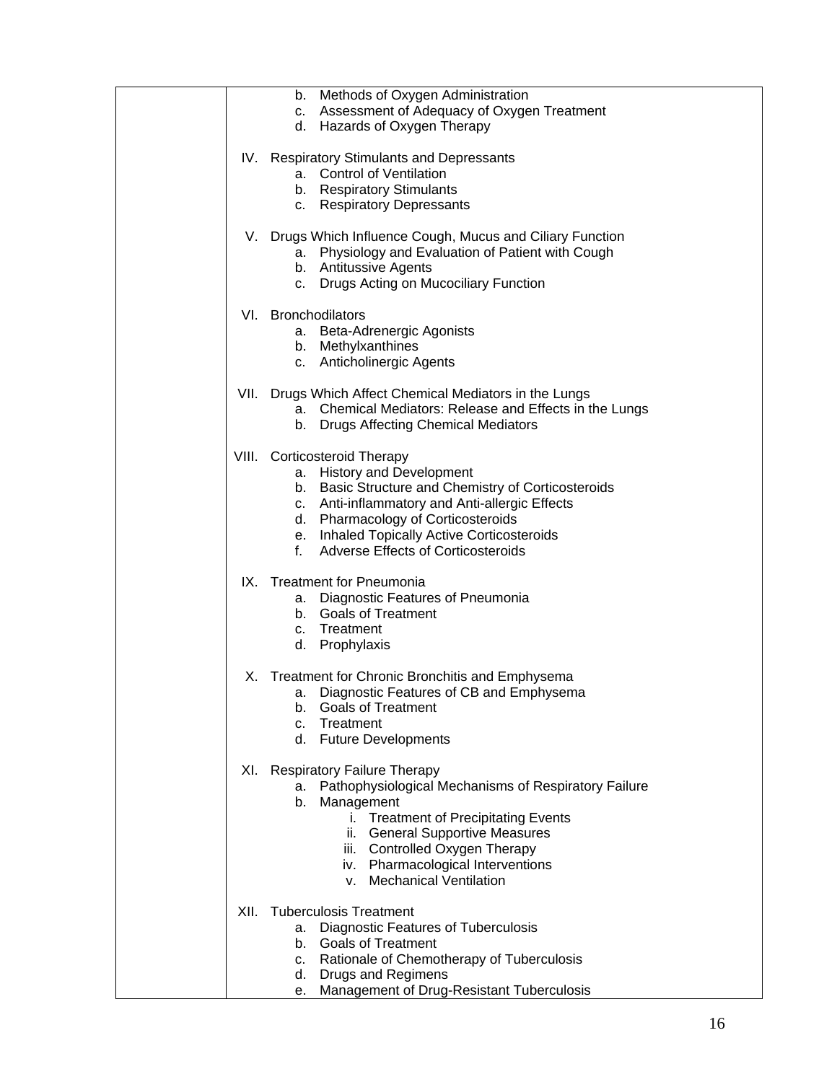|      | b. Methods of Oxygen Administration                        |
|------|------------------------------------------------------------|
|      | c. Assessment of Adequacy of Oxygen Treatment              |
|      | d. Hazards of Oxygen Therapy                               |
|      |                                                            |
|      | IV. Respiratory Stimulants and Depressants                 |
|      | a. Control of Ventilation                                  |
|      | b. Respiratory Stimulants                                  |
|      | c. Respiratory Depressants                                 |
|      |                                                            |
|      |                                                            |
|      | V. Drugs Which Influence Cough, Mucus and Ciliary Function |
|      | a. Physiology and Evaluation of Patient with Cough         |
|      | b. Antitussive Agents                                      |
|      | c. Drugs Acting on Mucociliary Function                    |
|      |                                                            |
|      | VI. Bronchodilators                                        |
|      | a. Beta-Adrenergic Agonists                                |
|      | b. Methylxanthines                                         |
|      | c. Anticholinergic Agents                                  |
|      |                                                            |
|      |                                                            |
|      | VII. Drugs Which Affect Chemical Mediators in the Lungs    |
|      | a. Chemical Mediators: Release and Effects in the Lungs    |
|      | b. Drugs Affecting Chemical Mediators                      |
|      |                                                            |
|      | VIII. Corticosteroid Therapy                               |
|      | a. History and Development                                 |
|      | b. Basic Structure and Chemistry of Corticosteroids        |
|      | c. Anti-inflammatory and Anti-allergic Effects             |
|      |                                                            |
|      | d. Pharmacology of Corticosteroids                         |
|      | e. Inhaled Topically Active Corticosteroids                |
|      | Adverse Effects of Corticosteroids<br>f.                   |
|      |                                                            |
|      | IX. Treatment for Pneumonia                                |
|      | a. Diagnostic Features of Pneumonia                        |
|      | b. Goals of Treatment                                      |
|      | c. Treatment                                               |
|      | d. Prophylaxis                                             |
|      |                                                            |
|      | X. Treatment for Chronic Bronchitis and Emphysema          |
|      | a. Diagnostic Features of CB and Emphysema                 |
|      |                                                            |
|      | <b>Goals of Treatment</b><br>b.                            |
|      | Treatment<br>c.                                            |
|      | d. Future Developments                                     |
|      |                                                            |
|      | XI. Respiratory Failure Therapy                            |
|      | a. Pathophysiological Mechanisms of Respiratory Failure    |
|      | b. Management                                              |
|      | i. Treatment of Precipitating Events                       |
|      | ii. General Supportive Measures                            |
|      | iii. Controlled Oxygen Therapy                             |
|      | iv. Pharmacological Interventions                          |
|      | v. Mechanical Ventilation                                  |
|      |                                                            |
|      |                                                            |
| XII. | <b>Tuberculosis Treatment</b>                              |
|      | <b>Diagnostic Features of Tuberculosis</b><br>а.           |
|      | b. Goals of Treatment                                      |
|      | c. Rationale of Chemotherapy of Tuberculosis               |
|      | Drugs and Regimens<br>d.                                   |
|      | Management of Drug-Resistant Tuberculosis<br>е.            |
|      |                                                            |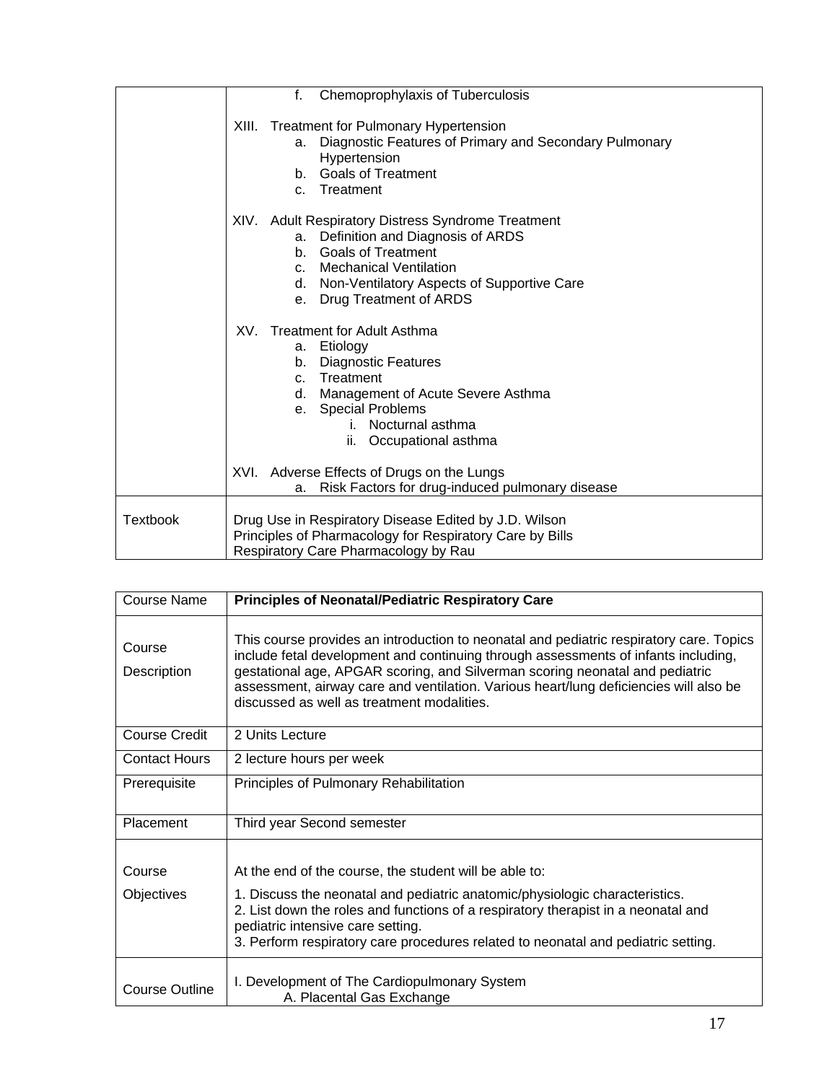|                 | f.<br>Chemoprophylaxis of Tuberculosis                                                           |
|-----------------|--------------------------------------------------------------------------------------------------|
|                 |                                                                                                  |
|                 | XIII. Treatment for Pulmonary Hypertension                                                       |
|                 | Diagnostic Features of Primary and Secondary Pulmonary<br>a.                                     |
|                 | Hypertension<br><b>Goals of Treatment</b><br>h.                                                  |
|                 | c. Treatment                                                                                     |
|                 |                                                                                                  |
|                 | XIV. Adult Respiratory Distress Syndrome Treatment                                               |
|                 | Definition and Diagnosis of ARDS<br>а.                                                           |
|                 | <b>Goals of Treatment</b><br>b.                                                                  |
|                 | c. Mechanical Ventilation                                                                        |
|                 | d. Non-Ventilatory Aspects of Supportive Care                                                    |
|                 | e. Drug Treatment of ARDS                                                                        |
|                 | XV. Treatment for Adult Asthma                                                                   |
|                 | Etiology<br>а.                                                                                   |
|                 | <b>Diagnostic Features</b><br>b.                                                                 |
|                 | c. Treatment                                                                                     |
|                 | d. Management of Acute Severe Asthma                                                             |
|                 | <b>Special Problems</b><br>e.<br>i. Nocturnal asthma                                             |
|                 | ii. Occupational asthma                                                                          |
|                 |                                                                                                  |
|                 | XVI. Adverse Effects of Drugs on the Lungs                                                       |
|                 | Risk Factors for drug-induced pulmonary disease<br>a.                                            |
|                 |                                                                                                  |
| <b>Textbook</b> | Drug Use in Respiratory Disease Edited by J.D. Wilson                                            |
|                 | Principles of Pharmacology for Respiratory Care by Bills<br>Respiratory Care Pharmacology by Rau |
|                 |                                                                                                  |

| <b>Course Name</b>          | <b>Principles of Neonatal/Pediatric Respiratory Care</b>                                                                                                                                                                                                                                                                                                                                             |
|-----------------------------|------------------------------------------------------------------------------------------------------------------------------------------------------------------------------------------------------------------------------------------------------------------------------------------------------------------------------------------------------------------------------------------------------|
| Course<br>Description       | This course provides an introduction to neonatal and pediatric respiratory care. Topics<br>include fetal development and continuing through assessments of infants including,<br>gestational age, APGAR scoring, and Silverman scoring neonatal and pediatric<br>assessment, airway care and ventilation. Various heart/lung deficiencies will also be<br>discussed as well as treatment modalities. |
| Course Credit               | 2 Units Lecture                                                                                                                                                                                                                                                                                                                                                                                      |
| <b>Contact Hours</b>        | 2 lecture hours per week                                                                                                                                                                                                                                                                                                                                                                             |
| Prerequisite                | Principles of Pulmonary Rehabilitation                                                                                                                                                                                                                                                                                                                                                               |
| Placement                   | Third year Second semester                                                                                                                                                                                                                                                                                                                                                                           |
| Course<br><b>Objectives</b> | At the end of the course, the student will be able to:<br>1. Discuss the neonatal and pediatric anatomic/physiologic characteristics.<br>2. List down the roles and functions of a respiratory therapist in a neonatal and<br>pediatric intensive care setting.<br>3. Perform respiratory care procedures related to neonatal and pediatric setting.                                                 |
| Course Outline              | I. Development of The Cardiopulmonary System<br>A. Placental Gas Exchange                                                                                                                                                                                                                                                                                                                            |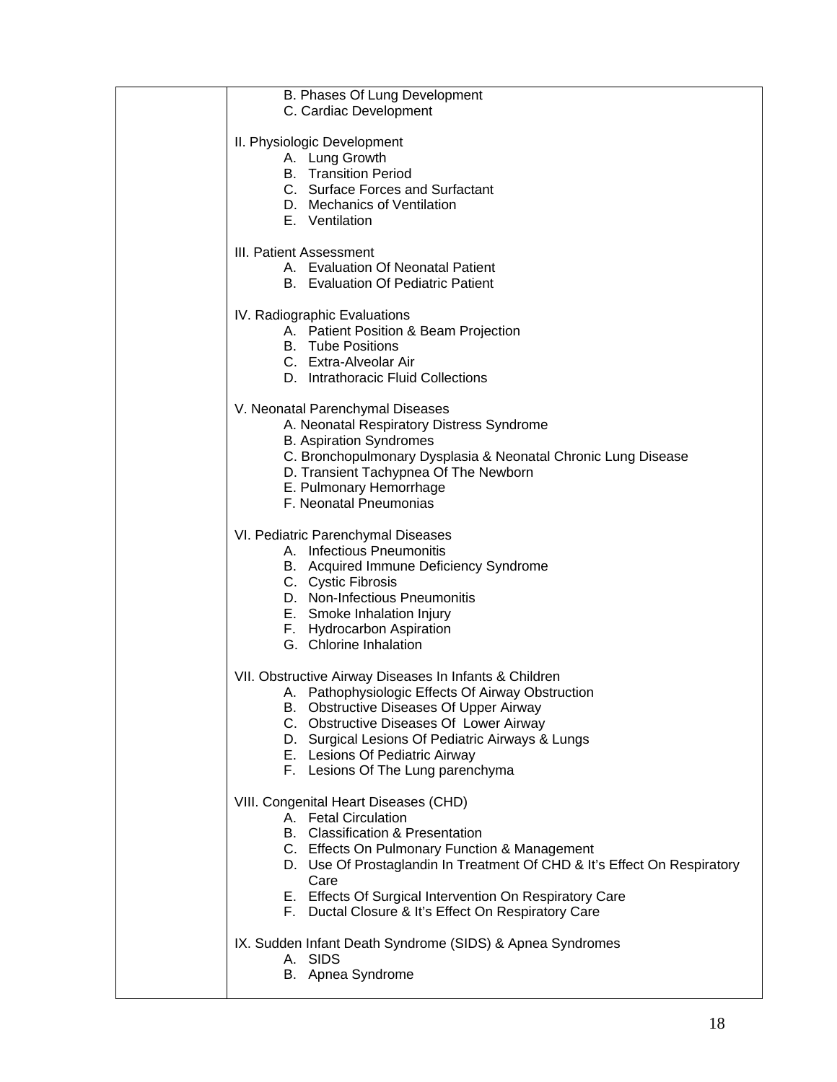| B. Phases Of Lung Development<br>C. Cardiac Development                                      |
|----------------------------------------------------------------------------------------------|
| II. Physiologic Development<br>A. Lung Growth                                                |
| <b>B.</b> Transition Period                                                                  |
| C. Surface Forces and Surfactant                                                             |
| D. Mechanics of Ventilation<br>E. Ventilation                                                |
| III. Patient Assessment                                                                      |
| A. Evaluation Of Neonatal Patient<br><b>B.</b> Evaluation Of Pediatric Patient               |
| IV. Radiographic Evaluations                                                                 |
| A. Patient Position & Beam Projection                                                        |
| <b>B.</b> Tube Positions<br>C. Extra-Alveolar Air                                            |
| D. Intrathoracic Fluid Collections                                                           |
| V. Neonatal Parenchymal Diseases                                                             |
| A. Neonatal Respiratory Distress Syndrome<br><b>B.</b> Aspiration Syndromes                  |
| C. Bronchopulmonary Dysplasia & Neonatal Chronic Lung Disease                                |
| D. Transient Tachypnea Of The Newborn<br>E. Pulmonary Hemorrhage                             |
| F. Neonatal Pneumonias                                                                       |
| VI. Pediatric Parenchymal Diseases                                                           |
| A. Infectious Pneumonitis<br>B. Acquired Immune Deficiency Syndrome                          |
| C. Cystic Fibrosis                                                                           |
| D. Non-Infectious Pneumonitis                                                                |
| E. Smoke Inhalation Injury<br>F. Hydrocarbon Aspiration                                      |
| G. Chlorine Inhalation                                                                       |
| VII. Obstructive Airway Diseases In Infants & Children                                       |
| A. Pathophysiologic Effects Of Airway Obstruction<br>B. Obstructive Diseases Of Upper Airway |
| C. Obstructive Diseases Of Lower Airway                                                      |
| D. Surgical Lesions Of Pediatric Airways & Lungs                                             |
| E. Lesions Of Pediatric Airway<br>F. Lesions Of The Lung parenchyma                          |
| VIII. Congenital Heart Diseases (CHD)                                                        |
| A. Fetal Circulation<br>B. Classification & Presentation                                     |
| C. Effects On Pulmonary Function & Management                                                |
| D. Use Of Prostaglandin In Treatment Of CHD & It's Effect On Respiratory<br>Care             |
| E. Effects Of Surgical Intervention On Respiratory Care                                      |
| F. Ductal Closure & It's Effect On Respiratory Care                                          |
| IX. Sudden Infant Death Syndrome (SIDS) & Apnea Syndromes<br>A. SIDS                         |
| B. Apnea Syndrome                                                                            |
|                                                                                              |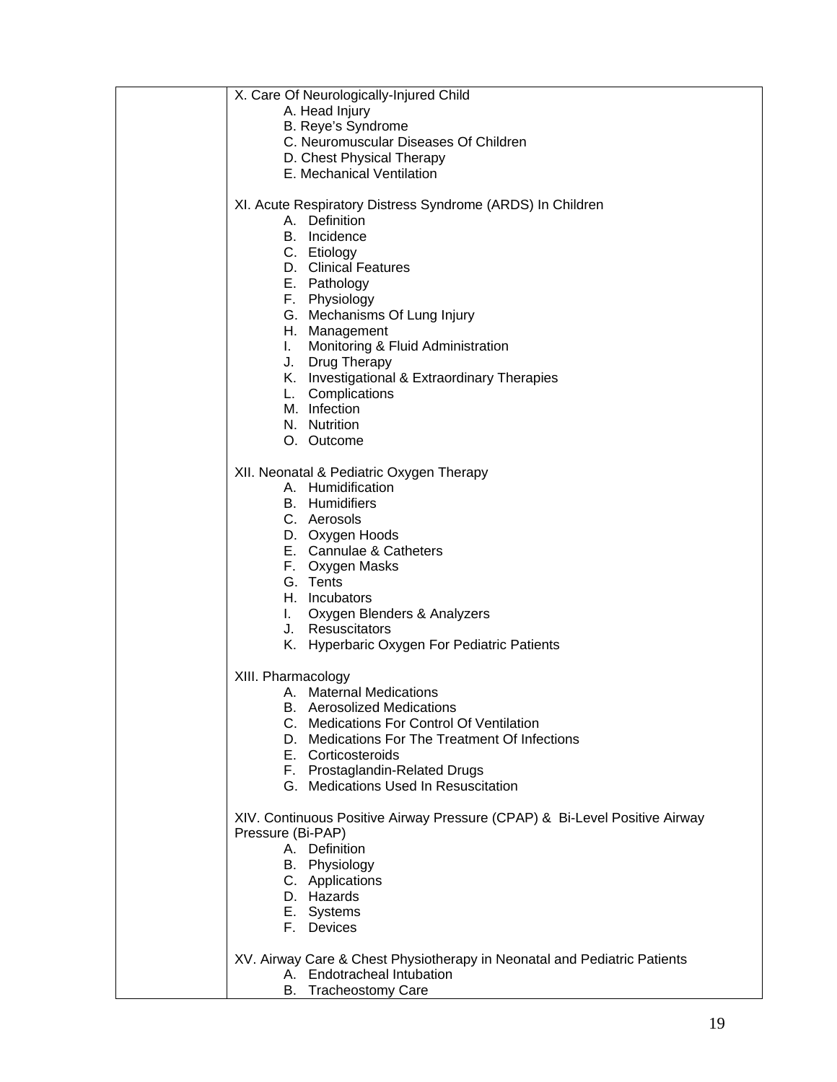| X. Care Of Neurologically-Injured Child                                     |
|-----------------------------------------------------------------------------|
| A. Head Injury                                                              |
| B. Reye's Syndrome                                                          |
| C. Neuromuscular Diseases Of Children                                       |
| D. Chest Physical Therapy                                                   |
| E. Mechanical Ventilation                                                   |
|                                                                             |
| XI. Acute Respiratory Distress Syndrome (ARDS) In Children<br>A. Definition |
| B. Incidence                                                                |
| C. Etiology                                                                 |
| D. Clinical Features                                                        |
| E. Pathology                                                                |
| F. Physiology                                                               |
| G. Mechanisms Of Lung Injury                                                |
| H. Management                                                               |
| Monitoring & Fluid Administration<br>L.                                     |
| J. Drug Therapy                                                             |
| K. Investigational & Extraordinary Therapies                                |
| L. Complications                                                            |
| M. Infection                                                                |
| N. Nutrition                                                                |
| O. Outcome                                                                  |
| XII. Neonatal & Pediatric Oxygen Therapy                                    |
| A. Humidification                                                           |
| <b>B.</b> Humidifiers                                                       |
| C. Aerosols                                                                 |
| D. Oxygen Hoods                                                             |
| E. Cannulae & Catheters                                                     |
| F. Oxygen Masks                                                             |
| G. Tents                                                                    |
| H. Incubators                                                               |
| I. Oxygen Blenders & Analyzers                                              |
| J. Resuscitators                                                            |
| K. Hyperbaric Oxygen For Pediatric Patients                                 |
| XIII. Pharmacology                                                          |
| A. Maternal Medications                                                     |
| <b>B.</b> Aerosolized Medications                                           |
| C. Medications For Control Of Ventilation                                   |
| D. Medications For The Treatment Of Infections                              |
| E. Corticosteroids                                                          |
| F. Prostaglandin-Related Drugs                                              |
| G. Medications Used In Resuscitation                                        |
| XIV. Continuous Positive Airway Pressure (CPAP) & Bi-Level Positive Airway  |
| Pressure (Bi-PAP)                                                           |
| A. Definition                                                               |
| B. Physiology                                                               |
| C. Applications                                                             |
| D. Hazards                                                                  |
| E. Systems                                                                  |
| F. Devices                                                                  |
|                                                                             |
| XV. Airway Care & Chest Physiotherapy in Neonatal and Pediatric Patients    |
| A. Endotracheal Intubation                                                  |
| B. Tracheostomy Care                                                        |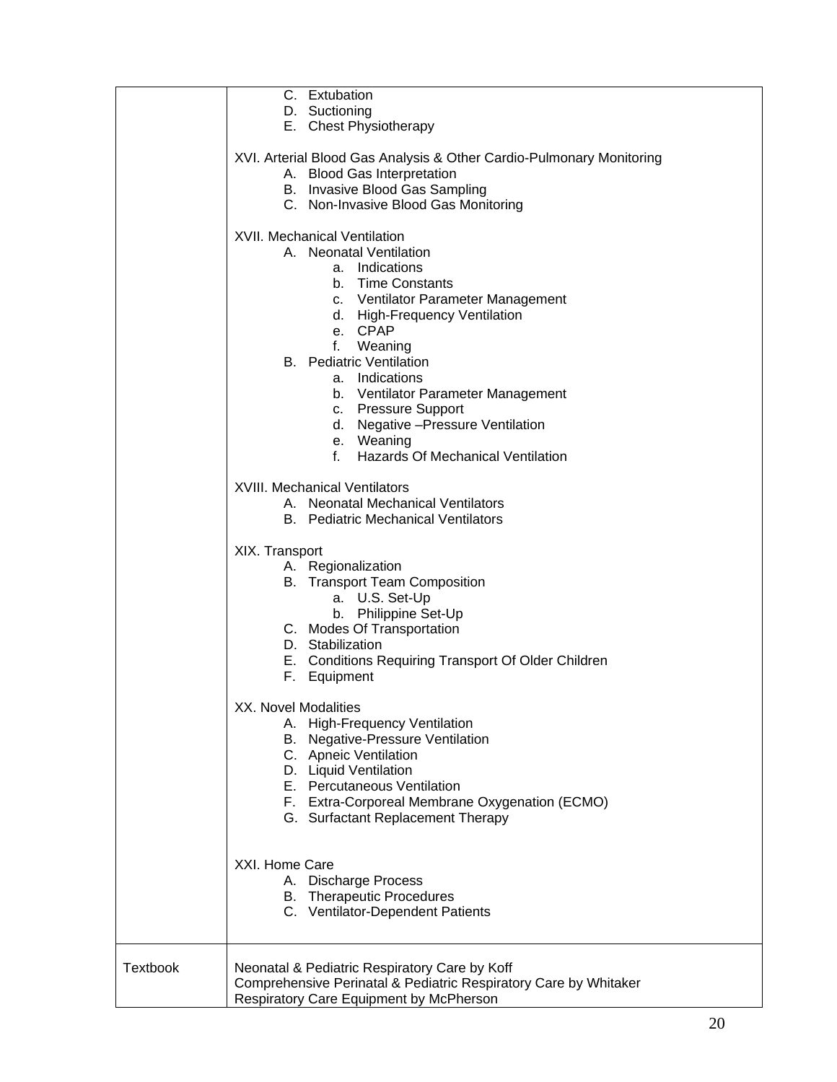|                 | C. Extubation<br>D. Suctioning<br>E. Chest Physiotherapy                                                                                                                                                                                                                                            |
|-----------------|-----------------------------------------------------------------------------------------------------------------------------------------------------------------------------------------------------------------------------------------------------------------------------------------------------|
|                 | XVI. Arterial Blood Gas Analysis & Other Cardio-Pulmonary Monitoring<br>A. Blood Gas Interpretation<br>B. Invasive Blood Gas Sampling<br>C. Non-Invasive Blood Gas Monitoring                                                                                                                       |
|                 | <b>XVII. Mechanical Ventilation</b><br>A. Neonatal Ventilation<br>a. Indications<br>b. Time Constants<br>c. Ventilator Parameter Management<br>d. High-Frequency Ventilation<br>e. CPAP<br>f.<br>Weaning<br><b>B.</b> Pediatric Ventilation<br>a. Indications<br>b. Ventilator Parameter Management |
|                 | c. Pressure Support<br>d. Negative - Pressure Ventilation<br>e. Weaning<br>f.<br>Hazards Of Mechanical Ventilation                                                                                                                                                                                  |
|                 | <b>XVIII. Mechanical Ventilators</b><br>A. Neonatal Mechanical Ventilators<br><b>B.</b> Pediatric Mechanical Ventilators                                                                                                                                                                            |
|                 | XIX. Transport<br>A. Regionalization<br><b>B.</b> Transport Team Composition<br>a. U.S. Set-Up<br>b. Philippine Set-Up<br>C. Modes Of Transportation<br>D. Stabilization<br>E. Conditions Requiring Transport Of Older Children<br>F. Equipment                                                     |
|                 | XX. Novel Modalities<br>A. High-Frequency Ventilation<br>B. Negative-Pressure Ventilation<br>C. Apneic Ventilation<br>D. Liquid Ventilation<br>E. Percutaneous Ventilation<br>F. Extra-Corporeal Membrane Oxygenation (ECMO)<br>G. Surfactant Replacement Therapy                                   |
|                 | XXI. Home Care<br>A. Discharge Process<br><b>B.</b> Therapeutic Procedures<br>C. Ventilator-Dependent Patients                                                                                                                                                                                      |
| <b>Textbook</b> | Neonatal & Pediatric Respiratory Care by Koff<br>Comprehensive Perinatal & Pediatric Respiratory Care by Whitaker<br>Respiratory Care Equipment by McPherson                                                                                                                                        |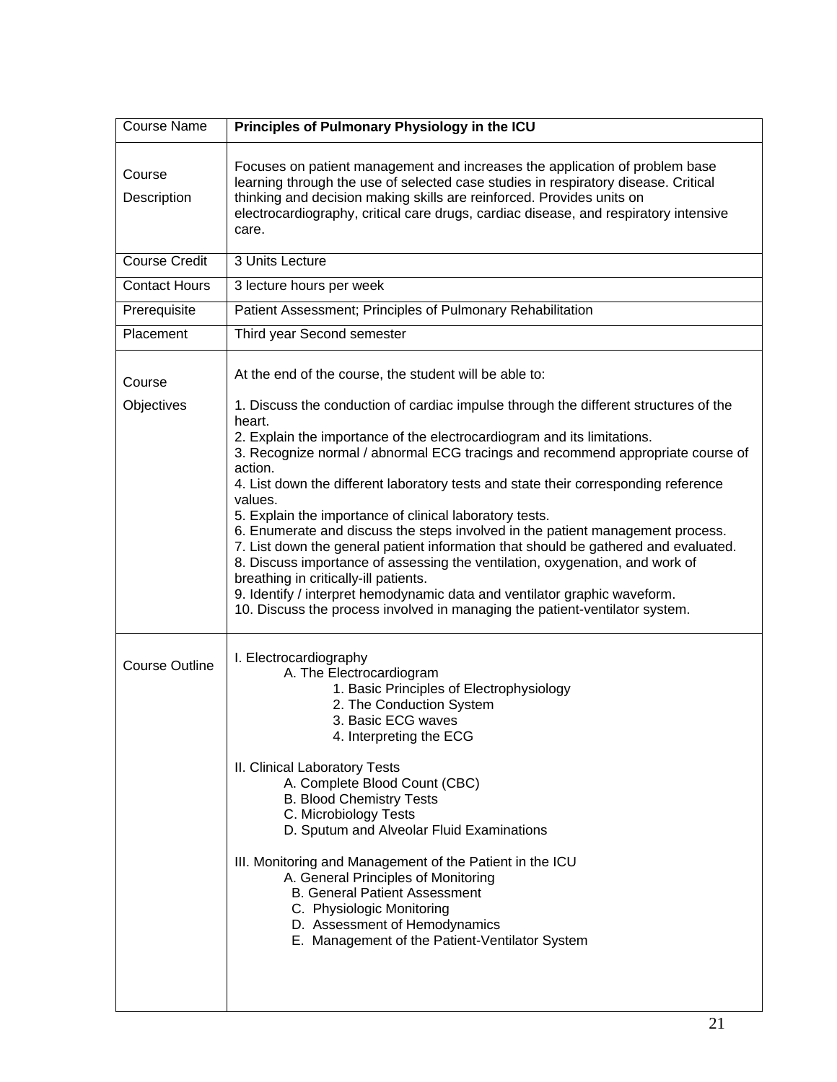| <b>Course Name</b>    | Principles of Pulmonary Physiology in the ICU                                                                                                                                                                                                                                                                                                                                                                                                                                                                                                                                                                                                                                                                                                                                                                                                                                                                                                                |
|-----------------------|--------------------------------------------------------------------------------------------------------------------------------------------------------------------------------------------------------------------------------------------------------------------------------------------------------------------------------------------------------------------------------------------------------------------------------------------------------------------------------------------------------------------------------------------------------------------------------------------------------------------------------------------------------------------------------------------------------------------------------------------------------------------------------------------------------------------------------------------------------------------------------------------------------------------------------------------------------------|
| Course<br>Description | Focuses on patient management and increases the application of problem base<br>learning through the use of selected case studies in respiratory disease. Critical<br>thinking and decision making skills are reinforced. Provides units on<br>electrocardiography, critical care drugs, cardiac disease, and respiratory intensive<br>care.                                                                                                                                                                                                                                                                                                                                                                                                                                                                                                                                                                                                                  |
| <b>Course Credit</b>  | 3 Units Lecture                                                                                                                                                                                                                                                                                                                                                                                                                                                                                                                                                                                                                                                                                                                                                                                                                                                                                                                                              |
| <b>Contact Hours</b>  | 3 lecture hours per week                                                                                                                                                                                                                                                                                                                                                                                                                                                                                                                                                                                                                                                                                                                                                                                                                                                                                                                                     |
| Prerequisite          | Patient Assessment; Principles of Pulmonary Rehabilitation                                                                                                                                                                                                                                                                                                                                                                                                                                                                                                                                                                                                                                                                                                                                                                                                                                                                                                   |
| Placement             | Third year Second semester                                                                                                                                                                                                                                                                                                                                                                                                                                                                                                                                                                                                                                                                                                                                                                                                                                                                                                                                   |
| Course<br>Objectives  | At the end of the course, the student will be able to:<br>1. Discuss the conduction of cardiac impulse through the different structures of the<br>heart.<br>2. Explain the importance of the electrocardiogram and its limitations.<br>3. Recognize normal / abnormal ECG tracings and recommend appropriate course of<br>action.<br>4. List down the different laboratory tests and state their corresponding reference<br>values.<br>5. Explain the importance of clinical laboratory tests.<br>6. Enumerate and discuss the steps involved in the patient management process.<br>7. List down the general patient information that should be gathered and evaluated.<br>8. Discuss importance of assessing the ventilation, oxygenation, and work of<br>breathing in critically-ill patients.<br>9. Identify / interpret hemodynamic data and ventilator graphic waveform.<br>10. Discuss the process involved in managing the patient-ventilator system. |
| <b>Course Outline</b> | I. Electrocardiography<br>A. The Electrocardiogram<br>1. Basic Principles of Electrophysiology<br>2. The Conduction System<br>3. Basic ECG waves<br>4. Interpreting the ECG<br>II. Clinical Laboratory Tests<br>A. Complete Blood Count (CBC)<br><b>B. Blood Chemistry Tests</b><br>C. Microbiology Tests<br>D. Sputum and Alveolar Fluid Examinations<br>III. Monitoring and Management of the Patient in the ICU<br>A. General Principles of Monitoring<br><b>B. General Patient Assessment</b><br>C. Physiologic Monitoring<br>D. Assessment of Hemodynamics<br>E. Management of the Patient-Ventilator System                                                                                                                                                                                                                                                                                                                                            |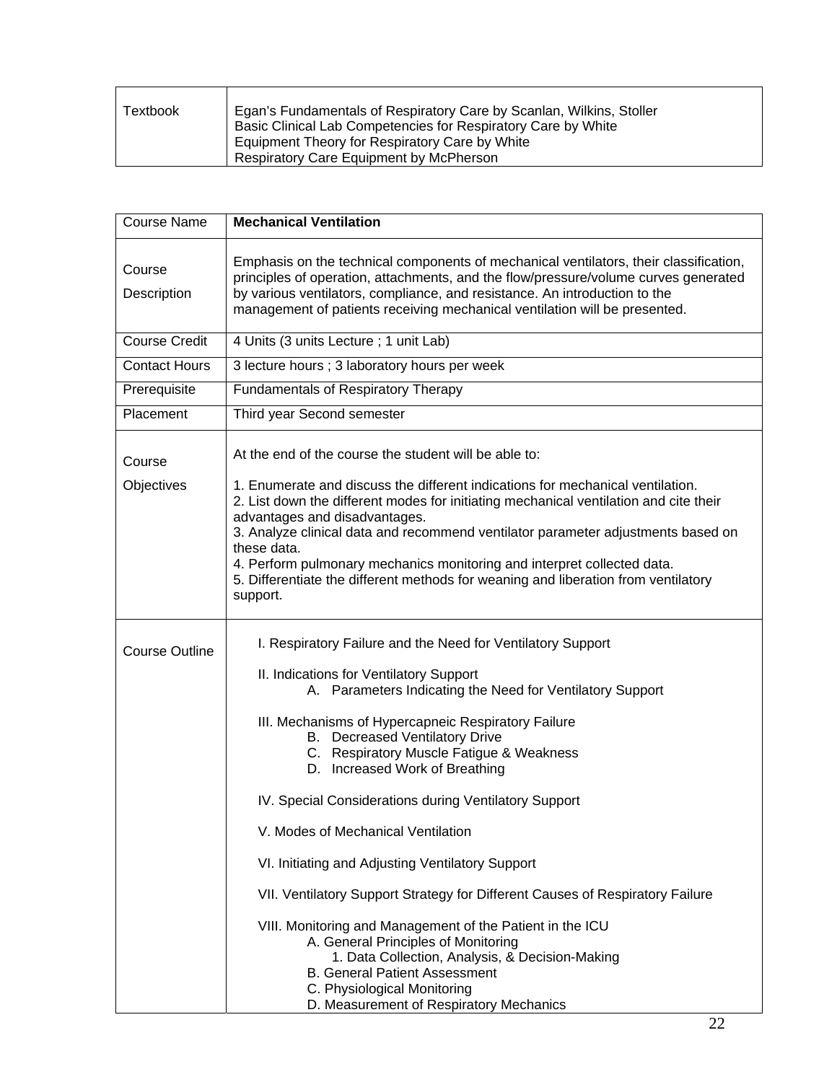| Textbook | Egan's Fundamentals of Respiratory Care by Scanlan, Wilkins, Stoller<br>Basic Clinical Lab Competencies for Respiratory Care by White |
|----------|---------------------------------------------------------------------------------------------------------------------------------------|
|          | Equipment Theory for Respiratory Care by White                                                                                        |
|          | <b>Respiratory Care Equipment by McPherson</b>                                                                                        |

 $\mathbf{r}$ 

| <b>Course Name</b>    | <b>Mechanical Ventilation</b>                                                                                                                                                                                                                                                                                                                                                                                                                                                                                                                                                                                                                                                                                                                                                                                                                           |
|-----------------------|---------------------------------------------------------------------------------------------------------------------------------------------------------------------------------------------------------------------------------------------------------------------------------------------------------------------------------------------------------------------------------------------------------------------------------------------------------------------------------------------------------------------------------------------------------------------------------------------------------------------------------------------------------------------------------------------------------------------------------------------------------------------------------------------------------------------------------------------------------|
| Course<br>Description | Emphasis on the technical components of mechanical ventilators, their classification,<br>principles of operation, attachments, and the flow/pressure/volume curves generated<br>by various ventilators, compliance, and resistance. An introduction to the<br>management of patients receiving mechanical ventilation will be presented.                                                                                                                                                                                                                                                                                                                                                                                                                                                                                                                |
| <b>Course Credit</b>  | 4 Units (3 units Lecture ; 1 unit Lab)                                                                                                                                                                                                                                                                                                                                                                                                                                                                                                                                                                                                                                                                                                                                                                                                                  |
| <b>Contact Hours</b>  | 3 lecture hours ; 3 laboratory hours per week                                                                                                                                                                                                                                                                                                                                                                                                                                                                                                                                                                                                                                                                                                                                                                                                           |
| Prerequisite          | <b>Fundamentals of Respiratory Therapy</b>                                                                                                                                                                                                                                                                                                                                                                                                                                                                                                                                                                                                                                                                                                                                                                                                              |
| Placement             | Third year Second semester                                                                                                                                                                                                                                                                                                                                                                                                                                                                                                                                                                                                                                                                                                                                                                                                                              |
| Course<br>Objectives  | At the end of the course the student will be able to:<br>1. Enumerate and discuss the different indications for mechanical ventilation.<br>2. List down the different modes for initiating mechanical ventilation and cite their<br>advantages and disadvantages.<br>3. Analyze clinical data and recommend ventilator parameter adjustments based on<br>these data.<br>4. Perform pulmonary mechanics monitoring and interpret collected data.<br>5. Differentiate the different methods for weaning and liberation from ventilatory<br>support.                                                                                                                                                                                                                                                                                                       |
| <b>Course Outline</b> | I. Respiratory Failure and the Need for Ventilatory Support<br>II. Indications for Ventilatory Support<br>A. Parameters Indicating the Need for Ventilatory Support<br>III. Mechanisms of Hypercapneic Respiratory Failure<br>B. Decreased Ventilatory Drive<br>C. Respiratory Muscle Fatigue & Weakness<br>D. Increased Work of Breathing<br>IV. Special Considerations during Ventilatory Support<br>V. Modes of Mechanical Ventilation<br>VI. Initiating and Adjusting Ventilatory Support<br>VII. Ventilatory Support Strategy for Different Causes of Respiratory Failure<br>VIII. Monitoring and Management of the Patient in the ICU<br>A. General Principles of Monitoring<br>1. Data Collection, Analysis, & Decision-Making<br><b>B. General Patient Assessment</b><br>C. Physiological Monitoring<br>D. Measurement of Respiratory Mechanics |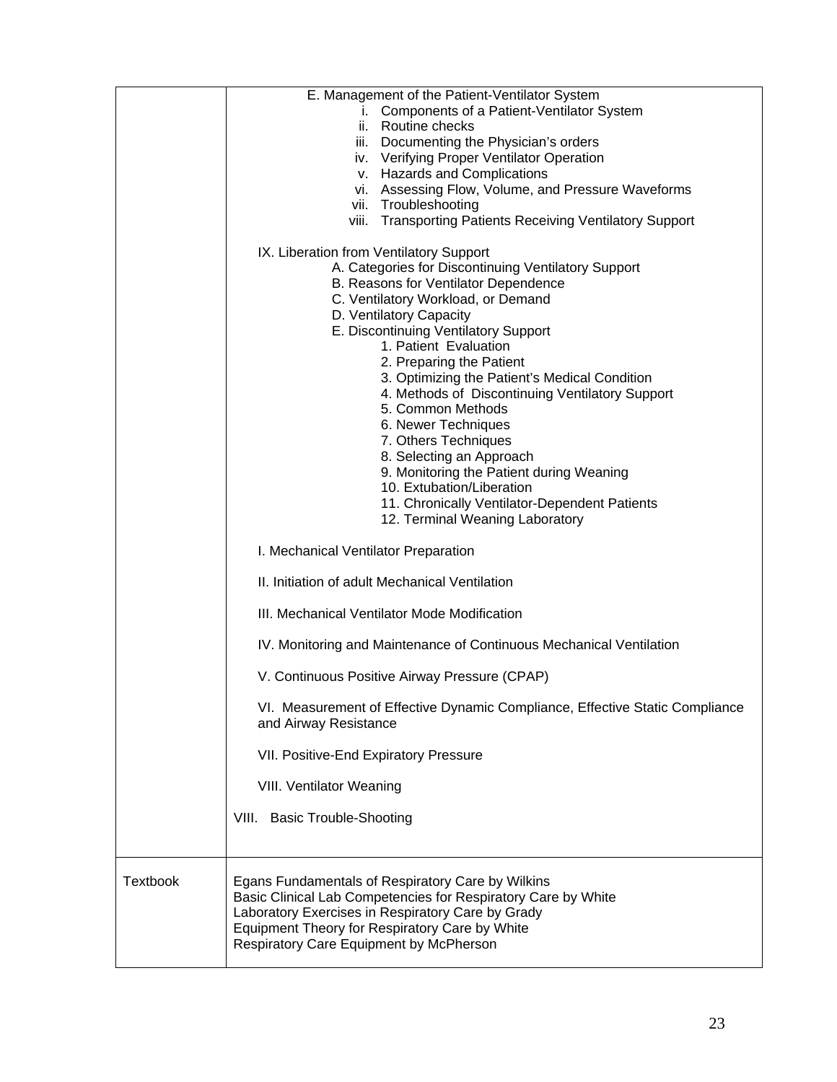|                 | E. Management of the Patient-Ventilator System                                                                                                                                                                                                                       |
|-----------------|----------------------------------------------------------------------------------------------------------------------------------------------------------------------------------------------------------------------------------------------------------------------|
|                 | i. Components of a Patient-Ventilator System                                                                                                                                                                                                                         |
|                 | ii. Routine checks                                                                                                                                                                                                                                                   |
|                 | iii. Documenting the Physician's orders                                                                                                                                                                                                                              |
|                 | iv. Verifying Proper Ventilator Operation                                                                                                                                                                                                                            |
|                 | v. Hazards and Complications                                                                                                                                                                                                                                         |
|                 | vi. Assessing Flow, Volume, and Pressure Waveforms                                                                                                                                                                                                                   |
|                 | vii. Troubleshooting                                                                                                                                                                                                                                                 |
|                 | viii. Transporting Patients Receiving Ventilatory Support                                                                                                                                                                                                            |
|                 | IX. Liberation from Ventilatory Support                                                                                                                                                                                                                              |
|                 | A. Categories for Discontinuing Ventilatory Support                                                                                                                                                                                                                  |
|                 | B. Reasons for Ventilator Dependence                                                                                                                                                                                                                                 |
|                 | C. Ventilatory Workload, or Demand                                                                                                                                                                                                                                   |
|                 | D. Ventilatory Capacity                                                                                                                                                                                                                                              |
|                 | E. Discontinuing Ventilatory Support<br>1. Patient Evaluation                                                                                                                                                                                                        |
|                 | 2. Preparing the Patient                                                                                                                                                                                                                                             |
|                 | 3. Optimizing the Patient's Medical Condition                                                                                                                                                                                                                        |
|                 | 4. Methods of Discontinuing Ventilatory Support                                                                                                                                                                                                                      |
|                 | 5. Common Methods                                                                                                                                                                                                                                                    |
|                 | 6. Newer Techniques                                                                                                                                                                                                                                                  |
|                 | 7. Others Techniques                                                                                                                                                                                                                                                 |
|                 | 8. Selecting an Approach                                                                                                                                                                                                                                             |
|                 | 9. Monitoring the Patient during Weaning                                                                                                                                                                                                                             |
|                 | 10. Extubation/Liberation                                                                                                                                                                                                                                            |
|                 | 11. Chronically Ventilator-Dependent Patients                                                                                                                                                                                                                        |
|                 | 12. Terminal Weaning Laboratory                                                                                                                                                                                                                                      |
|                 | I. Mechanical Ventilator Preparation                                                                                                                                                                                                                                 |
|                 | II. Initiation of adult Mechanical Ventilation                                                                                                                                                                                                                       |
|                 | III. Mechanical Ventilator Mode Modification                                                                                                                                                                                                                         |
|                 | IV. Monitoring and Maintenance of Continuous Mechanical Ventilation                                                                                                                                                                                                  |
|                 | V. Continuous Positive Airway Pressure (CPAP)                                                                                                                                                                                                                        |
|                 | VI. Measurement of Effective Dynamic Compliance, Effective Static Compliance<br>and Airway Resistance                                                                                                                                                                |
|                 | VII. Positive-End Expiratory Pressure                                                                                                                                                                                                                                |
|                 | VIII. Ventilator Weaning                                                                                                                                                                                                                                             |
|                 | VIII. Basic Trouble-Shooting                                                                                                                                                                                                                                         |
|                 |                                                                                                                                                                                                                                                                      |
| <b>Textbook</b> | Egans Fundamentals of Respiratory Care by Wilkins<br>Basic Clinical Lab Competencies for Respiratory Care by White<br>Laboratory Exercises in Respiratory Care by Grady<br>Equipment Theory for Respiratory Care by White<br>Respiratory Care Equipment by McPherson |
|                 |                                                                                                                                                                                                                                                                      |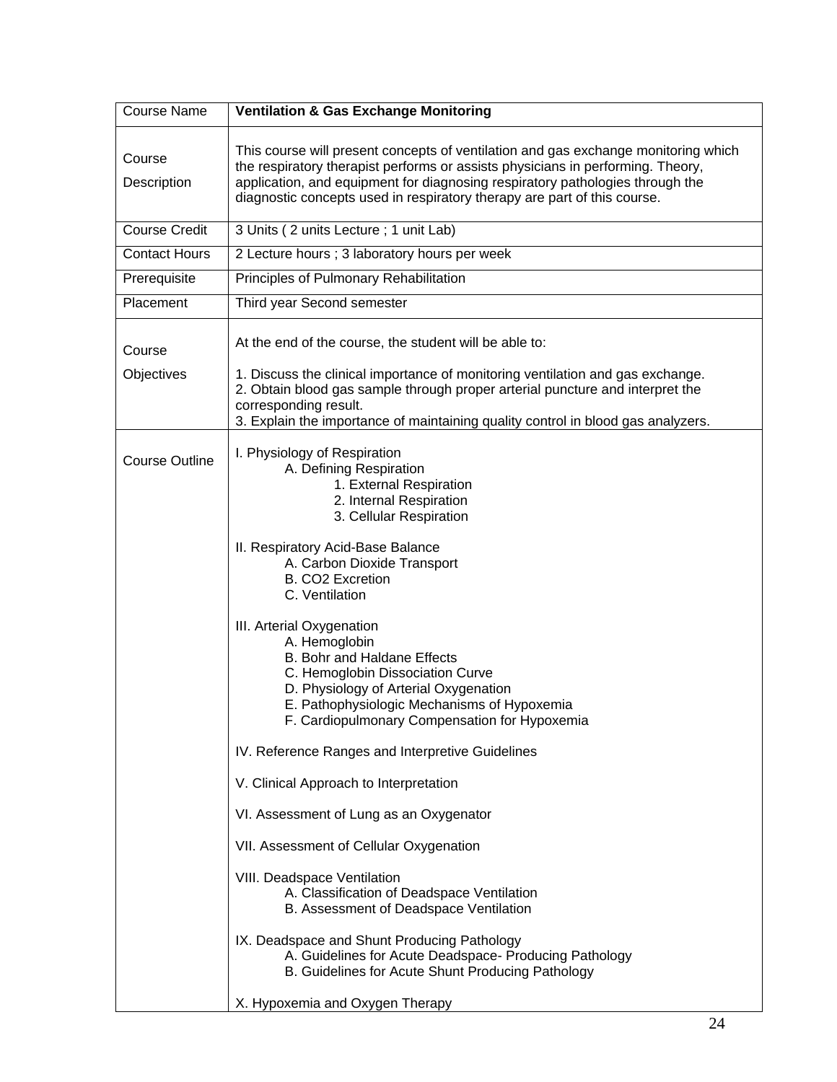| <b>Course Name</b>    | <b>Ventilation &amp; Gas Exchange Monitoring</b>                                                                                                                                                                                                                                                                                                                                                                                                                                                                                                                                                                                                                                                                                                                                                                                                                                                                                                                                                                                |
|-----------------------|---------------------------------------------------------------------------------------------------------------------------------------------------------------------------------------------------------------------------------------------------------------------------------------------------------------------------------------------------------------------------------------------------------------------------------------------------------------------------------------------------------------------------------------------------------------------------------------------------------------------------------------------------------------------------------------------------------------------------------------------------------------------------------------------------------------------------------------------------------------------------------------------------------------------------------------------------------------------------------------------------------------------------------|
| Course<br>Description | This course will present concepts of ventilation and gas exchange monitoring which<br>the respiratory therapist performs or assists physicians in performing. Theory,<br>application, and equipment for diagnosing respiratory pathologies through the<br>diagnostic concepts used in respiratory therapy are part of this course.                                                                                                                                                                                                                                                                                                                                                                                                                                                                                                                                                                                                                                                                                              |
| <b>Course Credit</b>  | 3 Units (2 units Lecture; 1 unit Lab)                                                                                                                                                                                                                                                                                                                                                                                                                                                                                                                                                                                                                                                                                                                                                                                                                                                                                                                                                                                           |
| <b>Contact Hours</b>  | 2 Lecture hours ; 3 laboratory hours per week                                                                                                                                                                                                                                                                                                                                                                                                                                                                                                                                                                                                                                                                                                                                                                                                                                                                                                                                                                                   |
| Prerequisite          | Principles of Pulmonary Rehabilitation                                                                                                                                                                                                                                                                                                                                                                                                                                                                                                                                                                                                                                                                                                                                                                                                                                                                                                                                                                                          |
| Placement             | Third year Second semester                                                                                                                                                                                                                                                                                                                                                                                                                                                                                                                                                                                                                                                                                                                                                                                                                                                                                                                                                                                                      |
| Course<br>Objectives  | At the end of the course, the student will be able to:<br>1. Discuss the clinical importance of monitoring ventilation and gas exchange.<br>2. Obtain blood gas sample through proper arterial puncture and interpret the<br>corresponding result.<br>3. Explain the importance of maintaining quality control in blood gas analyzers.                                                                                                                                                                                                                                                                                                                                                                                                                                                                                                                                                                                                                                                                                          |
| <b>Course Outline</b> | I. Physiology of Respiration<br>A. Defining Respiration<br>1. External Respiration<br>2. Internal Respiration<br>3. Cellular Respiration<br>II. Respiratory Acid-Base Balance<br>A. Carbon Dioxide Transport<br><b>B. CO2 Excretion</b><br>C. Ventilation<br>III. Arterial Oxygenation<br>A. Hemoglobin<br>B. Bohr and Haldane Effects<br>C. Hemoglobin Dissociation Curve<br>D. Physiology of Arterial Oxygenation<br>E. Pathophysiologic Mechanisms of Hypoxemia<br>F. Cardiopulmonary Compensation for Hypoxemia<br>IV. Reference Ranges and Interpretive Guidelines<br>V. Clinical Approach to Interpretation<br>VI. Assessment of Lung as an Oxygenator<br>VII. Assessment of Cellular Oxygenation<br>VIII. Deadspace Ventilation<br>A. Classification of Deadspace Ventilation<br>B. Assessment of Deadspace Ventilation<br>IX. Deadspace and Shunt Producing Pathology<br>A. Guidelines for Acute Deadspace- Producing Pathology<br>B. Guidelines for Acute Shunt Producing Pathology<br>X. Hypoxemia and Oxygen Therapy |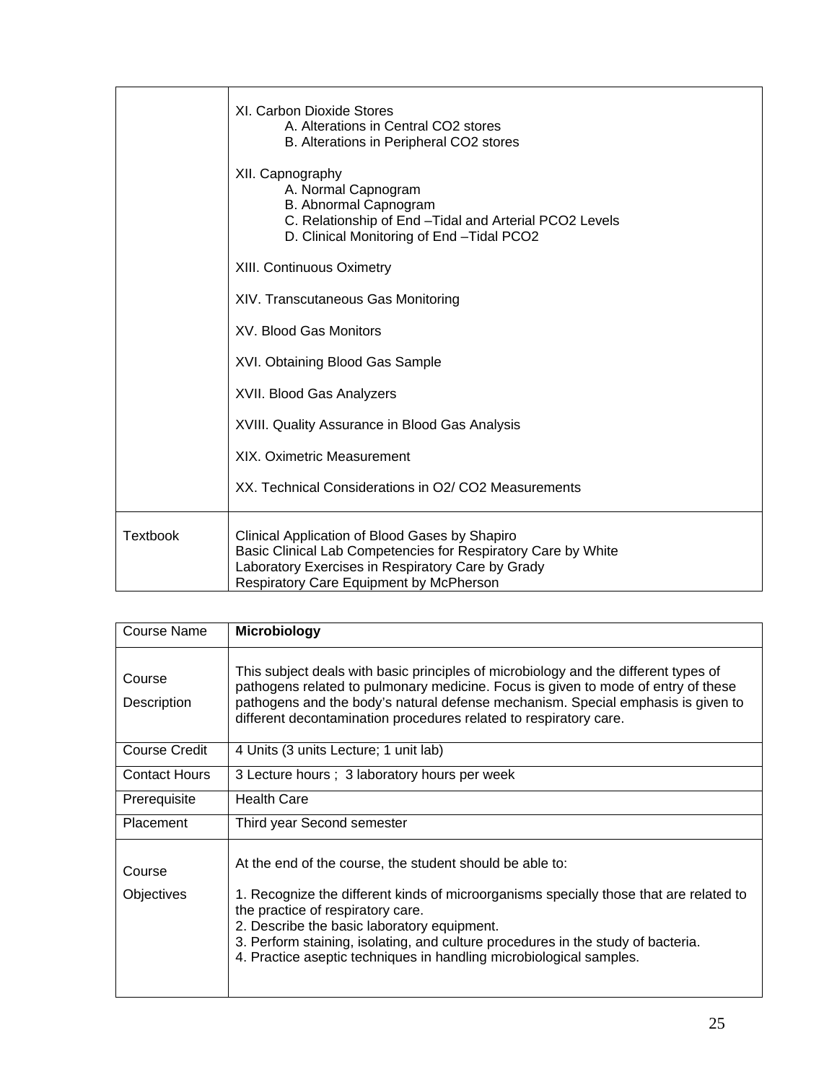|                 | XI. Carbon Dioxide Stores<br>A. Alterations in Central CO2 stores<br>B. Alterations in Peripheral CO2 stores                                                                                                    |
|-----------------|-----------------------------------------------------------------------------------------------------------------------------------------------------------------------------------------------------------------|
|                 | XII. Capnography<br>A. Normal Capnogram<br>B. Abnormal Capnogram<br>C. Relationship of End - Tidal and Arterial PCO2 Levels<br>D. Clinical Monitoring of End - Tidal PCO2                                       |
|                 | XIII. Continuous Oximetry                                                                                                                                                                                       |
|                 | XIV. Transcutaneous Gas Monitoring                                                                                                                                                                              |
|                 | XV. Blood Gas Monitors                                                                                                                                                                                          |
|                 | XVI. Obtaining Blood Gas Sample                                                                                                                                                                                 |
|                 | XVII. Blood Gas Analyzers                                                                                                                                                                                       |
|                 | XVIII. Quality Assurance in Blood Gas Analysis                                                                                                                                                                  |
|                 | <b>XIX. Oximetric Measurement</b>                                                                                                                                                                               |
|                 | XX. Technical Considerations in O2/ CO2 Measurements                                                                                                                                                            |
| <b>Textbook</b> | Clinical Application of Blood Gases by Shapiro<br>Basic Clinical Lab Competencies for Respiratory Care by White<br>Laboratory Exercises in Respiratory Care by Grady<br>Respiratory Care Equipment by McPherson |

| Course Name                 | <b>Microbiology</b>                                                                                                                                                                                                                                                                                                                                                                               |
|-----------------------------|---------------------------------------------------------------------------------------------------------------------------------------------------------------------------------------------------------------------------------------------------------------------------------------------------------------------------------------------------------------------------------------------------|
| Course<br>Description       | This subject deals with basic principles of microbiology and the different types of<br>pathogens related to pulmonary medicine. Focus is given to mode of entry of these<br>pathogens and the body's natural defense mechanism. Special emphasis is given to<br>different decontamination procedures related to respiratory care.                                                                 |
| <b>Course Credit</b>        | 4 Units (3 units Lecture; 1 unit lab)                                                                                                                                                                                                                                                                                                                                                             |
| <b>Contact Hours</b>        | 3 Lecture hours ; 3 laboratory hours per week                                                                                                                                                                                                                                                                                                                                                     |
| Prerequisite                | <b>Health Care</b>                                                                                                                                                                                                                                                                                                                                                                                |
| Placement                   | Third year Second semester                                                                                                                                                                                                                                                                                                                                                                        |
| Course<br><b>Objectives</b> | At the end of the course, the student should be able to:<br>1. Recognize the different kinds of microorganisms specially those that are related to<br>the practice of respiratory care.<br>2. Describe the basic laboratory equipment.<br>3. Perform staining, isolating, and culture procedures in the study of bacteria.<br>4. Practice aseptic techniques in handling microbiological samples. |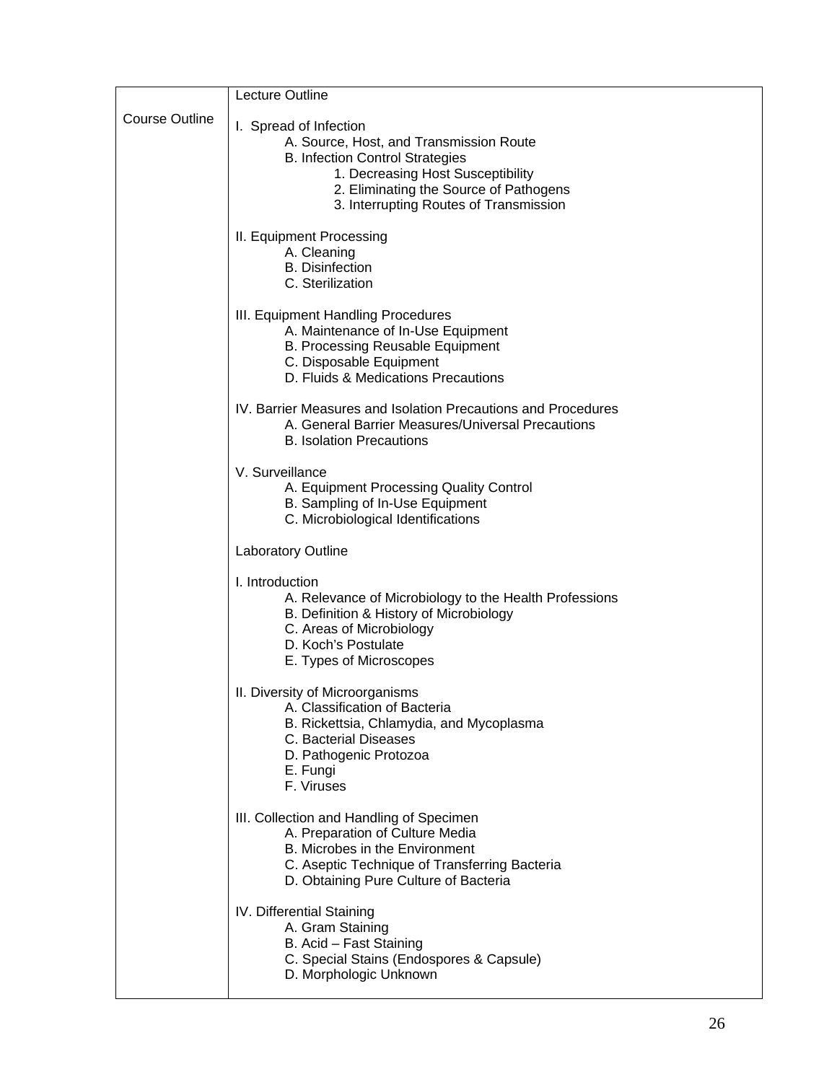|                       | Lecture Outline                                                                                                                                                                                                                      |
|-----------------------|--------------------------------------------------------------------------------------------------------------------------------------------------------------------------------------------------------------------------------------|
| <b>Course Outline</b> | I. Spread of Infection<br>A. Source, Host, and Transmission Route<br><b>B. Infection Control Strategies</b><br>1. Decreasing Host Susceptibility<br>2. Eliminating the Source of Pathogens<br>3. Interrupting Routes of Transmission |
|                       | II. Equipment Processing<br>A. Cleaning<br><b>B.</b> Disinfection<br>C. Sterilization                                                                                                                                                |
|                       | III. Equipment Handling Procedures<br>A. Maintenance of In-Use Equipment<br>B. Processing Reusable Equipment<br>C. Disposable Equipment<br>D. Fluids & Medications Precautions                                                       |
|                       | IV. Barrier Measures and Isolation Precautions and Procedures<br>A. General Barrier Measures/Universal Precautions<br><b>B. Isolation Precautions</b>                                                                                |
|                       | V. Surveillance<br>A. Equipment Processing Quality Control<br>B. Sampling of In-Use Equipment<br>C. Microbiological Identifications                                                                                                  |
|                       | Laboratory Outline                                                                                                                                                                                                                   |
|                       | I. Introduction<br>A. Relevance of Microbiology to the Health Professions<br>B. Definition & History of Microbiology<br>C. Areas of Microbiology<br>D. Koch's Postulate<br>E. Types of Microscopes                                   |
|                       | II. Diversity of Microorganisms<br>A. Classification of Bacteria<br>B. Rickettsia, Chlamydia, and Mycoplasma<br>C. Bacterial Diseases<br>D. Pathogenic Protozoa<br>E. Fungi<br>F. Viruses                                            |
|                       | III. Collection and Handling of Specimen<br>A. Preparation of Culture Media<br>B. Microbes in the Environment<br>C. Aseptic Technique of Transferring Bacteria<br>D. Obtaining Pure Culture of Bacteria                              |
|                       | IV. Differential Staining<br>A. Gram Staining<br>B. Acid - Fast Staining<br>C. Special Stains (Endospores & Capsule)<br>D. Morphologic Unknown                                                                                       |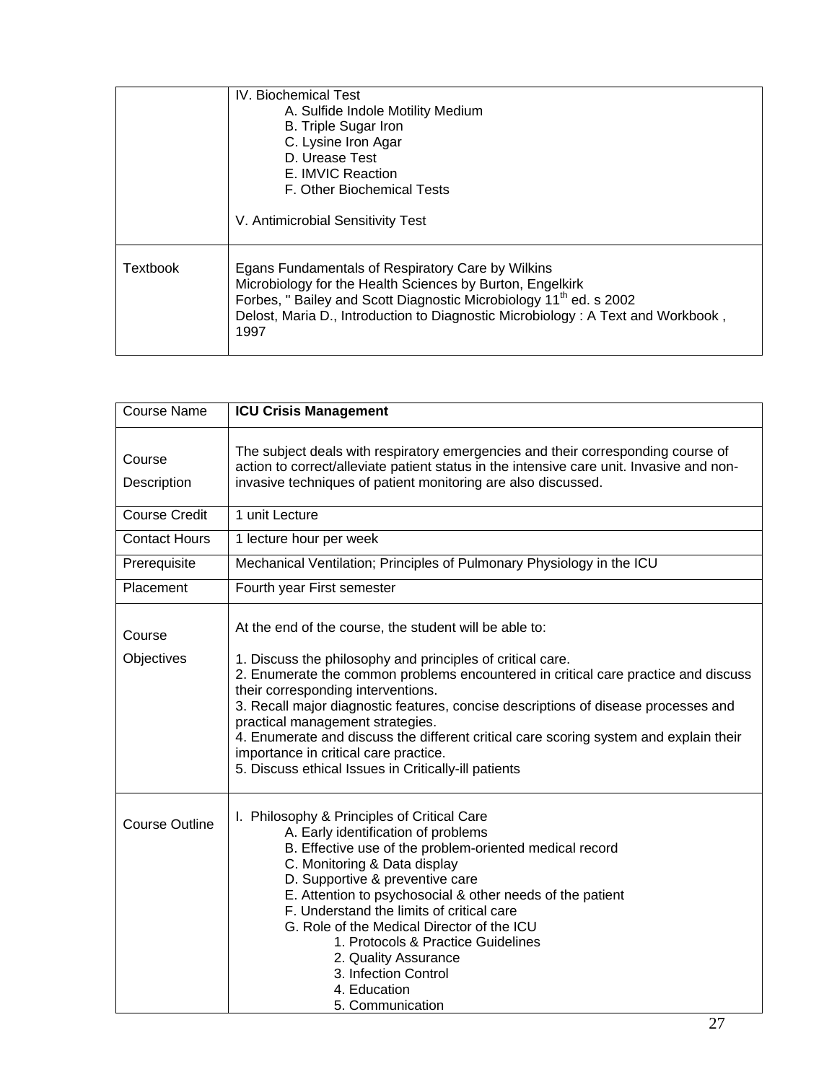|                 | <b>IV.</b> Biochemical Test<br>A. Sulfide Indole Motility Medium<br><b>B.</b> Triple Sugar Iron<br>C. Lysine Iron Agar<br>D. Urease Test<br>E. IMVIC Reaction<br>F. Other Biochemical Tests<br>V. Antimicrobial Sensitivity Test                                                           |
|-----------------|--------------------------------------------------------------------------------------------------------------------------------------------------------------------------------------------------------------------------------------------------------------------------------------------|
| <b>Textbook</b> | Egans Fundamentals of Respiratory Care by Wilkins<br>Microbiology for the Health Sciences by Burton, Engelkirk<br>Forbes, "Bailey and Scott Diagnostic Microbiology 11 <sup>th</sup> ed. s 2002<br>Delost, Maria D., Introduction to Diagnostic Microbiology: A Text and Workbook,<br>1997 |

| <b>Course Name</b>    | <b>ICU Crisis Management</b>                                                                                                                                                                                                                                                                                                                                                                                                                                                                               |
|-----------------------|------------------------------------------------------------------------------------------------------------------------------------------------------------------------------------------------------------------------------------------------------------------------------------------------------------------------------------------------------------------------------------------------------------------------------------------------------------------------------------------------------------|
| Course<br>Description | The subject deals with respiratory emergencies and their corresponding course of<br>action to correct/alleviate patient status in the intensive care unit. Invasive and non-<br>invasive techniques of patient monitoring are also discussed.                                                                                                                                                                                                                                                              |
| <b>Course Credit</b>  | 1 unit Lecture                                                                                                                                                                                                                                                                                                                                                                                                                                                                                             |
| <b>Contact Hours</b>  | 1 lecture hour per week                                                                                                                                                                                                                                                                                                                                                                                                                                                                                    |
| Prerequisite          | Mechanical Ventilation; Principles of Pulmonary Physiology in the ICU                                                                                                                                                                                                                                                                                                                                                                                                                                      |
| Placement             | Fourth year First semester                                                                                                                                                                                                                                                                                                                                                                                                                                                                                 |
| Course                | At the end of the course, the student will be able to:                                                                                                                                                                                                                                                                                                                                                                                                                                                     |
| Objectives            | 1. Discuss the philosophy and principles of critical care.<br>2. Enumerate the common problems encountered in critical care practice and discuss<br>their corresponding interventions.<br>3. Recall major diagnostic features, concise descriptions of disease processes and<br>practical management strategies.<br>4. Enumerate and discuss the different critical care scoring system and explain their<br>importance in critical care practice.<br>5. Discuss ethical Issues in Critically-ill patients |
| <b>Course Outline</b> | I. Philosophy & Principles of Critical Care<br>A. Early identification of problems<br>B. Effective use of the problem-oriented medical record<br>C. Monitoring & Data display<br>D. Supportive & preventive care<br>E. Attention to psychosocial & other needs of the patient<br>F. Understand the limits of critical care<br>G. Role of the Medical Director of the ICU<br>1. Protocols & Practice Guidelines<br>2. Quality Assurance<br>3. Infection Control<br>4. Education<br>5. Communication         |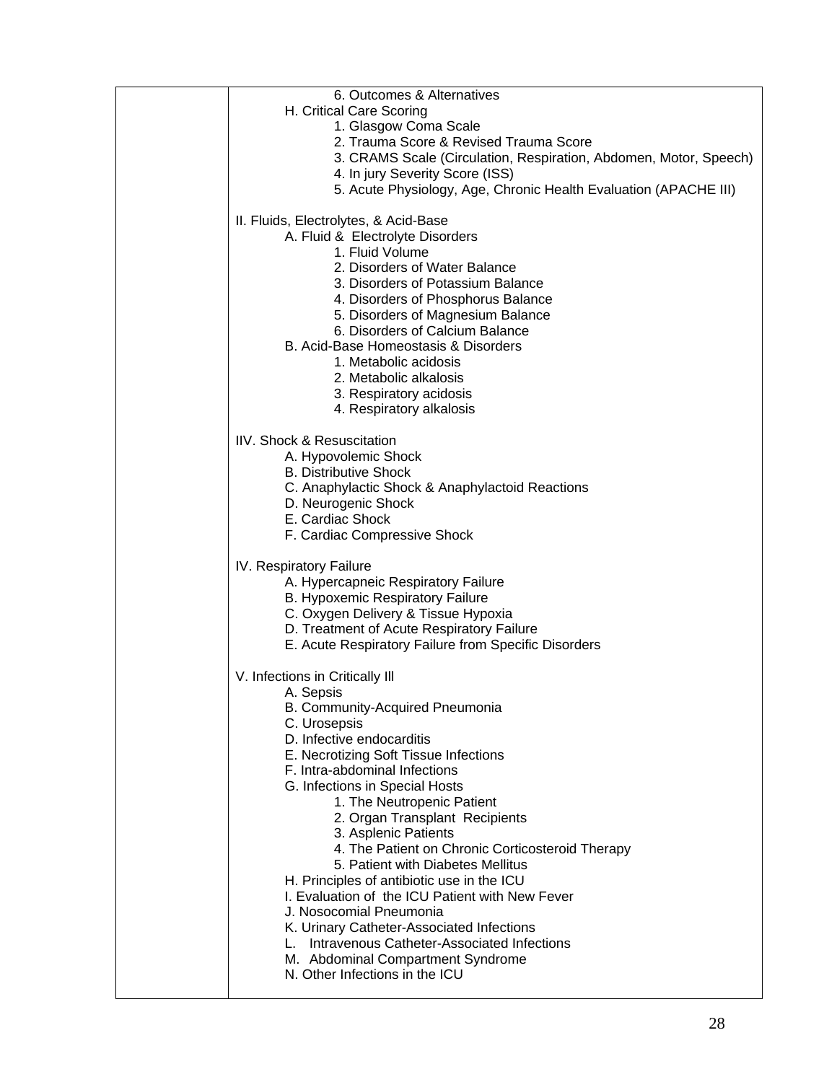| 6. Outcomes & Alternatives                                             |
|------------------------------------------------------------------------|
| H. Critical Care Scoring                                               |
| 1. Glasgow Coma Scale                                                  |
| 2. Trauma Score & Revised Trauma Score                                 |
| 3. CRAMS Scale (Circulation, Respiration, Abdomen, Motor, Speech)      |
| 4. In jury Severity Score (ISS)                                        |
| 5. Acute Physiology, Age, Chronic Health Evaluation (APACHE III)       |
|                                                                        |
| II. Fluids, Electrolytes, & Acid-Base                                  |
| A. Fluid & Electrolyte Disorders                                       |
| 1. Fluid Volume                                                        |
| 2. Disorders of Water Balance                                          |
| 3. Disorders of Potassium Balance                                      |
| 4. Disorders of Phosphorus Balance                                     |
| 5. Disorders of Magnesium Balance                                      |
| 6. Disorders of Calcium Balance                                        |
| B. Acid-Base Homeostasis & Disorders                                   |
| 1. Metabolic acidosis                                                  |
| 2. Metabolic alkalosis                                                 |
| 3. Respiratory acidosis                                                |
| 4. Respiratory alkalosis                                               |
| IIV. Shock & Resuscitation                                             |
| A. Hypovolemic Shock                                                   |
| <b>B. Distributive Shock</b>                                           |
| C. Anaphylactic Shock & Anaphylactoid Reactions                        |
| D. Neurogenic Shock                                                    |
| E. Cardiac Shock                                                       |
| F. Cardiac Compressive Shock                                           |
|                                                                        |
| IV. Respiratory Failure                                                |
| A. Hypercapneic Respiratory Failure                                    |
| B. Hypoxemic Respiratory Failure                                       |
| C. Oxygen Delivery & Tissue Hypoxia                                    |
| D. Treatment of Acute Respiratory Failure                              |
| E. Acute Respiratory Failure from Specific Disorders                   |
|                                                                        |
| V. Infections in Critically III                                        |
| A. Sepsis                                                              |
| B. Community-Acquired Pneumonia                                        |
| C. Urosepsis<br>D. Infective endocarditis                              |
|                                                                        |
| E. Necrotizing Soft Tissue Infections<br>F. Intra-abdominal Infections |
| G. Infections in Special Hosts                                         |
| 1. The Neutropenic Patient                                             |
| 2. Organ Transplant Recipients                                         |
| 3. Asplenic Patients                                                   |
| 4. The Patient on Chronic Corticosteroid Therapy                       |
| 5. Patient with Diabetes Mellitus                                      |
| H. Principles of antibiotic use in the ICU                             |
| I. Evaluation of the ICU Patient with New Fever                        |
| J. Nosocomial Pneumonia                                                |
| K. Urinary Catheter-Associated Infections                              |
| Intravenous Catheter-Associated Infections                             |
| M. Abdominal Compartment Syndrome                                      |
| N. Other Infections in the ICU                                         |
|                                                                        |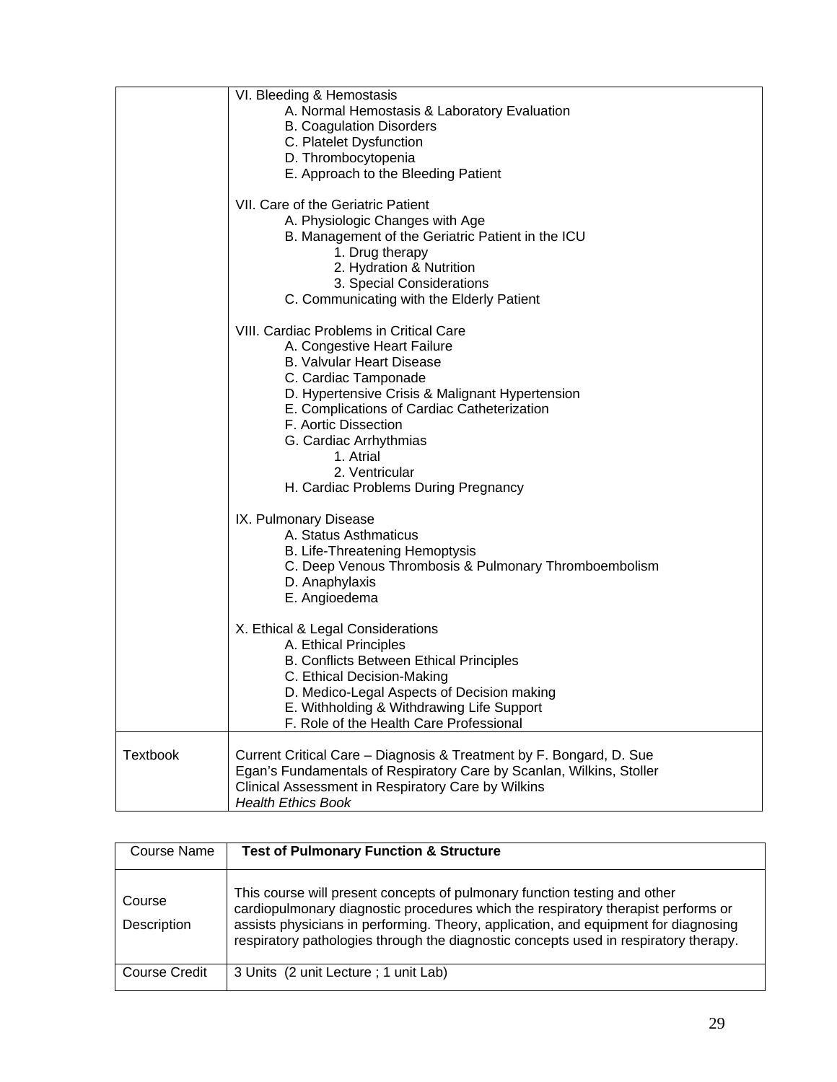|                 | VI. Bleeding & Hemostasis                                            |
|-----------------|----------------------------------------------------------------------|
|                 | A. Normal Hemostasis & Laboratory Evaluation                         |
|                 | <b>B. Coagulation Disorders</b>                                      |
|                 | C. Platelet Dysfunction                                              |
|                 | D. Thrombocytopenia                                                  |
|                 | E. Approach to the Bleeding Patient                                  |
|                 |                                                                      |
|                 | VII. Care of the Geriatric Patient                                   |
|                 | A. Physiologic Changes with Age                                      |
|                 | B. Management of the Geriatric Patient in the ICU                    |
|                 | 1. Drug therapy                                                      |
|                 | 2. Hydration & Nutrition                                             |
|                 |                                                                      |
|                 | 3. Special Considerations                                            |
|                 | C. Communicating with the Elderly Patient                            |
|                 | VIII. Cardiac Problems in Critical Care                              |
|                 | A. Congestive Heart Failure                                          |
|                 | <b>B. Valvular Heart Disease</b>                                     |
|                 |                                                                      |
|                 | C. Cardiac Tamponade                                                 |
|                 | D. Hypertensive Crisis & Malignant Hypertension                      |
|                 | E. Complications of Cardiac Catheterization                          |
|                 | F. Aortic Dissection                                                 |
|                 | G. Cardiac Arrhythmias                                               |
|                 | 1. Atrial                                                            |
|                 | 2. Ventricular                                                       |
|                 | H. Cardiac Problems During Pregnancy                                 |
|                 | IX. Pulmonary Disease                                                |
|                 | A. Status Asthmaticus                                                |
|                 |                                                                      |
|                 | B. Life-Threatening Hemoptysis                                       |
|                 | C. Deep Venous Thrombosis & Pulmonary Thromboembolism                |
|                 | D. Anaphylaxis                                                       |
|                 | E. Angioedema                                                        |
|                 | X. Ethical & Legal Considerations                                    |
|                 | A. Ethical Principles                                                |
|                 |                                                                      |
|                 | B. Conflicts Between Ethical Principles                              |
|                 | C. Ethical Decision-Making                                           |
|                 | D. Medico-Legal Aspects of Decision making                           |
|                 | E. Withholding & Withdrawing Life Support                            |
|                 | F. Role of the Health Care Professional                              |
| <b>Textbook</b> | Current Critical Care - Diagnosis & Treatment by F. Bongard, D. Sue  |
|                 |                                                                      |
|                 | Egan's Fundamentals of Respiratory Care by Scanlan, Wilkins, Stoller |
|                 | Clinical Assessment in Respiratory Care by Wilkins                   |
|                 | <b>Health Ethics Book</b>                                            |

| Course Name           | <b>Test of Pulmonary Function &amp; Structure</b>                                                                                                                                                                                                                                                                                             |
|-----------------------|-----------------------------------------------------------------------------------------------------------------------------------------------------------------------------------------------------------------------------------------------------------------------------------------------------------------------------------------------|
| Course<br>Description | This course will present concepts of pulmonary function testing and other<br>cardiopulmonary diagnostic procedures which the respiratory therapist performs or<br>assists physicians in performing. Theory, application, and equipment for diagnosing<br>respiratory pathologies through the diagnostic concepts used in respiratory therapy. |
| Course Credit         | 3 Units (2 unit Lecture; 1 unit Lab)                                                                                                                                                                                                                                                                                                          |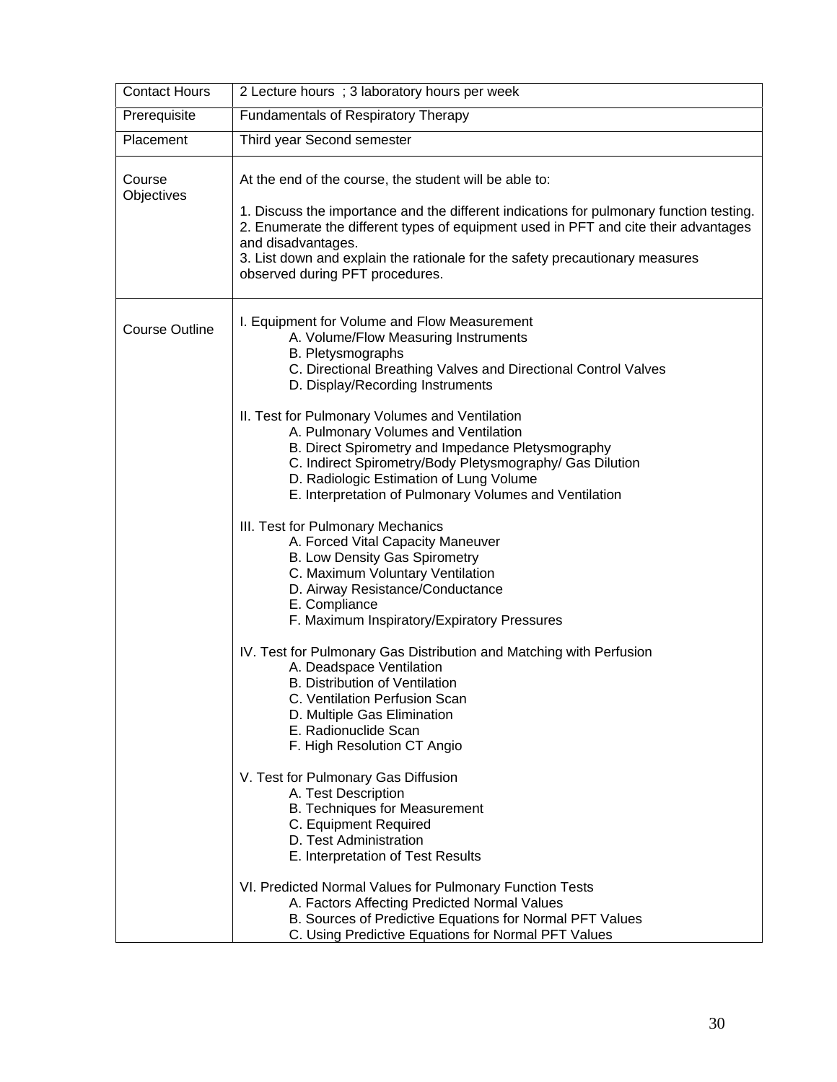| 2 Lecture hours ; 3 laboratory hours per week                                                                                                                                                                                                                                                                                                                                                                                                                                                                                                                                                                                                                                                                                                                                                                                                                                                                                                                                                                                                                                                                                                                                                                                                                                                                                                                                                                                                                               |
|-----------------------------------------------------------------------------------------------------------------------------------------------------------------------------------------------------------------------------------------------------------------------------------------------------------------------------------------------------------------------------------------------------------------------------------------------------------------------------------------------------------------------------------------------------------------------------------------------------------------------------------------------------------------------------------------------------------------------------------------------------------------------------------------------------------------------------------------------------------------------------------------------------------------------------------------------------------------------------------------------------------------------------------------------------------------------------------------------------------------------------------------------------------------------------------------------------------------------------------------------------------------------------------------------------------------------------------------------------------------------------------------------------------------------------------------------------------------------------|
| Fundamentals of Respiratory Therapy                                                                                                                                                                                                                                                                                                                                                                                                                                                                                                                                                                                                                                                                                                                                                                                                                                                                                                                                                                                                                                                                                                                                                                                                                                                                                                                                                                                                                                         |
| Third year Second semester                                                                                                                                                                                                                                                                                                                                                                                                                                                                                                                                                                                                                                                                                                                                                                                                                                                                                                                                                                                                                                                                                                                                                                                                                                                                                                                                                                                                                                                  |
| At the end of the course, the student will be able to:<br>1. Discuss the importance and the different indications for pulmonary function testing.<br>2. Enumerate the different types of equipment used in PFT and cite their advantages<br>and disadvantages.<br>3. List down and explain the rationale for the safety precautionary measures<br>observed during PFT procedures.                                                                                                                                                                                                                                                                                                                                                                                                                                                                                                                                                                                                                                                                                                                                                                                                                                                                                                                                                                                                                                                                                           |
| I. Equipment for Volume and Flow Measurement<br>A. Volume/Flow Measuring Instruments<br>B. Pletysmographs<br>C. Directional Breathing Valves and Directional Control Valves<br>D. Display/Recording Instruments<br>II. Test for Pulmonary Volumes and Ventilation<br>A. Pulmonary Volumes and Ventilation<br>B. Direct Spirometry and Impedance Pletysmography<br>C. Indirect Spirometry/Body Pletysmography/ Gas Dilution<br>D. Radiologic Estimation of Lung Volume<br>E. Interpretation of Pulmonary Volumes and Ventilation<br>III. Test for Pulmonary Mechanics<br>A. Forced Vital Capacity Maneuver<br>B. Low Density Gas Spirometry<br>C. Maximum Voluntary Ventilation<br>D. Airway Resistance/Conductance<br>E. Compliance<br>F. Maximum Inspiratory/Expiratory Pressures<br>IV. Test for Pulmonary Gas Distribution and Matching with Perfusion<br>A. Deadspace Ventilation<br><b>B. Distribution of Ventilation</b><br>C. Ventilation Perfusion Scan<br>D. Multiple Gas Elimination<br>E. Radionuclide Scan<br>F. High Resolution CT Angio<br>V. Test for Pulmonary Gas Diffusion<br>A. Test Description<br>B. Techniques for Measurement<br>C. Equipment Required<br>D. Test Administration<br>E. Interpretation of Test Results<br>VI. Predicted Normal Values for Pulmonary Function Tests<br>A. Factors Affecting Predicted Normal Values<br>B. Sources of Predictive Equations for Normal PFT Values<br>C. Using Predictive Equations for Normal PFT Values |
|                                                                                                                                                                                                                                                                                                                                                                                                                                                                                                                                                                                                                                                                                                                                                                                                                                                                                                                                                                                                                                                                                                                                                                                                                                                                                                                                                                                                                                                                             |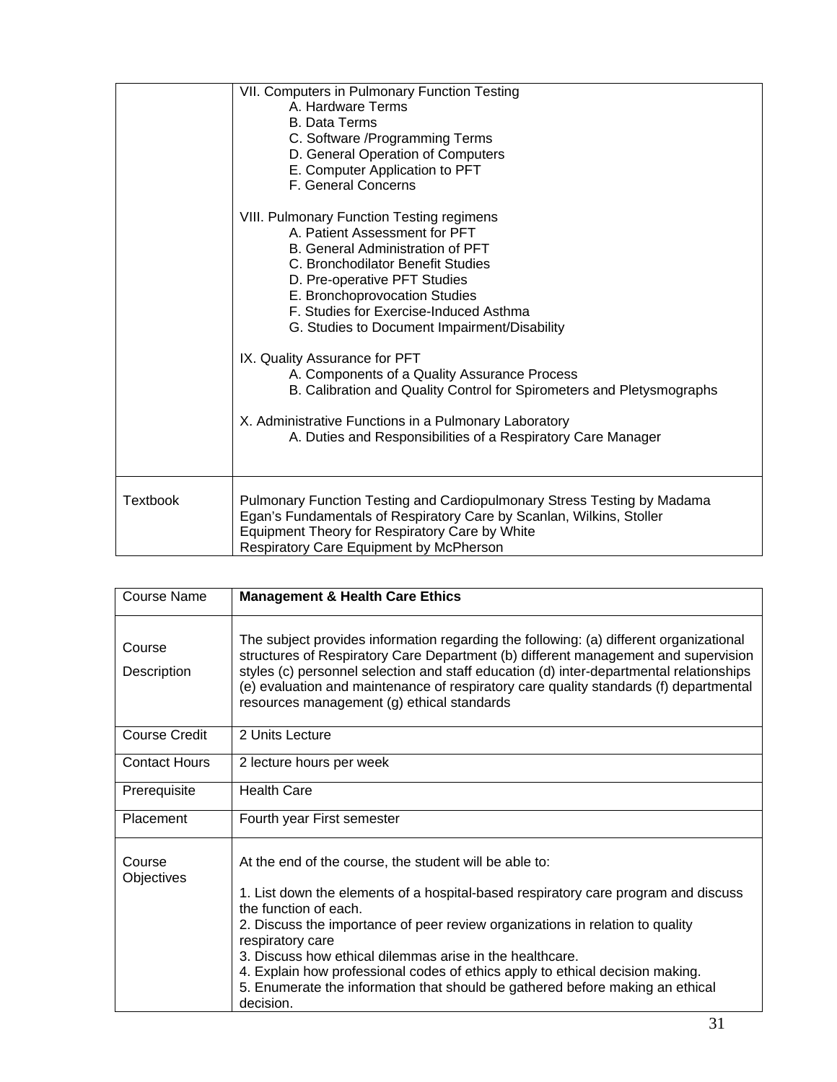|                 | VII. Computers in Pulmonary Function Testing<br>A. Hardware Terms<br><b>B. Data Terms</b><br>C. Software / Programming Terms<br>D. General Operation of Computers<br>E. Computer Application to PFT<br>F. General Concerns<br><b>VIII. Pulmonary Function Testing regimens</b><br>A. Patient Assessment for PFT<br>B. General Administration of PFT<br>C. Bronchodilator Benefit Studies<br>D. Pre-operative PFT Studies<br>E. Bronchoprovocation Studies<br>F. Studies for Exercise-Induced Asthma<br>G. Studies to Document Impairment/Disability<br>IX. Quality Assurance for PFT<br>A. Components of a Quality Assurance Process<br>B. Calibration and Quality Control for Spirometers and Pletysmographs<br>X. Administrative Functions in a Pulmonary Laboratory |
|-----------------|------------------------------------------------------------------------------------------------------------------------------------------------------------------------------------------------------------------------------------------------------------------------------------------------------------------------------------------------------------------------------------------------------------------------------------------------------------------------------------------------------------------------------------------------------------------------------------------------------------------------------------------------------------------------------------------------------------------------------------------------------------------------|
| <b>Textbook</b> | A. Duties and Responsibilities of a Respiratory Care Manager<br>Pulmonary Function Testing and Cardiopulmonary Stress Testing by Madama                                                                                                                                                                                                                                                                                                                                                                                                                                                                                                                                                                                                                                |
|                 | Egan's Fundamentals of Respiratory Care by Scanlan, Wilkins, Stoller<br>Equipment Theory for Respiratory Care by White<br>Respiratory Care Equipment by McPherson                                                                                                                                                                                                                                                                                                                                                                                                                                                                                                                                                                                                      |

| <b>Course Name</b>    | <b>Management &amp; Health Care Ethics</b>                                                                                                                                                                                                                                                                                                                                                                     |
|-----------------------|----------------------------------------------------------------------------------------------------------------------------------------------------------------------------------------------------------------------------------------------------------------------------------------------------------------------------------------------------------------------------------------------------------------|
| Course<br>Description | The subject provides information regarding the following: (a) different organizational<br>structures of Respiratory Care Department (b) different management and supervision<br>styles (c) personnel selection and staff education (d) inter-departmental relationships<br>(e) evaluation and maintenance of respiratory care quality standards (f) departmental<br>resources management (g) ethical standards |
| Course Credit         | 2 Units Lecture                                                                                                                                                                                                                                                                                                                                                                                                |
| <b>Contact Hours</b>  | 2 lecture hours per week                                                                                                                                                                                                                                                                                                                                                                                       |
| Prerequisite          | <b>Health Care</b>                                                                                                                                                                                                                                                                                                                                                                                             |
| Placement             | Fourth year First semester                                                                                                                                                                                                                                                                                                                                                                                     |
| Course<br>Objectives  | At the end of the course, the student will be able to:<br>1. List down the elements of a hospital-based respiratory care program and discuss<br>the function of each.<br>2. Discuss the importance of peer review organizations in relation to quality<br>respiratory care<br>3. Discuss how ethical dilemmas arise in the healthcare.                                                                         |
|                       | 4. Explain how professional codes of ethics apply to ethical decision making.<br>5. Enumerate the information that should be gathered before making an ethical<br>decision.                                                                                                                                                                                                                                    |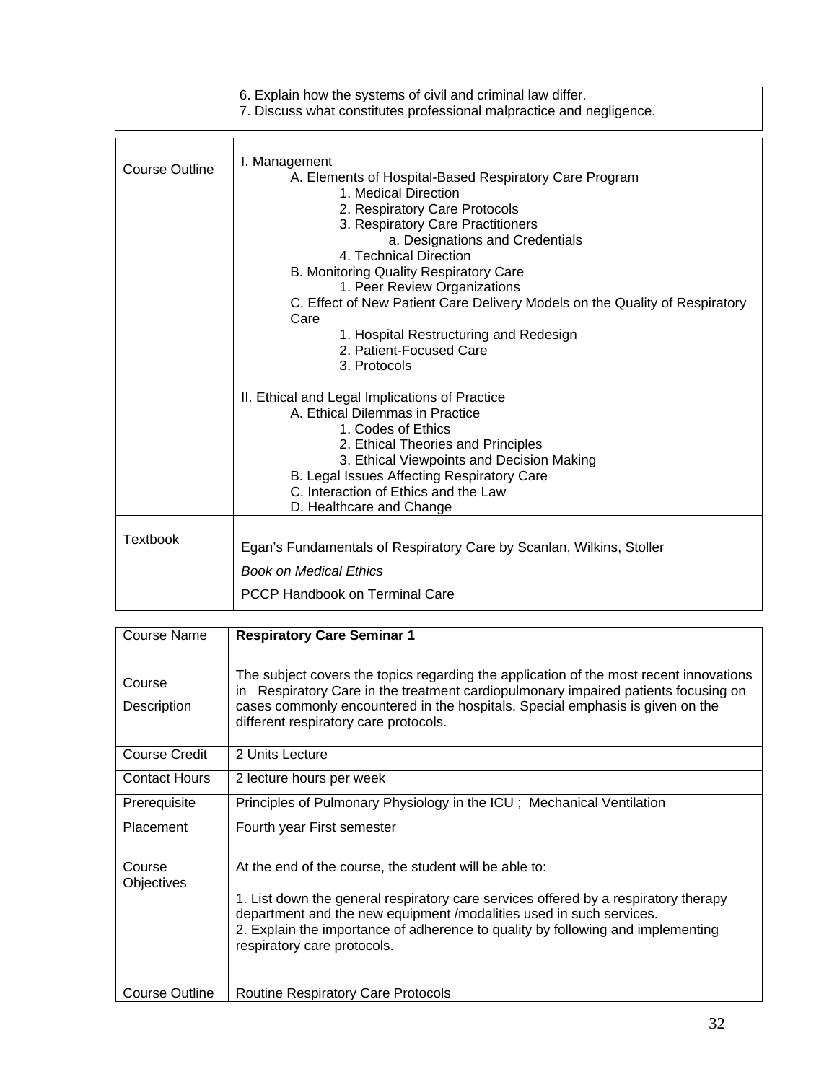|                       | 6. Explain how the systems of civil and criminal law differ.<br>7. Discuss what constitutes professional malpractice and negligence.                                                                                                                                                                                                                                                                                                                                                                                                                                                                                                                                                                                                                                                                     |
|-----------------------|----------------------------------------------------------------------------------------------------------------------------------------------------------------------------------------------------------------------------------------------------------------------------------------------------------------------------------------------------------------------------------------------------------------------------------------------------------------------------------------------------------------------------------------------------------------------------------------------------------------------------------------------------------------------------------------------------------------------------------------------------------------------------------------------------------|
| <b>Course Outline</b> | I. Management<br>A. Elements of Hospital-Based Respiratory Care Program<br>1. Medical Direction<br>2. Respiratory Care Protocols<br>3. Respiratory Care Practitioners<br>a. Designations and Credentials<br>4. Technical Direction<br>B. Monitoring Quality Respiratory Care<br>1. Peer Review Organizations<br>C. Effect of New Patient Care Delivery Models on the Quality of Respiratory<br>Care<br>1. Hospital Restructuring and Redesign<br>2. Patient-Focused Care<br>3. Protocols<br>II. Ethical and Legal Implications of Practice<br>A. Ethical Dilemmas in Practice<br>1. Codes of Ethics<br>2. Ethical Theories and Principles<br>3. Ethical Viewpoints and Decision Making<br>B. Legal Issues Affecting Respiratory Care<br>C. Interaction of Ethics and the Law<br>D. Healthcare and Change |
| <b>Textbook</b>       | Egan's Fundamentals of Respiratory Care by Scanlan, Wilkins, Stoller                                                                                                                                                                                                                                                                                                                                                                                                                                                                                                                                                                                                                                                                                                                                     |
|                       | <b>Book on Medical Ethics</b><br><b>PCCP Handbook on Terminal Care</b>                                                                                                                                                                                                                                                                                                                                                                                                                                                                                                                                                                                                                                                                                                                                   |

| Course Name                 | <b>Respiratory Care Seminar 1</b>                                                                                                                                                                                                                                                                                                      |
|-----------------------------|----------------------------------------------------------------------------------------------------------------------------------------------------------------------------------------------------------------------------------------------------------------------------------------------------------------------------------------|
| Course<br>Description       | The subject covers the topics regarding the application of the most recent innovations<br>Respiratory Care in the treatment cardiopulmonary impaired patients focusing on<br>in.<br>cases commonly encountered in the hospitals. Special emphasis is given on the<br>different respiratory care protocols.                             |
| Course Credit               | 2 Units Lecture                                                                                                                                                                                                                                                                                                                        |
| <b>Contact Hours</b>        | 2 lecture hours per week                                                                                                                                                                                                                                                                                                               |
| Prerequisite                | Principles of Pulmonary Physiology in the ICU; Mechanical Ventilation                                                                                                                                                                                                                                                                  |
| Placement                   | Fourth year First semester                                                                                                                                                                                                                                                                                                             |
| Course<br><b>Objectives</b> | At the end of the course, the student will be able to:<br>1. List down the general respiratory care services offered by a respiratory therapy<br>department and the new equipment /modalities used in such services.<br>2. Explain the importance of adherence to quality by following and implementing<br>respiratory care protocols. |
| Course Outline              | <b>Routine Respiratory Care Protocols</b>                                                                                                                                                                                                                                                                                              |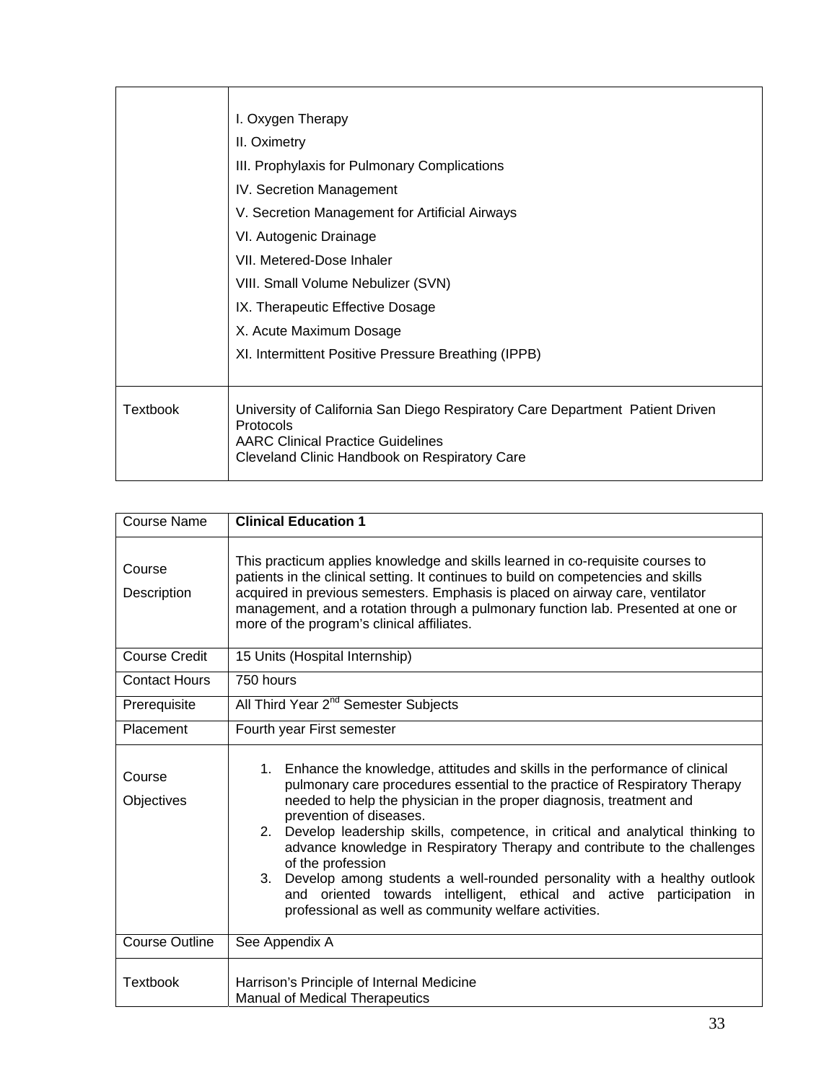|                 | I. Oxygen Therapy                                                                                                                                                                              |
|-----------------|------------------------------------------------------------------------------------------------------------------------------------------------------------------------------------------------|
|                 | II. Oximetry                                                                                                                                                                                   |
|                 | III. Prophylaxis for Pulmonary Complications                                                                                                                                                   |
|                 | IV. Secretion Management                                                                                                                                                                       |
|                 | V. Secretion Management for Artificial Airways                                                                                                                                                 |
|                 | VI. Autogenic Drainage                                                                                                                                                                         |
|                 | VII. Metered-Dose Inhaler                                                                                                                                                                      |
|                 | VIII. Small Volume Nebulizer (SVN)                                                                                                                                                             |
|                 | IX. Therapeutic Effective Dosage                                                                                                                                                               |
|                 | X. Acute Maximum Dosage                                                                                                                                                                        |
|                 | XI. Intermittent Positive Pressure Breathing (IPPB)                                                                                                                                            |
|                 |                                                                                                                                                                                                |
| <b>Textbook</b> | University of California San Diego Respiratory Care Department Patient Driven<br><b>Protocols</b><br><b>AARC Clinical Practice Guidelines</b><br>Cleveland Clinic Handbook on Respiratory Care |

| <b>Course Name</b>    | <b>Clinical Education 1</b>                                                                                                                                                                                                                                                                                                                                                                                                                                                                                                                                                                                                                                                |
|-----------------------|----------------------------------------------------------------------------------------------------------------------------------------------------------------------------------------------------------------------------------------------------------------------------------------------------------------------------------------------------------------------------------------------------------------------------------------------------------------------------------------------------------------------------------------------------------------------------------------------------------------------------------------------------------------------------|
| Course<br>Description | This practicum applies knowledge and skills learned in co-requisite courses to<br>patients in the clinical setting. It continues to build on competencies and skills<br>acquired in previous semesters. Emphasis is placed on airway care, ventilator<br>management, and a rotation through a pulmonary function lab. Presented at one or<br>more of the program's clinical affiliates.                                                                                                                                                                                                                                                                                    |
| <b>Course Credit</b>  | 15 Units (Hospital Internship)                                                                                                                                                                                                                                                                                                                                                                                                                                                                                                                                                                                                                                             |
| <b>Contact Hours</b>  | 750 hours                                                                                                                                                                                                                                                                                                                                                                                                                                                                                                                                                                                                                                                                  |
| Prerequisite          | All Third Year 2 <sup>nd</sup> Semester Subjects                                                                                                                                                                                                                                                                                                                                                                                                                                                                                                                                                                                                                           |
| Placement             | Fourth year First semester                                                                                                                                                                                                                                                                                                                                                                                                                                                                                                                                                                                                                                                 |
| Course<br>Objectives  | 1. Enhance the knowledge, attitudes and skills in the performance of clinical<br>pulmonary care procedures essential to the practice of Respiratory Therapy<br>needed to help the physician in the proper diagnosis, treatment and<br>prevention of diseases.<br>Develop leadership skills, competence, in critical and analytical thinking to<br>2.<br>advance knowledge in Respiratory Therapy and contribute to the challenges<br>of the profession<br>Develop among students a well-rounded personality with a healthy outlook<br>3.<br>and oriented towards intelligent, ethical and active participation in<br>professional as well as community welfare activities. |
| <b>Course Outline</b> | See Appendix A                                                                                                                                                                                                                                                                                                                                                                                                                                                                                                                                                                                                                                                             |
| Textbook              | Harrison's Principle of Internal Medicine<br><b>Manual of Medical Therapeutics</b>                                                                                                                                                                                                                                                                                                                                                                                                                                                                                                                                                                                         |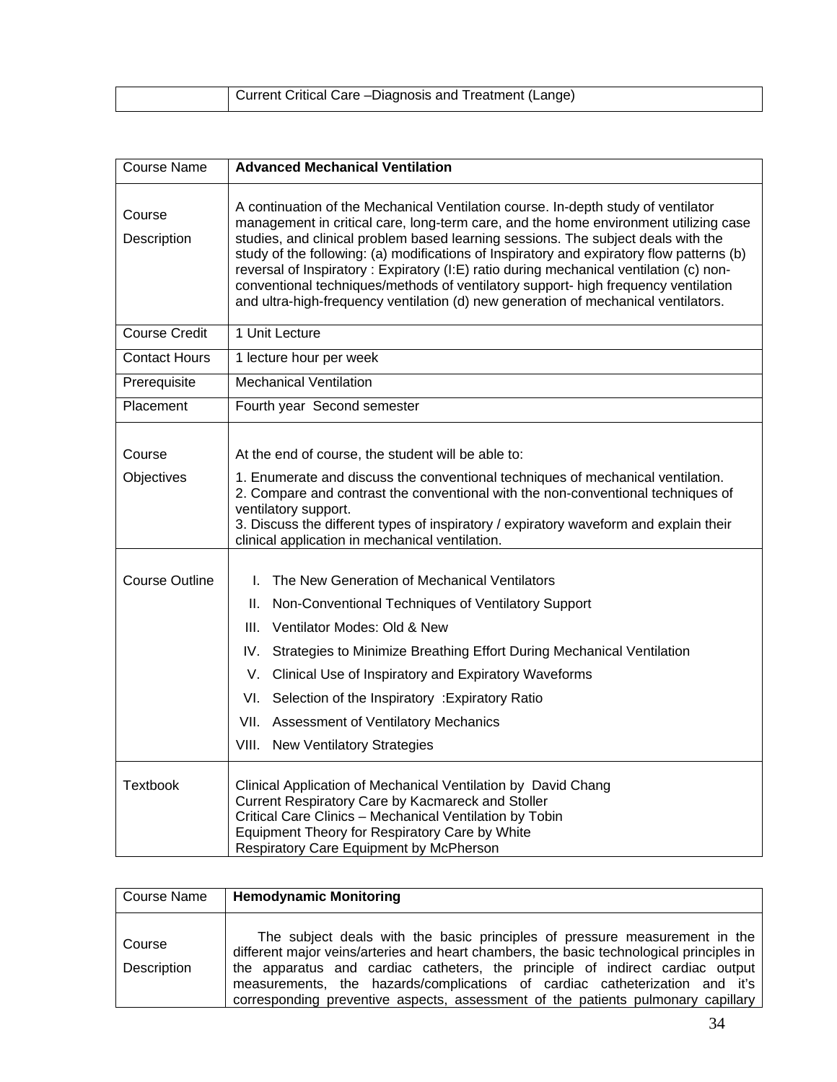| Current Critical Care - Diagnosis and Treatment (Lange) |
|---------------------------------------------------------|

| <b>Course Name</b>    | <b>Advanced Mechanical Ventilation</b>                                                                                                                                                                                                                                                                                                                                                                                                                                                                                                                                                                                             |
|-----------------------|------------------------------------------------------------------------------------------------------------------------------------------------------------------------------------------------------------------------------------------------------------------------------------------------------------------------------------------------------------------------------------------------------------------------------------------------------------------------------------------------------------------------------------------------------------------------------------------------------------------------------------|
| Course<br>Description | A continuation of the Mechanical Ventilation course. In-depth study of ventilator<br>management in critical care, long-term care, and the home environment utilizing case<br>studies, and clinical problem based learning sessions. The subject deals with the<br>study of the following: (a) modifications of Inspiratory and expiratory flow patterns (b)<br>reversal of Inspiratory : Expiratory (I:E) ratio during mechanical ventilation (c) non-<br>conventional techniques/methods of ventilatory support- high frequency ventilation<br>and ultra-high-frequency ventilation (d) new generation of mechanical ventilators. |
| <b>Course Credit</b>  | 1 Unit Lecture                                                                                                                                                                                                                                                                                                                                                                                                                                                                                                                                                                                                                     |
| <b>Contact Hours</b>  | 1 lecture hour per week                                                                                                                                                                                                                                                                                                                                                                                                                                                                                                                                                                                                            |
| Prerequisite          | <b>Mechanical Ventilation</b>                                                                                                                                                                                                                                                                                                                                                                                                                                                                                                                                                                                                      |
| Placement             | Fourth year Second semester                                                                                                                                                                                                                                                                                                                                                                                                                                                                                                                                                                                                        |
| Course<br>Objectives  | At the end of course, the student will be able to:<br>1. Enumerate and discuss the conventional techniques of mechanical ventilation.<br>2. Compare and contrast the conventional with the non-conventional techniques of<br>ventilatory support.<br>3. Discuss the different types of inspiratory / expiratory waveform and explain their<br>clinical application in mechanical ventilation.                                                                                                                                                                                                                                      |
| <b>Course Outline</b> | The New Generation of Mechanical Ventilators<br>L.<br>Non-Conventional Techniques of Ventilatory Support<br>Ш.<br>Ventilator Modes: Old & New<br>III.<br>Strategies to Minimize Breathing Effort During Mechanical Ventilation<br>IV.<br>Clinical Use of Inspiratory and Expiratory Waveforms<br>V.<br>VI.<br>Selection of the Inspiratory : Expiratory Ratio<br><b>Assessment of Ventilatory Mechanics</b><br>VII.<br>VIII. New Ventilatory Strategies                                                                                                                                                                            |
| <b>Textbook</b>       | Clinical Application of Mechanical Ventilation by David Chang<br>Current Respiratory Care by Kacmareck and Stoller<br>Critical Care Clinics - Mechanical Ventilation by Tobin<br>Equipment Theory for Respiratory Care by White<br>Respiratory Care Equipment by McPherson                                                                                                                                                                                                                                                                                                                                                         |

| Course Name           | <b>Hemodynamic Monitoring</b>                                                                                                                                                                                                                                                                                                                                                                                              |
|-----------------------|----------------------------------------------------------------------------------------------------------------------------------------------------------------------------------------------------------------------------------------------------------------------------------------------------------------------------------------------------------------------------------------------------------------------------|
| Course<br>Description | The subject deals with the basic principles of pressure measurement in the<br>different major veins/arteries and heart chambers, the basic technological principles in<br>the apparatus and cardiac catheters, the principle of indirect cardiac output<br>measurements, the hazards/complications of cardiac catheterization and it's<br>corresponding preventive aspects, assessment of the patients pulmonary capillary |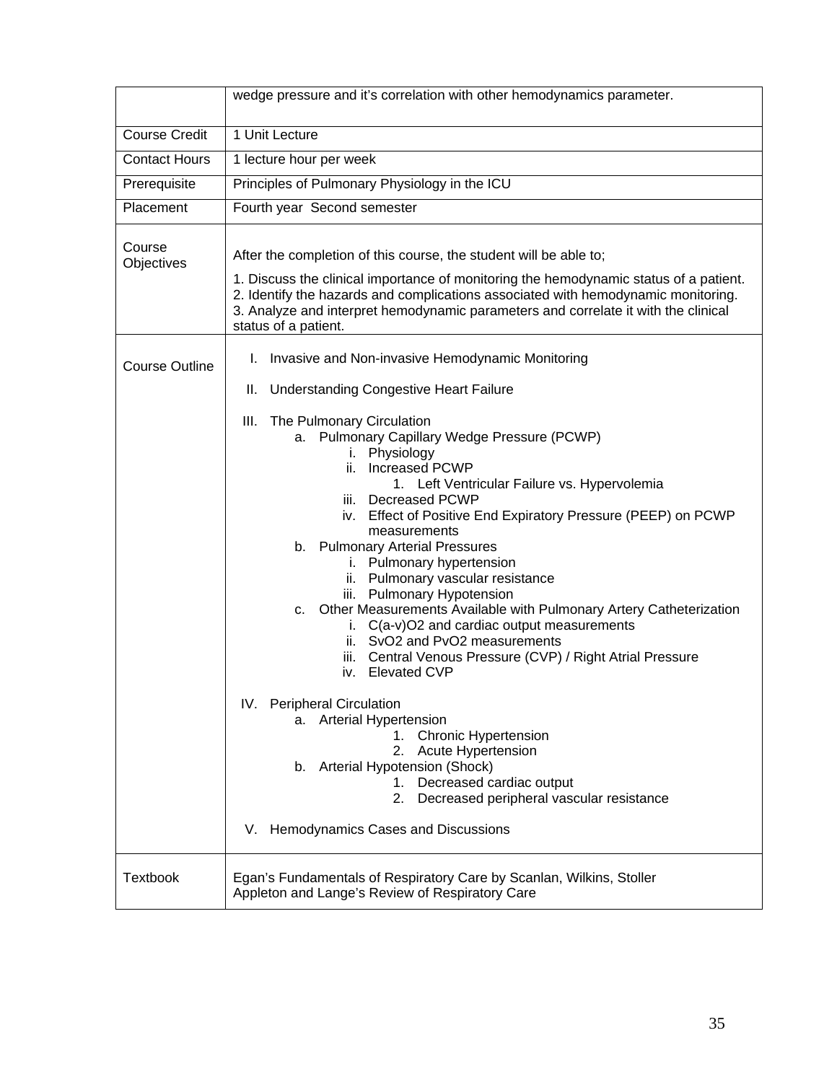|                       | wedge pressure and it's correlation with other hemodynamics parameter.                                                                                                                                                                                                                                                                                                                                                                                                                                                                                                                                                                                                    |
|-----------------------|---------------------------------------------------------------------------------------------------------------------------------------------------------------------------------------------------------------------------------------------------------------------------------------------------------------------------------------------------------------------------------------------------------------------------------------------------------------------------------------------------------------------------------------------------------------------------------------------------------------------------------------------------------------------------|
| <b>Course Credit</b>  | 1 Unit Lecture                                                                                                                                                                                                                                                                                                                                                                                                                                                                                                                                                                                                                                                            |
| <b>Contact Hours</b>  | 1 lecture hour per week                                                                                                                                                                                                                                                                                                                                                                                                                                                                                                                                                                                                                                                   |
| Prerequisite          | Principles of Pulmonary Physiology in the ICU                                                                                                                                                                                                                                                                                                                                                                                                                                                                                                                                                                                                                             |
| Placement             | Fourth year Second semester                                                                                                                                                                                                                                                                                                                                                                                                                                                                                                                                                                                                                                               |
| Course<br>Objectives  | After the completion of this course, the student will be able to;<br>1. Discuss the clinical importance of monitoring the hemodynamic status of a patient.<br>2. Identify the hazards and complications associated with hemodynamic monitoring.<br>3. Analyze and interpret hemodynamic parameters and correlate it with the clinical<br>status of a patient.                                                                                                                                                                                                                                                                                                             |
| <b>Course Outline</b> | Invasive and Non-invasive Hemodynamic Monitoring<br>L.<br><b>Understanding Congestive Heart Failure</b><br>Ш.                                                                                                                                                                                                                                                                                                                                                                                                                                                                                                                                                             |
|                       | The Pulmonary Circulation<br>III.<br>a. Pulmonary Capillary Wedge Pressure (PCWP)<br>i. Physiology<br><b>Increased PCWP</b><br>ii.<br>1. Left Ventricular Failure vs. Hypervolemia<br>iii. Decreased PCWP<br>iv. Effect of Positive End Expiratory Pressure (PEEP) on PCWP<br>measurements<br>b. Pulmonary Arterial Pressures<br>i. Pulmonary hypertension<br>ii. Pulmonary vascular resistance<br>iii. Pulmonary Hypotension<br>c. Other Measurements Available with Pulmonary Artery Catheterization<br>i. C(a-v)O2 and cardiac output measurements<br>ii. SvO2 and PvO2 measurements<br>iii. Central Venous Pressure (CVP) / Right Atrial Pressure<br>iv. Elevated CVP |
|                       | IV. Peripheral Circulation<br>a. Arterial Hypertension<br>1. Chronic Hypertension<br>2.<br>Acute Hypertension<br>b. Arterial Hypotension (Shock)<br>Decreased cardiac output<br>1.<br>Decreased peripheral vascular resistance<br>2.<br>V. Hemodynamics Cases and Discussions                                                                                                                                                                                                                                                                                                                                                                                             |
| <b>Textbook</b>       | Egan's Fundamentals of Respiratory Care by Scanlan, Wilkins, Stoller<br>Appleton and Lange's Review of Respiratory Care                                                                                                                                                                                                                                                                                                                                                                                                                                                                                                                                                   |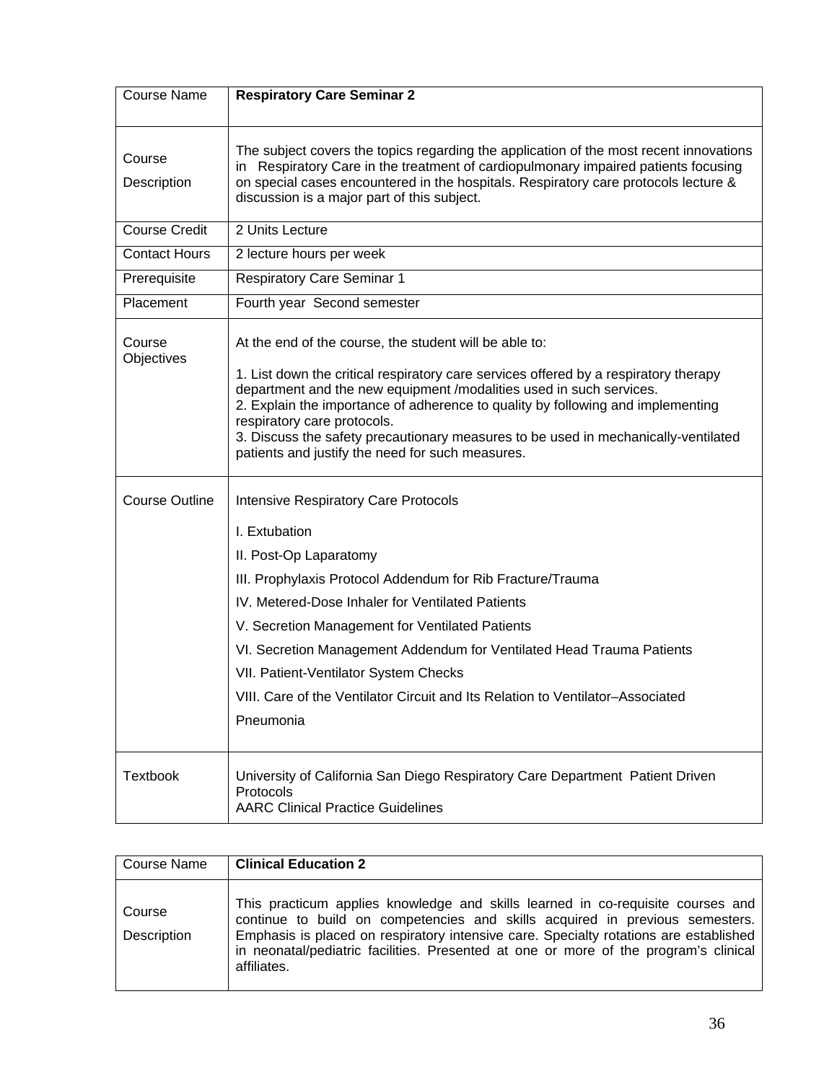| <b>Course Name</b>    | <b>Respiratory Care Seminar 2</b>                                                                                                                                                                                                                                                                                                                                                                                       |
|-----------------------|-------------------------------------------------------------------------------------------------------------------------------------------------------------------------------------------------------------------------------------------------------------------------------------------------------------------------------------------------------------------------------------------------------------------------|
| Course                | The subject covers the topics regarding the application of the most recent innovations                                                                                                                                                                                                                                                                                                                                  |
| Description           | Respiratory Care in the treatment of cardiopulmonary impaired patients focusing<br>in.<br>on special cases encountered in the hospitals. Respiratory care protocols lecture &<br>discussion is a major part of this subject.                                                                                                                                                                                            |
| <b>Course Credit</b>  | 2 Units Lecture                                                                                                                                                                                                                                                                                                                                                                                                         |
| <b>Contact Hours</b>  | 2 lecture hours per week                                                                                                                                                                                                                                                                                                                                                                                                |
| Prerequisite          | <b>Respiratory Care Seminar 1</b>                                                                                                                                                                                                                                                                                                                                                                                       |
| Placement             | Fourth year Second semester                                                                                                                                                                                                                                                                                                                                                                                             |
| Course<br>Objectives  | At the end of the course, the student will be able to:                                                                                                                                                                                                                                                                                                                                                                  |
|                       | 1. List down the critical respiratory care services offered by a respiratory therapy<br>department and the new equipment /modalities used in such services.<br>2. Explain the importance of adherence to quality by following and implementing<br>respiratory care protocols.<br>3. Discuss the safety precautionary measures to be used in mechanically-ventilated<br>patients and justify the need for such measures. |
| <b>Course Outline</b> | <b>Intensive Respiratory Care Protocols</b>                                                                                                                                                                                                                                                                                                                                                                             |
|                       | I. Extubation                                                                                                                                                                                                                                                                                                                                                                                                           |
|                       | II. Post-Op Laparatomy                                                                                                                                                                                                                                                                                                                                                                                                  |
|                       | III. Prophylaxis Protocol Addendum for Rib Fracture/Trauma<br>IV. Metered-Dose Inhaler for Ventilated Patients                                                                                                                                                                                                                                                                                                          |
|                       | V. Secretion Management for Ventilated Patients                                                                                                                                                                                                                                                                                                                                                                         |
|                       | VI. Secretion Management Addendum for Ventilated Head Trauma Patients                                                                                                                                                                                                                                                                                                                                                   |
|                       | VII. Patient-Ventilator System Checks                                                                                                                                                                                                                                                                                                                                                                                   |
|                       | VIII. Care of the Ventilator Circuit and Its Relation to Ventilator-Associated                                                                                                                                                                                                                                                                                                                                          |
|                       | Pneumonia                                                                                                                                                                                                                                                                                                                                                                                                               |
| <b>Textbook</b>       | University of California San Diego Respiratory Care Department Patient Driven<br>Protocols<br><b>AARC Clinical Practice Guidelines</b>                                                                                                                                                                                                                                                                                  |

| Course Name           | <b>Clinical Education 2</b>                                                                                                                                                                                                                                                                                                                                     |
|-----------------------|-----------------------------------------------------------------------------------------------------------------------------------------------------------------------------------------------------------------------------------------------------------------------------------------------------------------------------------------------------------------|
| Course<br>Description | This practicum applies knowledge and skills learned in co-requisite courses and<br>continue to build on competencies and skills acquired in previous semesters.<br>Emphasis is placed on respiratory intensive care. Specialty rotations are established<br>in neonatal/pediatric facilities. Presented at one or more of the program's clinical<br>affiliates. |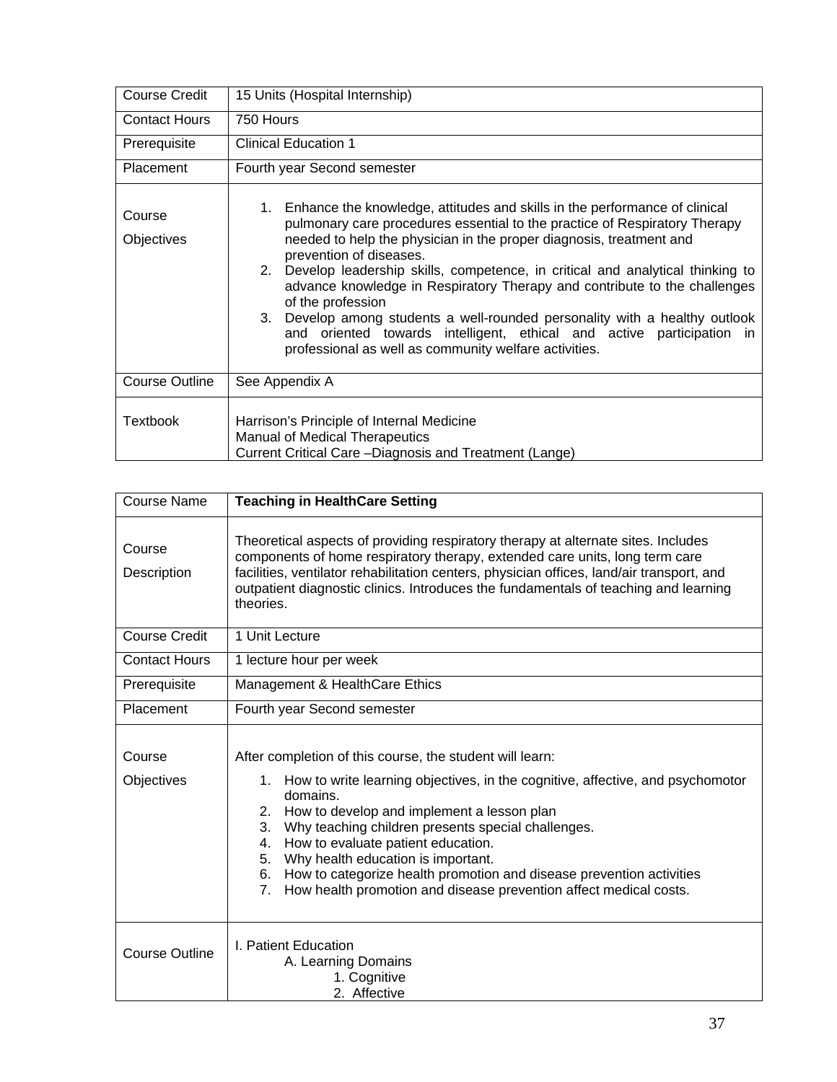| <b>Course Credit</b>        | 15 Units (Hospital Internship)                                                                                                                                                                                                                                                                                                                                                                                                                                                                                                                                                                                                                                       |  |  |
|-----------------------------|----------------------------------------------------------------------------------------------------------------------------------------------------------------------------------------------------------------------------------------------------------------------------------------------------------------------------------------------------------------------------------------------------------------------------------------------------------------------------------------------------------------------------------------------------------------------------------------------------------------------------------------------------------------------|--|--|
| <b>Contact Hours</b>        | 750 Hours                                                                                                                                                                                                                                                                                                                                                                                                                                                                                                                                                                                                                                                            |  |  |
| Prerequisite                | <b>Clinical Education 1</b>                                                                                                                                                                                                                                                                                                                                                                                                                                                                                                                                                                                                                                          |  |  |
| Placement                   | Fourth year Second semester                                                                                                                                                                                                                                                                                                                                                                                                                                                                                                                                                                                                                                          |  |  |
| Course<br><b>Objectives</b> | 1. Enhance the knowledge, attitudes and skills in the performance of clinical<br>pulmonary care procedures essential to the practice of Respiratory Therapy<br>needed to help the physician in the proper diagnosis, treatment and<br>prevention of diseases.<br>2. Develop leadership skills, competence, in critical and analytical thinking to<br>advance knowledge in Respiratory Therapy and contribute to the challenges<br>of the profession<br>3. Develop among students a well-rounded personality with a healthy outlook<br>and oriented towards intelligent, ethical and active participation in<br>professional as well as community welfare activities. |  |  |
| Course Outline              | See Appendix A                                                                                                                                                                                                                                                                                                                                                                                                                                                                                                                                                                                                                                                       |  |  |
| <b>Textbook</b>             | Harrison's Principle of Internal Medicine<br><b>Manual of Medical Therapeutics</b><br>Current Critical Care - Diagnosis and Treatment (Lange)                                                                                                                                                                                                                                                                                                                                                                                                                                                                                                                        |  |  |

| <b>Course Name</b>    | <b>Teaching in HealthCare Setting</b>                                                                                                                                                                                                                                                                                                                                                                                                                                                                                                            |  |  |
|-----------------------|--------------------------------------------------------------------------------------------------------------------------------------------------------------------------------------------------------------------------------------------------------------------------------------------------------------------------------------------------------------------------------------------------------------------------------------------------------------------------------------------------------------------------------------------------|--|--|
| Course<br>Description | Theoretical aspects of providing respiratory therapy at alternate sites. Includes<br>components of home respiratory therapy, extended care units, long term care<br>facilities, ventilator rehabilitation centers, physician offices, land/air transport, and<br>outpatient diagnostic clinics. Introduces the fundamentals of teaching and learning<br>theories.                                                                                                                                                                                |  |  |
| <b>Course Credit</b>  | 1 Unit Lecture                                                                                                                                                                                                                                                                                                                                                                                                                                                                                                                                   |  |  |
| <b>Contact Hours</b>  | 1 lecture hour per week                                                                                                                                                                                                                                                                                                                                                                                                                                                                                                                          |  |  |
| Prerequisite          | Management & HealthCare Ethics                                                                                                                                                                                                                                                                                                                                                                                                                                                                                                                   |  |  |
| Placement             | Fourth year Second semester                                                                                                                                                                                                                                                                                                                                                                                                                                                                                                                      |  |  |
| Course<br>Objectives  | After completion of this course, the student will learn:<br>1. How to write learning objectives, in the cognitive, affective, and psychomotor<br>domains.<br>How to develop and implement a lesson plan<br>2.<br>Why teaching children presents special challenges.<br>3.<br>How to evaluate patient education.<br>4.<br>5. Why health education is important.<br>6. How to categorize health promotion and disease prevention activities<br>How health promotion and disease prevention affect medical costs.<br>$7_{\scriptscriptstyle{\sim}}$ |  |  |
| <b>Course Outline</b> | I. Patient Education<br>A. Learning Domains<br>1. Cognitive<br>2. Affective                                                                                                                                                                                                                                                                                                                                                                                                                                                                      |  |  |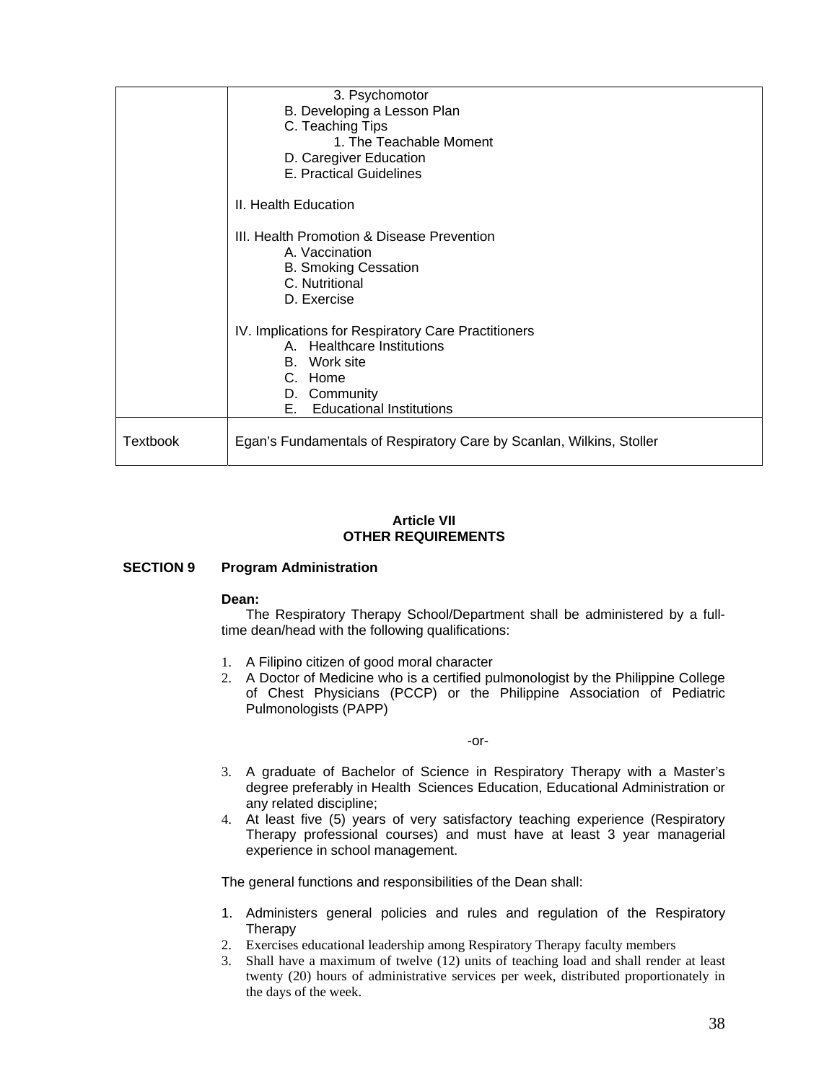|                 | 3. Psychomotor                                                       |
|-----------------|----------------------------------------------------------------------|
|                 | B. Developing a Lesson Plan                                          |
|                 | C. Teaching Tips                                                     |
|                 | 1. The Teachable Moment                                              |
|                 | D. Caregiver Education                                               |
|                 | E. Practical Guidelines                                              |
|                 | II. Health Education                                                 |
|                 | III. Health Promotion & Disease Prevention                           |
|                 | A. Vaccination                                                       |
|                 | <b>B. Smoking Cessation</b><br>C. Nutritional                        |
|                 | D. Exercise                                                          |
|                 |                                                                      |
|                 | IV. Implications for Respiratory Care Practitioners                  |
|                 | A. Healthcare Institutions                                           |
|                 | B. Work site                                                         |
|                 | C. Home                                                              |
|                 | D. Community                                                         |
|                 | <b>Educational Institutions</b><br>E.,                               |
| <b>Textbook</b> | Egan's Fundamentals of Respiratory Care by Scanlan, Wilkins, Stoller |

#### **Article VII OTHER REQUIREMENTS**

### **SECTION 9 Program Administration**

#### **Dean:**

The Respiratory Therapy School/Department shall be administered by a fulltime dean/head with the following qualifications:

- 1. A Filipino citizen of good moral character
- 2. A Doctor of Medicine who is a certified pulmonologist by the Philippine College of Chest Physicians (PCCP) or the Philippine Association of Pediatric Pulmonologists (PAPP)

-or-

- 3. A graduate of Bachelor of Science in Respiratory Therapy with a Master's degree preferably in Health Sciences Education, Educational Administration or any related discipline;
- 4. At least five (5) years of very satisfactory teaching experience (Respiratory Therapy professional courses) and must have at least 3 year managerial experience in school management.

The general functions and responsibilities of the Dean shall:

- 1. Administers general policies and rules and regulation of the Respiratory **Therapy**
- 2. Exercises educational leadership among Respiratory Therapy faculty members
- 3. Shall have a maximum of twelve (12) units of teaching load and shall render at least twenty (20) hours of administrative services per week, distributed proportionately in the days of the week.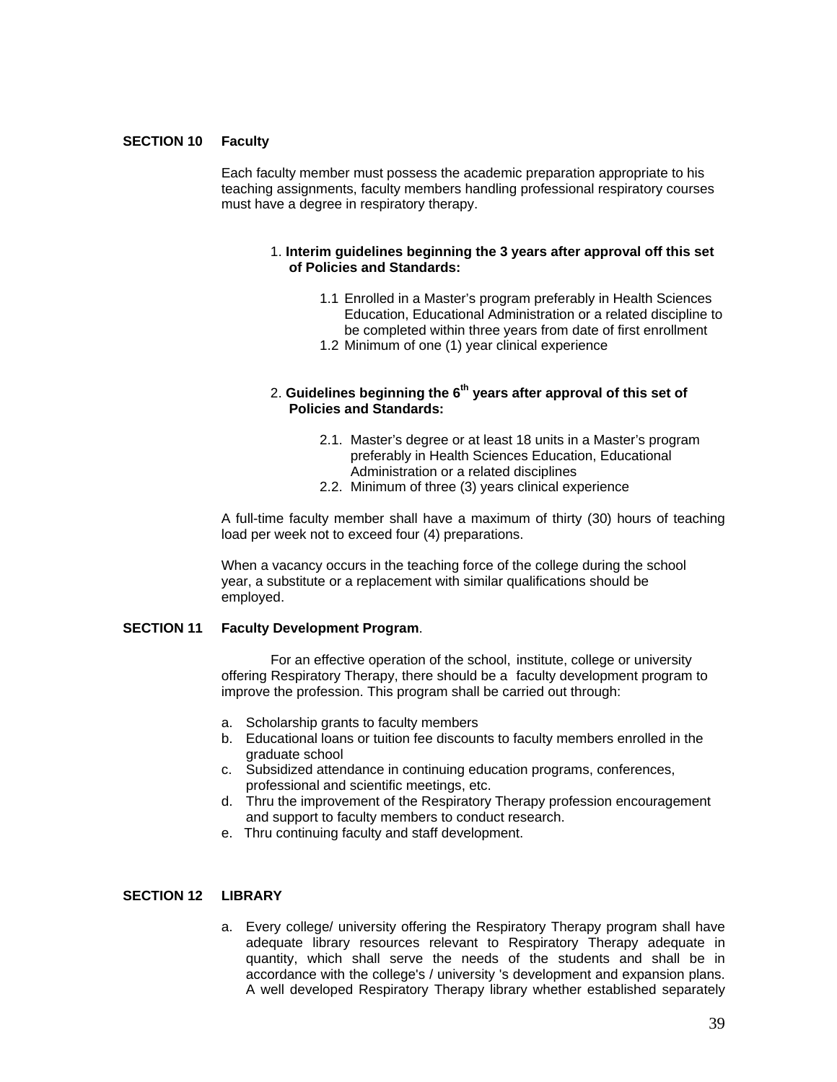#### **SECTION 10 Faculty**

Each faculty member must possess the academic preparation appropriate to his teaching assignments, faculty members handling professional respiratory courses must have a degree in respiratory therapy.

#### 1. **Interim guidelines beginning the 3 years after approval off this set of Policies and Standards:**

- 1.1 Enrolled in a Master's program preferably in Health Sciences Education, Educational Administration or a related discipline to be completed within three years from date of first enrollment
- 1.2 Minimum of one (1) year clinical experience

#### 2. **Guidelines beginning the 6th years after approval of this set of Policies and Standards:**

- 2.1. Master's degree or at least 18 units in a Master's program preferably in Health Sciences Education, Educational Administration or a related disciplines
- 2.2. Minimum of three (3) years clinical experience

A full-time faculty member shall have a maximum of thirty (30) hours of teaching load per week not to exceed four (4) preparations.

When a vacancy occurs in the teaching force of the college during the school year, a substitute or a replacement with similar qualifications should be employed.

#### **SECTION 11 Faculty Development Program**.

For an effective operation of the school, institute, college or university offering Respiratory Therapy, there should be a faculty development program to improve the profession. This program shall be carried out through:

- a. Scholarship grants to faculty members
- b. Educational loans or tuition fee discounts to faculty members enrolled in the graduate school
- c. Subsidized attendance in continuing education programs, conferences, professional and scientific meetings, etc.
- d. Thru the improvement of the Respiratory Therapy profession encouragement and support to faculty members to conduct research.
- e. Thru continuing faculty and staff development.

#### **SECTION 12 LIBRARY**

a. Every college/ university offering the Respiratory Therapy program shall have adequate library resources relevant to Respiratory Therapy adequate in quantity, which shall serve the needs of the students and shall be in accordance with the college's / university 's development and expansion plans. A well developed Respiratory Therapy library whether established separately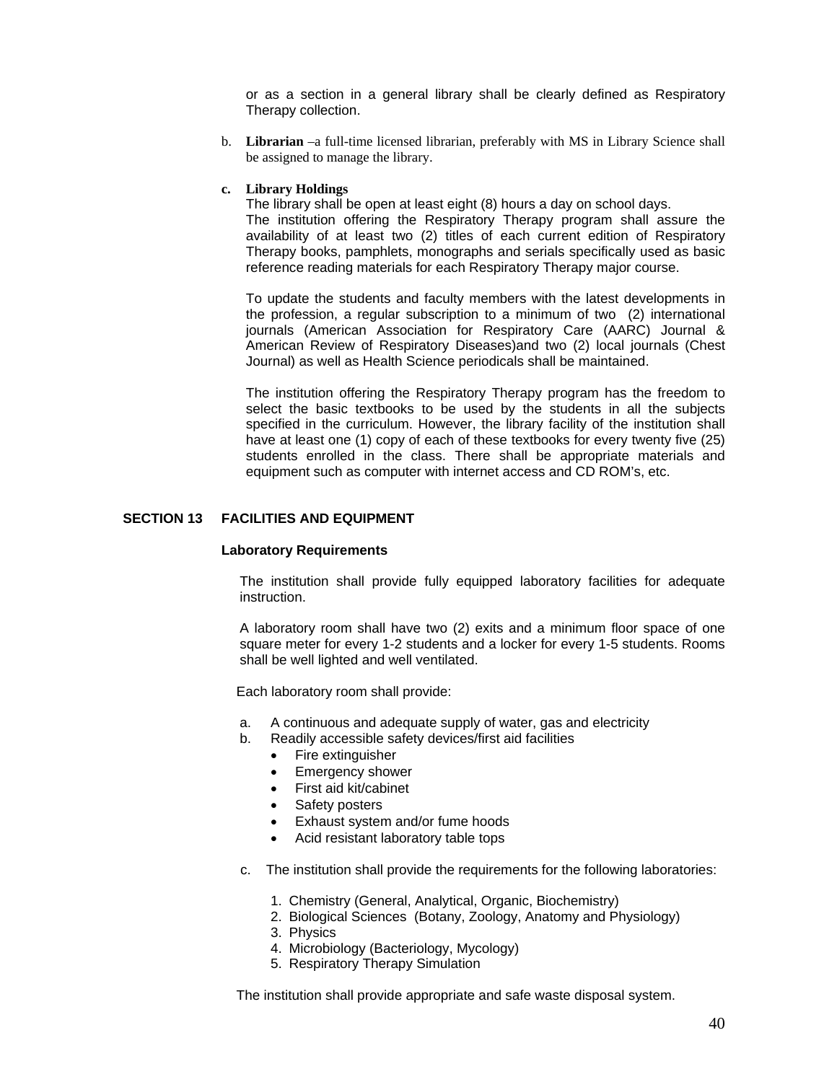or as a section in a general library shall be clearly defined as Respiratory Therapy collection.

b. **Librarian** –a full-time licensed librarian, preferably with MS in Library Science shall be assigned to manage the library.

#### **c. Library Holdings**

The library shall be open at least eight (8) hours a day on school days. The institution offering the Respiratory Therapy program shall assure the availability of at least two (2) titles of each current edition of Respiratory Therapy books, pamphlets, monographs and serials specifically used as basic reference reading materials for each Respiratory Therapy major course.

To update the students and faculty members with the latest developments in the profession, a regular subscription to a minimum of two (2) international journals (American Association for Respiratory Care (AARC) Journal & American Review of Respiratory Diseases)and two (2) local journals (Chest Journal) as well as Health Science periodicals shall be maintained.

The institution offering the Respiratory Therapy program has the freedom to select the basic textbooks to be used by the students in all the subjects specified in the curriculum. However, the library facility of the institution shall have at least one (1) copy of each of these textbooks for every twenty five (25) students enrolled in the class. There shall be appropriate materials and equipment such as computer with internet access and CD ROM's, etc.

#### **SECTION 13 FACILITIES AND EQUIPMENT**

#### **Laboratory Requirements**

The institution shall provide fully equipped laboratory facilities for adequate instruction.

A laboratory room shall have two (2) exits and a minimum floor space of one square meter for every 1-2 students and a locker for every 1-5 students. Rooms shall be well lighted and well ventilated.

Each laboratory room shall provide:

- a. A continuous and adequate supply of water, gas and electricity
- b. Readily accessible safety devices/first aid facilities
	- Fire extinguisher
	- Emergency shower
	- First aid kit/cabinet
	- Safety posters
	- Exhaust system and/or fume hoods
	- Acid resistant laboratory table tops
- c. The institution shall provide the requirements for the following laboratories:
	- 1. Chemistry (General, Analytical, Organic, Biochemistry)
	- 2. Biological Sciences (Botany, Zoology, Anatomy and Physiology)
	- 3. Physics
	- 4. Microbiology (Bacteriology, Mycology)
	- 5. Respiratory Therapy Simulation

The institution shall provide appropriate and safe waste disposal system.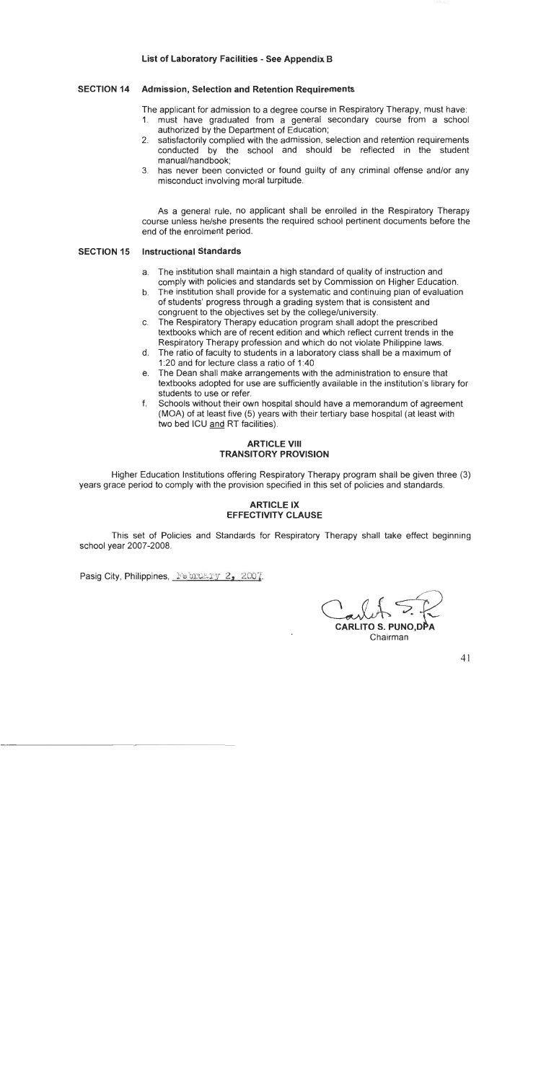#### List of Laboratory Facilities - See Appendix B

#### **SECTION 14 Admission, Selection and Retention Requirements**

The applicant for admission to a degree course in Respiratory Therapy, must have:

- 1. must have graduated from a general secondary course from a school authorized by the Department of Education:
- 2. satisfactorily complied with the admission, selection and retention requirements conducted by the school and should be reflected in the student manual/handbook:
- 3. has never been convicted or found guilty of any criminal offense and/or any misconduct involving moral turpitude.

As a general rule, no applicant shall be enrolled in the Respiratory Therapy course unless he/she presents the required school pertinent documents before the end of the enrolment period.

#### **SECTION 15 Instructional Standards**

- a. The institution shall maintain a high standard of quality of instruction and comply with policies and standards set by Commission on Higher Education.
- b. The institution shall provide for a systematic and continuing plan of evaluation of students' progress through a grading system that is consistent and congruent to the objectives set by the college/university.
- c. The Respiratory Therapy education program shall adopt the prescribed textbooks which are of recent edition and which reflect current trends in the Respiratory Therapy profession and which do not violate Philippine laws.
- d. The ratio of faculty to students in a laboratory class shall be a maximum of 1:20 and for lecture class a ratio of 1:40
- e. The Dean shall make arrangements with the administration to ensure that textbooks adopted for use are sufficiently available in the institution's library for students to use or refer.
- f. Schools without their own hospital should have a memorandum of agreement (MOA) of at least five (5) years with their tertiary base hospital (at least with two bed ICU and RT facilities).

#### **ARTICLE VIII TRANSITORY PROVISION**

Higher Education Institutions offering Respiratory Therapy program shall be given three (3) years grace period to comply with the provision specified in this set of policies and standards.

#### **ARTICLE IX EFFECTIVITY CLAUSE**

This set of Policies and Standards for Respiratory Therapy shall take effect beginning school year 2007-2008.

Pasig City, Philippines, February 2, 2007.

**CARLITO S. PUNO.DI** Chairman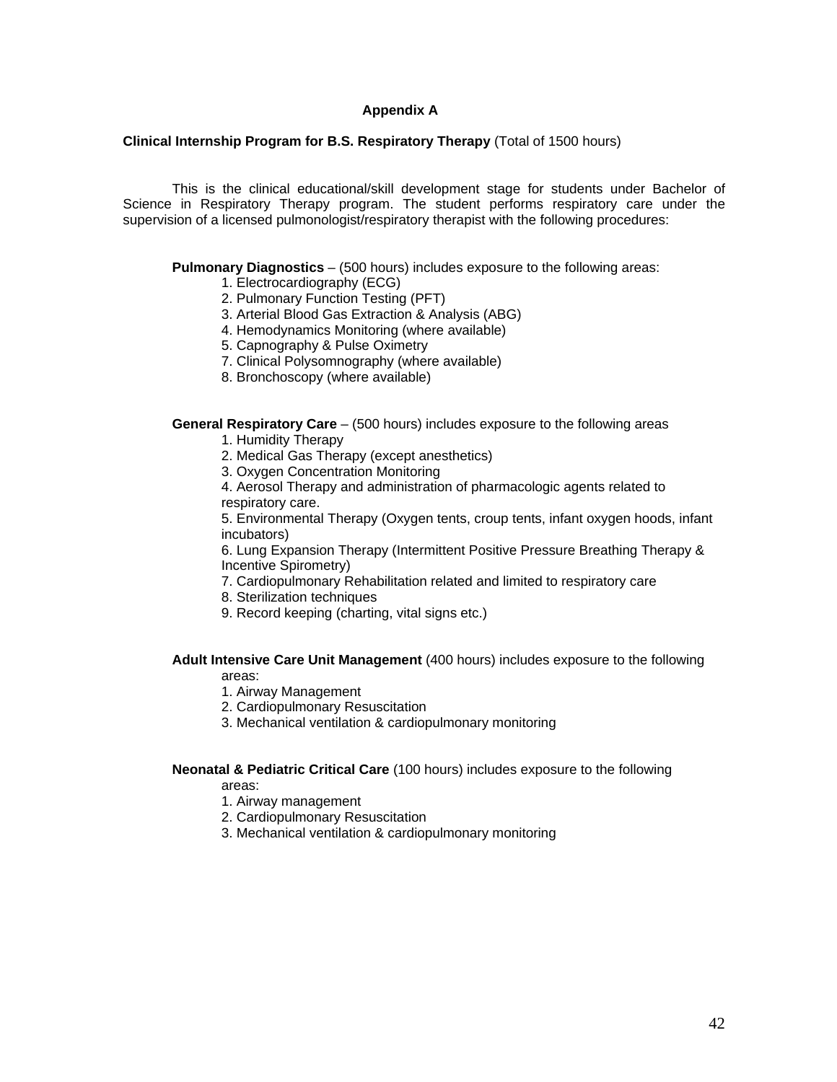#### **Appendix A**

#### **Clinical Internship Program for B.S. Respiratory Therapy** (Total of 1500 hours)

 This is the clinical educational/skill development stage for students under Bachelor of Science in Respiratory Therapy program. The student performs respiratory care under the supervision of a licensed pulmonologist/respiratory therapist with the following procedures:

**Pulmonary Diagnostics** – (500 hours) includes exposure to the following areas:

- 1. Electrocardiography (ECG)
- 2. Pulmonary Function Testing (PFT)
- 3. Arterial Blood Gas Extraction & Analysis (ABG)
- 4. Hemodynamics Monitoring (where available)
- 5. Capnography & Pulse Oximetry
- 7. Clinical Polysomnography (where available)
- 8. Bronchoscopy (where available)

**General Respiratory Care** – (500 hours) includes exposure to the following areas

- 1. Humidity Therapy
- 2. Medical Gas Therapy (except anesthetics)
- 3. Oxygen Concentration Monitoring
- 4. Aerosol Therapy and administration of pharmacologic agents related to respiratory care.

5. Environmental Therapy (Oxygen tents, croup tents, infant oxygen hoods, infant incubators)

6. Lung Expansion Therapy (Intermittent Positive Pressure Breathing Therapy & Incentive Spirometry)

7. Cardiopulmonary Rehabilitation related and limited to respiratory care

- 8. Sterilization techniques
- 9. Record keeping (charting, vital signs etc.)

#### **Adult Intensive Care Unit Management** (400 hours) includes exposure to the following areas:

- 1. Airway Management
- 2. Cardiopulmonary Resuscitation
- 3. Mechanical ventilation & cardiopulmonary monitoring

#### **Neonatal & Pediatric Critical Care** (100 hours) includes exposure to the following areas:

- 1. Airway management
- 2. Cardiopulmonary Resuscitation
- 3. Mechanical ventilation & cardiopulmonary monitoring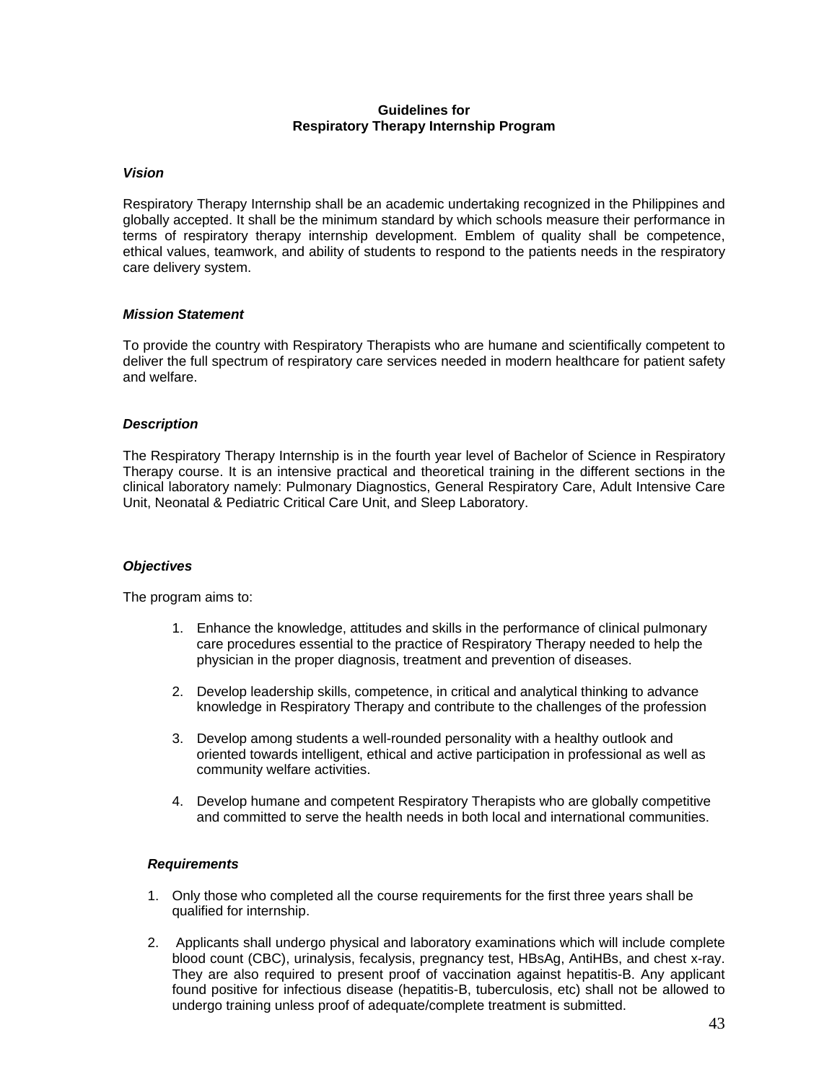#### **Guidelines for Respiratory Therapy Internship Program**

#### *Vision*

Respiratory Therapy Internship shall be an academic undertaking recognized in the Philippines and globally accepted. It shall be the minimum standard by which schools measure their performance in terms of respiratory therapy internship development. Emblem of quality shall be competence, ethical values, teamwork, and ability of students to respond to the patients needs in the respiratory care delivery system.

#### *Mission Statement*

To provide the country with Respiratory Therapists who are humane and scientifically competent to deliver the full spectrum of respiratory care services needed in modern healthcare for patient safety and welfare.

#### *Description*

The Respiratory Therapy Internship is in the fourth year level of Bachelor of Science in Respiratory Therapy course. It is an intensive practical and theoretical training in the different sections in the clinical laboratory namely: Pulmonary Diagnostics, General Respiratory Care, Adult Intensive Care Unit, Neonatal & Pediatric Critical Care Unit, and Sleep Laboratory.

#### *Objectives*

The program aims to:

- 1. Enhance the knowledge, attitudes and skills in the performance of clinical pulmonary care procedures essential to the practice of Respiratory Therapy needed to help the physician in the proper diagnosis, treatment and prevention of diseases.
- 2. Develop leadership skills, competence, in critical and analytical thinking to advance knowledge in Respiratory Therapy and contribute to the challenges of the profession
- 3. Develop among students a well-rounded personality with a healthy outlook and oriented towards intelligent, ethical and active participation in professional as well as community welfare activities.
- 4. Develop humane and competent Respiratory Therapists who are globally competitive and committed to serve the health needs in both local and international communities.

#### *Requirements*

- 1. Only those who completed all the course requirements for the first three years shall be qualified for internship.
- 2. Applicants shall undergo physical and laboratory examinations which will include complete blood count (CBC), urinalysis, fecalysis, pregnancy test, HBsAg, AntiHBs, and chest x-ray. They are also required to present proof of vaccination against hepatitis-B. Any applicant found positive for infectious disease (hepatitis-B, tuberculosis, etc) shall not be allowed to undergo training unless proof of adequate/complete treatment is submitted.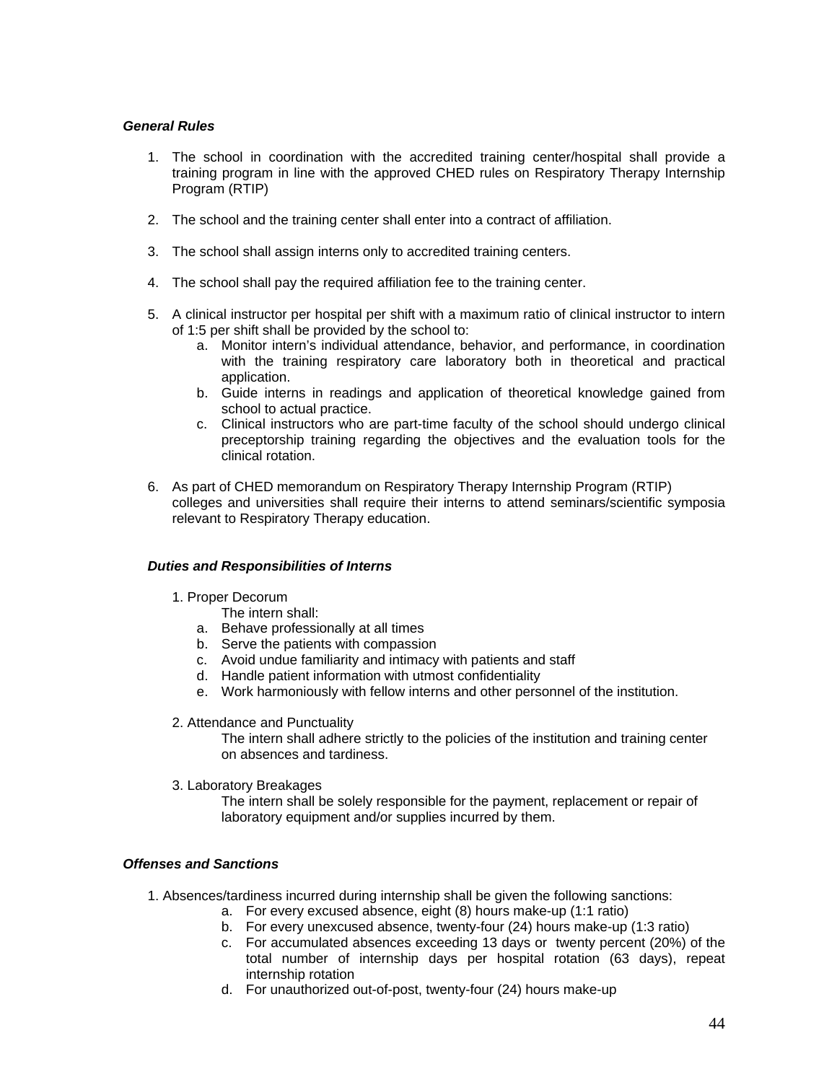#### *General Rules*

- 1. The school in coordination with the accredited training center/hospital shall provide a training program in line with the approved CHED rules on Respiratory Therapy Internship Program (RTIP)
- 2. The school and the training center shall enter into a contract of affiliation.
- 3. The school shall assign interns only to accredited training centers.
- 4. The school shall pay the required affiliation fee to the training center.
- 5. A clinical instructor per hospital per shift with a maximum ratio of clinical instructor to intern of 1:5 per shift shall be provided by the school to:
	- a. Monitor intern's individual attendance, behavior, and performance, in coordination with the training respiratory care laboratory both in theoretical and practical application.
	- b. Guide interns in readings and application of theoretical knowledge gained from school to actual practice.
	- c. Clinical instructors who are part-time faculty of the school should undergo clinical preceptorship training regarding the objectives and the evaluation tools for the clinical rotation.
- 6. As part of CHED memorandum on Respiratory Therapy Internship Program (RTIP) colleges and universities shall require their interns to attend seminars/scientific symposia relevant to Respiratory Therapy education.

#### *Duties and Responsibilities of Interns*

- 1. Proper Decorum
	- The intern shall:
	- a. Behave professionally at all times
	- b. Serve the patients with compassion
	- c. Avoid undue familiarity and intimacy with patients and staff
	- d. Handle patient information with utmost confidentiality
	- e. Work harmoniously with fellow interns and other personnel of the institution.
- 2. Attendance and Punctuality

The intern shall adhere strictly to the policies of the institution and training center on absences and tardiness.

3. Laboratory Breakages

The intern shall be solely responsible for the payment, replacement or repair of laboratory equipment and/or supplies incurred by them.

#### *Offenses and Sanctions*

- 1. Absences/tardiness incurred during internship shall be given the following sanctions:
	- a. For every excused absence, eight (8) hours make-up (1:1 ratio)
	- b. For every unexcused absence, twenty-four (24) hours make-up (1:3 ratio)
	- c. For accumulated absences exceeding 13 days or twenty percent (20%) of the total number of internship days per hospital rotation (63 days), repeat internship rotation
	- d. For unauthorized out-of-post, twenty-four (24) hours make-up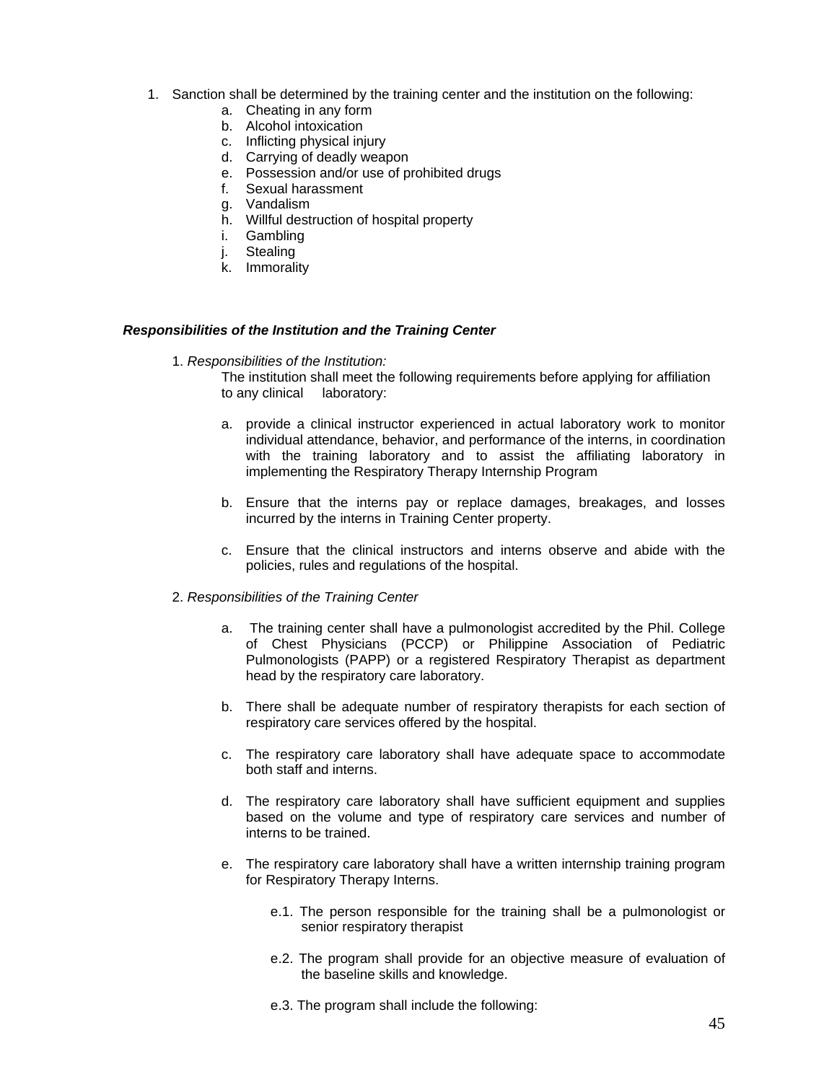- 1. Sanction shall be determined by the training center and the institution on the following:
	- a. Cheating in any form
	- b. Alcohol intoxication
	- c. Inflicting physical injury
	- d. Carrying of deadly weapon
	- e. Possession and/or use of prohibited drugs
	- f. Sexual harassment
	- g. Vandalism
	- h. Willful destruction of hospital property
	- i. Gambling
	- j. Stealing
	- k. Immorality

#### *Responsibilities of the Institution and the Training Center*

1. *Responsibilities of the Institution:*

The institution shall meet the following requirements before applying for affiliation to any clinical laboratory:

- a. provide a clinical instructor experienced in actual laboratory work to monitor individual attendance, behavior, and performance of the interns, in coordination with the training laboratory and to assist the affiliating laboratory in implementing the Respiratory Therapy Internship Program
- b. Ensure that the interns pay or replace damages, breakages, and losses incurred by the interns in Training Center property.
- c. Ensure that the clinical instructors and interns observe and abide with the policies, rules and regulations of the hospital.
- 2. *Responsibilities of the Training Center*
	- a. The training center shall have a pulmonologist accredited by the Phil. College of Chest Physicians (PCCP) or Philippine Association of Pediatric Pulmonologists (PAPP) or a registered Respiratory Therapist as department head by the respiratory care laboratory.
	- b. There shall be adequate number of respiratory therapists for each section of respiratory care services offered by the hospital.
	- c. The respiratory care laboratory shall have adequate space to accommodate both staff and interns.
	- d. The respiratory care laboratory shall have sufficient equipment and supplies based on the volume and type of respiratory care services and number of interns to be trained.
	- e. The respiratory care laboratory shall have a written internship training program for Respiratory Therapy Interns.
		- e.1. The person responsible for the training shall be a pulmonologist or senior respiratory therapist
		- e.2. The program shall provide for an objective measure of evaluation of the baseline skills and knowledge.
		- e.3. The program shall include the following: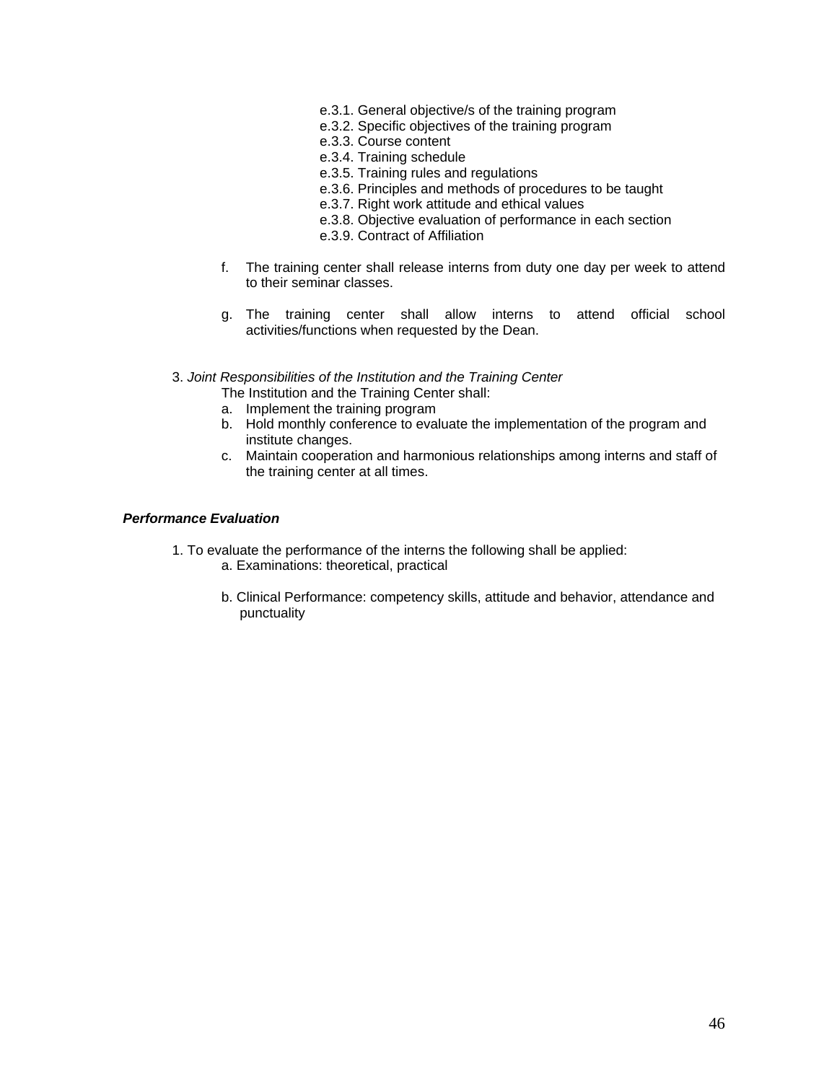- e.3.1. General objective/s of the training program
- e.3.2. Specific objectives of the training program
- e.3.3. Course content
- e.3.4. Training schedule
- e.3.5. Training rules and regulations
- e.3.6. Principles and methods of procedures to be taught
- e.3.7. Right work attitude and ethical values
- e.3.8. Objective evaluation of performance in each section
- e.3.9. Contract of Affiliation
- f. The training center shall release interns from duty one day per week to attend to their seminar classes.
- g. The training center shall allow interns to attend official school activities/functions when requested by the Dean.
- 3. *Joint Responsibilities of the Institution and the Training Center*
	- The Institution and the Training Center shall:
	- a. Implement the training program
	- b. Hold monthly conference to evaluate the implementation of the program and institute changes.
	- c. Maintain cooperation and harmonious relationships among interns and staff of the training center at all times.

#### *Performance Evaluation*

- 1. To evaluate the performance of the interns the following shall be applied:
	- a. Examinations: theoretical, practical
	- b. Clinical Performance: competency skills, attitude and behavior, attendance and punctuality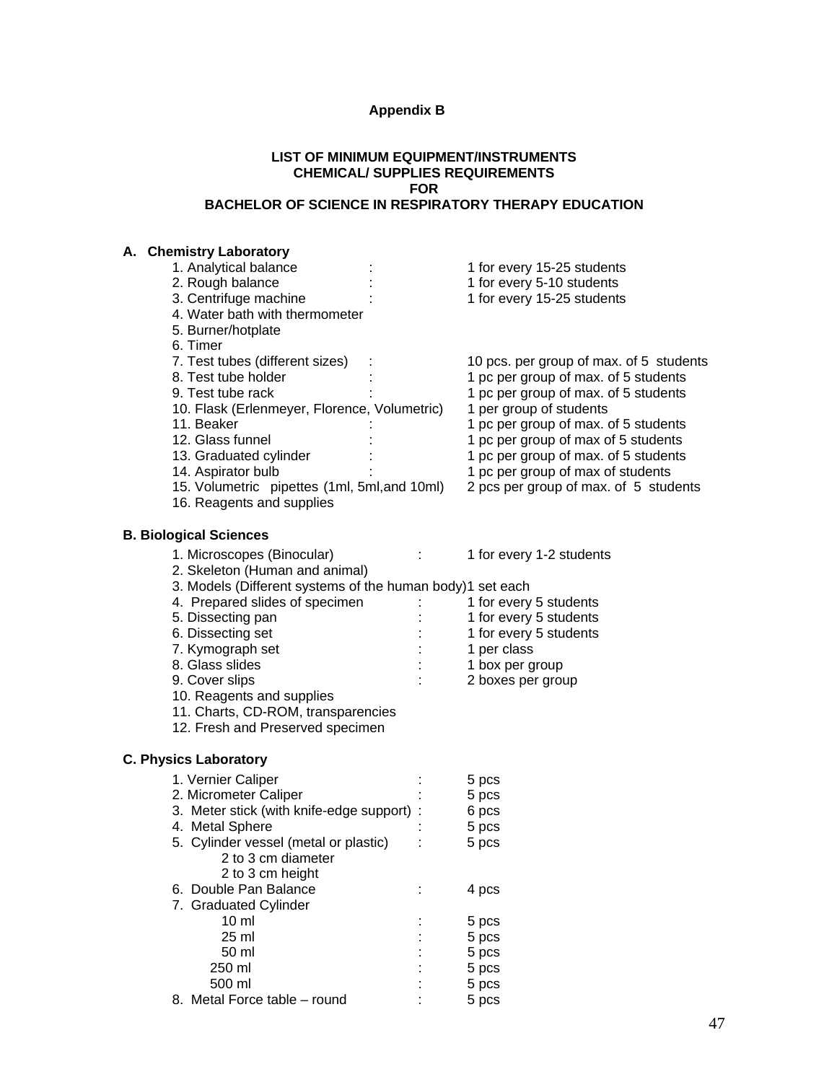# **Appendix B**

#### **LIST OF MINIMUM EQUIPMENT/INSTRUMENTS CHEMICAL/ SUPPLIES REQUIREMENTS FOR BACHELOR OF SCIENCE IN RESPIRATORY THERAPY EDUCATION**

# **A. Chemistry Laboratory**

| <b>UIGIIIISU Y LADUIAIUI Y</b>                            |                                         |
|-----------------------------------------------------------|-----------------------------------------|
| 1. Analytical balance                                     | 1 for every 15-25 students              |
| 2. Rough balance                                          | 1 for every 5-10 students               |
| 3. Centrifuge machine                                     | 1 for every 15-25 students              |
|                                                           |                                         |
| 4. Water bath with thermometer                            |                                         |
| 5. Burner/hotplate                                        |                                         |
| 6. Timer                                                  |                                         |
| 7. Test tubes (different sizes)                           | 10 pcs. per group of max. of 5 students |
|                                                           |                                         |
| 8. Test tube holder                                       | 1 pc per group of max. of 5 students    |
| 9. Test tube rack                                         | 1 pc per group of max. of 5 students    |
| 10. Flask (Erlenmeyer, Florence, Volumetric)              | 1 per group of students                 |
| 11. Beaker                                                | 1 pc per group of max. of 5 students    |
| 12. Glass funnel                                          | 1 pc per group of max of 5 students     |
|                                                           |                                         |
| 13. Graduated cylinder                                    | 1 pc per group of max. of 5 students    |
| 14. Aspirator bulb                                        | 1 pc per group of max of students       |
| 15. Volumetric pipettes (1ml, 5ml, and 10ml)              | 2 pcs per group of max. of 5 students   |
| 16. Reagents and supplies                                 |                                         |
|                                                           |                                         |
|                                                           |                                         |
| <b>B. Biological Sciences</b>                             |                                         |
| 1. Microscopes (Binocular)                                | 1 for every 1-2 students                |
|                                                           |                                         |
| 2. Skeleton (Human and animal)                            |                                         |
| 3. Models (Different systems of the human body)1 set each |                                         |
| 4. Prepared slides of specimen                            | 1 for every 5 students                  |
| 5. Dissecting pan                                         | 1 for every 5 students                  |
| 6. Dissecting set                                         | 1 for every 5 students                  |
|                                                           |                                         |
| 7. Kymograph set                                          | 1 per class                             |
| 8. Glass slides                                           | 1 box per group                         |
| 9. Cover slips                                            | 2 boxes per group                       |
| 10. Reagents and supplies                                 |                                         |
| 11. Charts, CD-ROM, transparencies                        |                                         |
|                                                           |                                         |
| 12. Fresh and Preserved specimen                          |                                         |
|                                                           |                                         |
| <b>C. Physics Laboratory</b>                              |                                         |
|                                                           |                                         |
| 1. Vernier Caliper                                        | 5 pcs                                   |
| 2. Micrometer Caliper                                     | 5 pcs                                   |
| 3. Meter stick (with knife-edge support) :                | 6 pcs                                   |
| 4. Metal Sphere                                           | 5 pcs                                   |
| 5. Cylinder vessel (metal or plastic)                     | 5 pcs                                   |
|                                                           |                                         |
| 2 to 3 cm diameter                                        |                                         |
| 2 to 3 cm height                                          |                                         |
| 6. Double Pan Balance                                     | 4 pcs                                   |
| 7. Graduated Cylinder                                     |                                         |
| $10 \mathrm{m}$                                           | 5 pcs                                   |
|                                                           |                                         |
| 25 ml                                                     | 5 pcs                                   |
| 50 ml                                                     | 5 pcs                                   |
| 250 ml                                                    | 5 pcs                                   |
| 500 ml                                                    | 5 pcs                                   |
| 8. Metal Force table - round                              | 5 pcs                                   |
|                                                           |                                         |
|                                                           |                                         |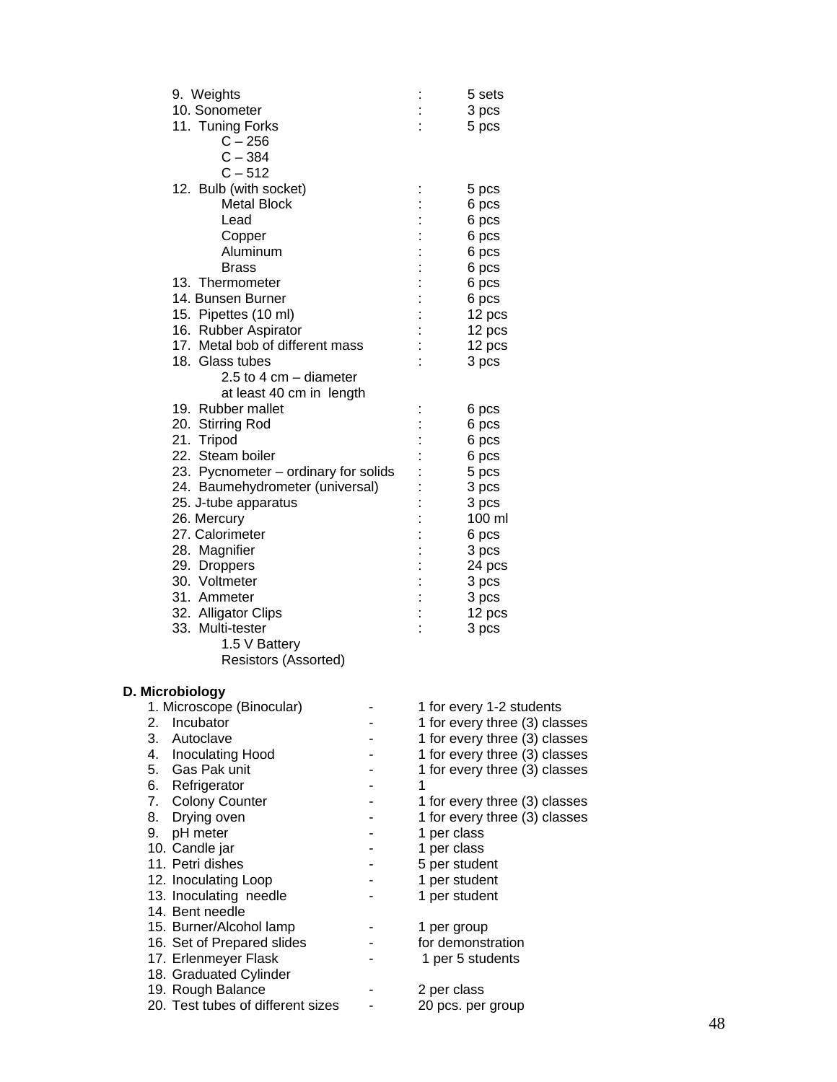| 9. Weights                                              | 5 sets                        |
|---------------------------------------------------------|-------------------------------|
| 10. Sonometer                                           | 3 pcs                         |
| 11. Tuning Forks                                        | 5 pcs                         |
| $C - 256$                                               |                               |
| $C - 384$                                               |                               |
| $C - 512$                                               |                               |
| 12. Bulb (with socket)                                  | 5 pcs                         |
| <b>Metal Block</b>                                      | 6 pcs                         |
| Lead                                                    | 6 pcs                         |
| Copper                                                  | 6 pcs                         |
| Aluminum                                                | 6 pcs                         |
| <b>Brass</b>                                            | 6 pcs                         |
| 13. Thermometer                                         | 6 pcs                         |
| 14. Bunsen Burner                                       | 6 pcs                         |
| 15. Pipettes (10 ml)                                    | 12 pcs                        |
| 16. Rubber Aspirator<br>17. Metal bob of different mass | 12 pcs                        |
| 18. Glass tubes                                         | 12 pcs<br>3 pcs               |
| 2.5 to 4 cm $-$ diameter                                |                               |
| at least 40 cm in length                                |                               |
| 19. Rubber mallet                                       | 6 pcs                         |
| 20. Stirring Rod                                        | 6 pcs                         |
| 21. Tripod                                              | 6 pcs                         |
| 22. Steam boiler                                        | 6 pcs                         |
| 23. Pycnometer – ordinary for solids                    | 5 pcs                         |
| 24. Baumehydrometer (universal)                         | 3 pcs                         |
| 25. J-tube apparatus                                    | 3 pcs                         |
| 26. Mercury                                             | 100 ml                        |
| 27. Calorimeter                                         | 6 pcs                         |
| 28. Magnifier                                           | 3 pcs                         |
| 29. Droppers                                            | 24 pcs                        |
| 30. Voltmeter                                           | 3 pcs                         |
| 31. Ammeter                                             | 3 pcs                         |
| 32. Alligator Clips                                     | 12 pcs                        |
| 33. Multi-tester                                        | 3 pcs                         |
| 1.5 V Battery                                           |                               |
| Resistors (Assorted)                                    |                               |
|                                                         |                               |
| D. Microbiology<br>1. Microscope (Binocular)            | 1 for every 1-2 students      |
| Incubator<br>2.                                         | 1 for every three (3) classes |
| 3.<br>Autoclave                                         | 1 for every three (3) classes |
| 4.<br><b>Inoculating Hood</b>                           | 1 for every three (3) classes |
| 5.<br>Gas Pak unit                                      | 1 for every three (3) classes |
| 6.<br>Refrigerator                                      | 1                             |
| 7.<br><b>Colony Counter</b>                             | 1 for every three (3) classes |
| 8.<br>Drying oven                                       | 1 for every three (3) classes |
| pH meter<br>9.                                          | 1 per class                   |
| 10. Candle jar                                          | 1 per class                   |
| 11. Petri dishes                                        | 5 per student                 |
| 12. Inoculating Loop                                    | 1 per student                 |
| 13. Inoculating needle                                  | 1 per student                 |
| 14. Bent needle                                         |                               |
| 15. Burner/Alcohol lamp                                 | 1 per group                   |
| 16. Set of Prepared slides                              | for demonstration             |
| 17. Erlenmeyer Flask                                    | 1 per 5 students              |
| 18. Graduated Cylinder                                  |                               |
| 19. Rough Balance                                       | 2 per class                   |
| 20. Test tubes of different sizes                       | 20 pcs. per group             |
|                                                         |                               |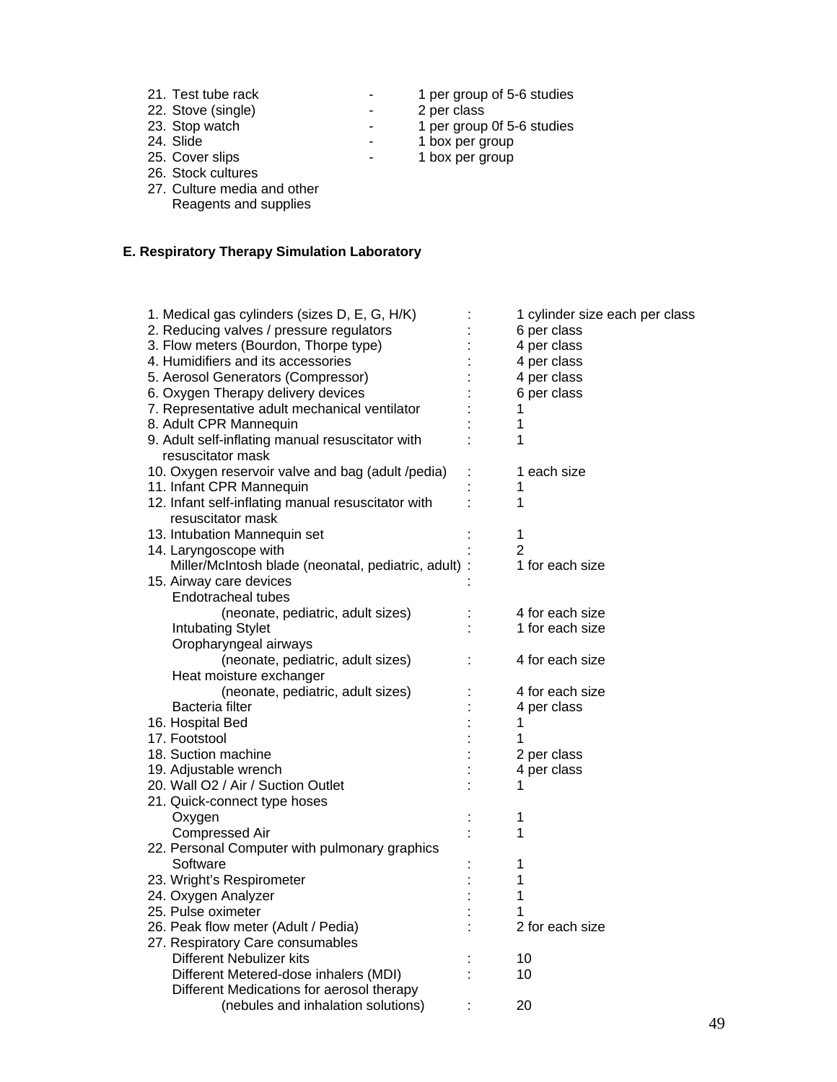| 21. Test tube rack         | $\sim$                   | 1 per group of 5-6 studies |
|----------------------------|--------------------------|----------------------------|
| 22. Stove (single)         | $\overline{\phantom{0}}$ | 2 per class                |
| 23. Stop watch             | $\overline{\phantom{a}}$ | 1 per group 0f 5-6 studies |
| 24. Slide                  | $\overline{\phantom{a}}$ | 1 box per group            |
| 25. Cover slips            |                          | 1 box per group            |
| 26. Stock cultures         |                          |                            |
| 27 Culture modia and other |                          |                            |

27. Culture media and other Reagents and supplies

# **E. Respiratory Therapy Simulation Laboratory**

| 1. Medical gas cylinders (sizes D, E, G, H/K)        | 1 cylinder size each per class |
|------------------------------------------------------|--------------------------------|
|                                                      |                                |
| 2. Reducing valves / pressure regulators             | 6 per class                    |
| 3. Flow meters (Bourdon, Thorpe type)                | 4 per class                    |
| 4. Humidifiers and its accessories                   | 4 per class                    |
| 5. Aerosol Generators (Compressor)                   | 4 per class                    |
| 6. Oxygen Therapy delivery devices                   | 6 per class                    |
| 7. Representative adult mechanical ventilator        | 1                              |
| 8. Adult CPR Mannequin                               | 1                              |
| 9. Adult self-inflating manual resuscitator with     | 1                              |
| resuscitator mask                                    |                                |
| 10. Oxygen reservoir valve and bag (adult /pedia)    | 1 each size                    |
| 11. Infant CPR Mannequin                             |                                |
| 12. Infant self-inflating manual resuscitator with   | 1                              |
| resuscitator mask                                    |                                |
| 13. Intubation Mannequin set                         | 1                              |
| 14. Laryngoscope with                                | 2                              |
| Miller/McIntosh blade (neonatal, pediatric, adult) : | 1 for each size                |
| 15. Airway care devices                              |                                |
| <b>Endotracheal tubes</b>                            |                                |
| (neonate, pediatric, adult sizes)                    | 4 for each size                |
| <b>Intubating Stylet</b>                             | 1 for each size                |
| Oropharyngeal airways                                |                                |
| (neonate, pediatric, adult sizes)                    | 4 for each size                |
| Heat moisture exchanger                              |                                |
| (neonate, pediatric, adult sizes)                    | 4 for each size                |
| <b>Bacteria filter</b>                               | 4 per class                    |
| 16. Hospital Bed                                     | 1                              |
| 17. Footstool                                        |                                |
| 18. Suction machine                                  | 2 per class                    |
| 19. Adjustable wrench                                | 4 per class                    |
| 20. Wall O2 / Air / Suction Outlet                   | 1                              |
| 21. Quick-connect type hoses                         |                                |
| Oxygen                                               | 1                              |
| <b>Compressed Air</b>                                | 1                              |
| 22. Personal Computer with pulmonary graphics        |                                |
| Software                                             |                                |
|                                                      | 1                              |
| 23. Wright's Respirometer                            | 1                              |
| 24. Oxygen Analyzer                                  | 1                              |
| 25. Pulse oximeter                                   |                                |
| 26. Peak flow meter (Adult / Pedia)                  | 2 for each size                |
| 27. Respiratory Care consumables                     |                                |
| Different Nebulizer kits                             | 10                             |
| Different Metered-dose inhalers (MDI)                | 10                             |
| Different Medications for aerosol therapy            |                                |
| (nebules and inhalation solutions)                   | 20                             |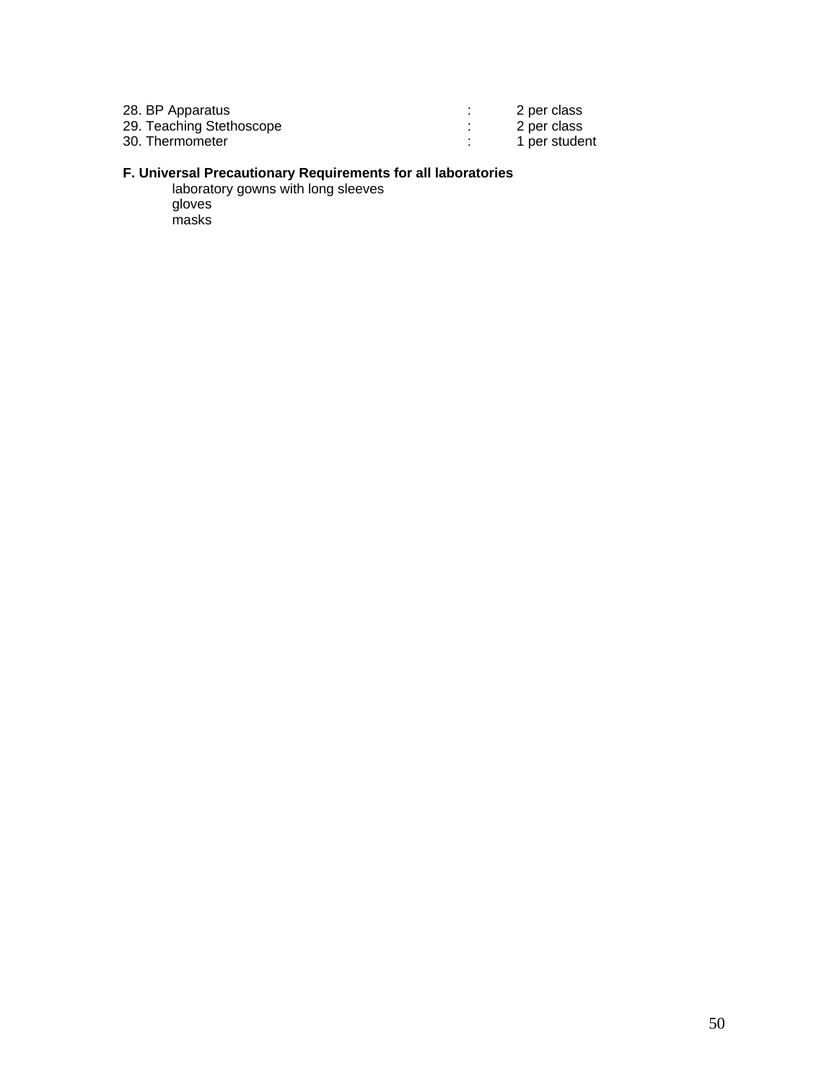| 28. BP Apparatus         | 2 per class   |
|--------------------------|---------------|
| 29. Teaching Stethoscope | 2 per class   |
| 30. Thermometer          | 1 per student |

#### **F. Universal Precautionary Requirements for all laboratories**

laboratory gowns with long sleeves gloves masks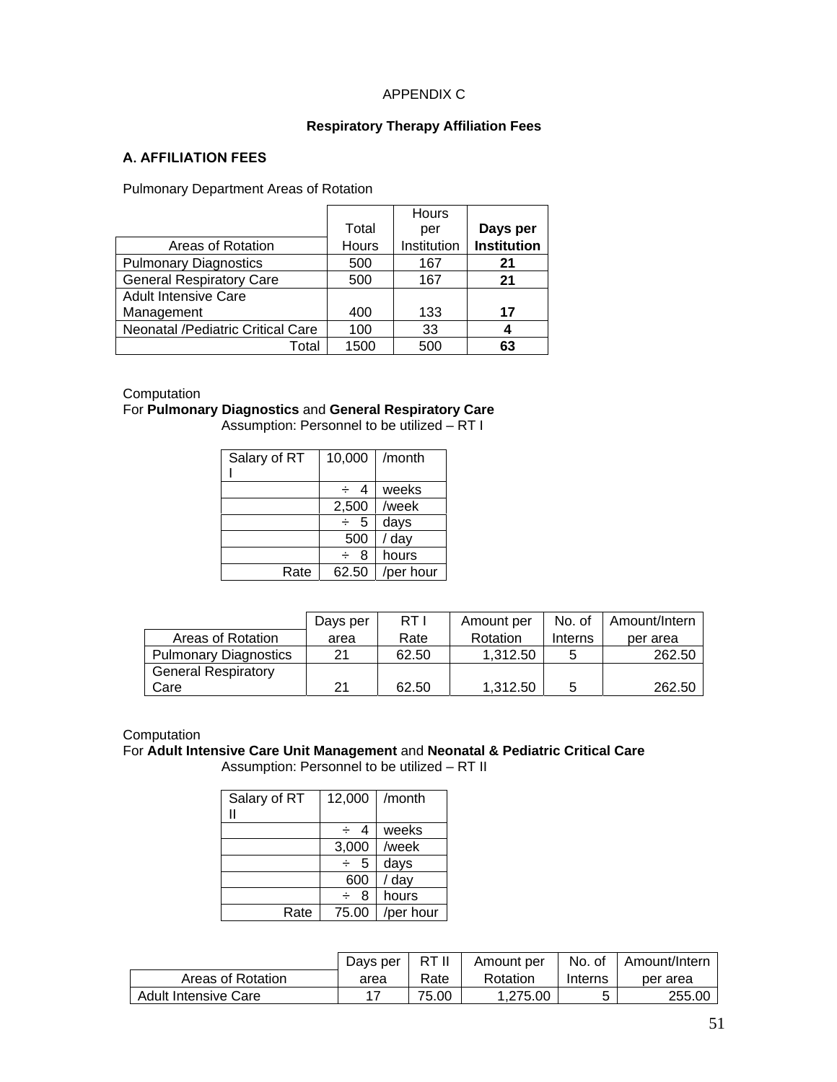### APPENDIX C

#### **Respiratory Therapy Affiliation Fees**

### **A. AFFILIATION FEES**

Pulmonary Department Areas of Rotation

|                                   |       | Hours       |                    |
|-----------------------------------|-------|-------------|--------------------|
|                                   | Total | per         | Days per           |
| Areas of Rotation                 | Hours | Institution | <b>Institution</b> |
| <b>Pulmonary Diagnostics</b>      | 500   | 167         | 21                 |
| <b>General Respiratory Care</b>   | 500   | 167         | 21                 |
| <b>Adult Intensive Care</b>       |       |             |                    |
| Management                        | 400   | 133         | 17                 |
| Neonatal /Pediatric Critical Care | 100   | 33          | 4                  |
| Total                             | 1500  | 500         | 63                 |

#### **Computation**

#### For **Pulmonary Diagnostics** and **General Respiratory Care**

Assumption: Personnel to be utilized – RT I

| Salary of RT | 10,000  | /month    |
|--------------|---------|-----------|
|              |         |           |
|              |         | weeks     |
|              |         | /week     |
|              | 2,500   |           |
|              | -5<br>÷ | days      |
|              |         |           |
|              | 500     | / day     |
|              | 8<br>÷  | hours     |
| Rate         | 62.50   | /per hour |
|              |         |           |

|                              | Days per | RT I  | Amount per | No. of  | Amount/Intern |
|------------------------------|----------|-------|------------|---------|---------------|
| Areas of Rotation            | area     | Rate  | Rotation   | Interns | per area      |
| <b>Pulmonary Diagnostics</b> | 21       | 62.50 | 1,312.50   |         | 262.50        |
| <b>General Respiratory</b>   |          |       |            |         |               |
| Care                         | 21       | 62.50 | 1,312.50   |         | 262.50        |

**Computation** 

# For **Adult Intensive Care Unit Management** and **Neonatal & Pediatric Critical Care**

Assumption: Personnel to be utilized – RT II

| Salary of RT | 12,000               | /month    |
|--------------|----------------------|-----------|
|              | 4<br>∸               | weeks     |
|              | 3,000                | /week     |
|              | $5\phantom{.0}$<br>÷ | days      |
|              | 600                  | / day     |
|              | 8<br>÷               | hours     |
| Rate         | 75.00                | /per hour |

|                      | Davs per | RT II | Amount per | No. of  | Amount/Intern |
|----------------------|----------|-------|------------|---------|---------------|
| Areas of Rotation    | area     | Rate  | Rotation   | Interns | per area      |
| Adult Intensive Care |          | 75.00 | 1.275.00   |         | 255.00        |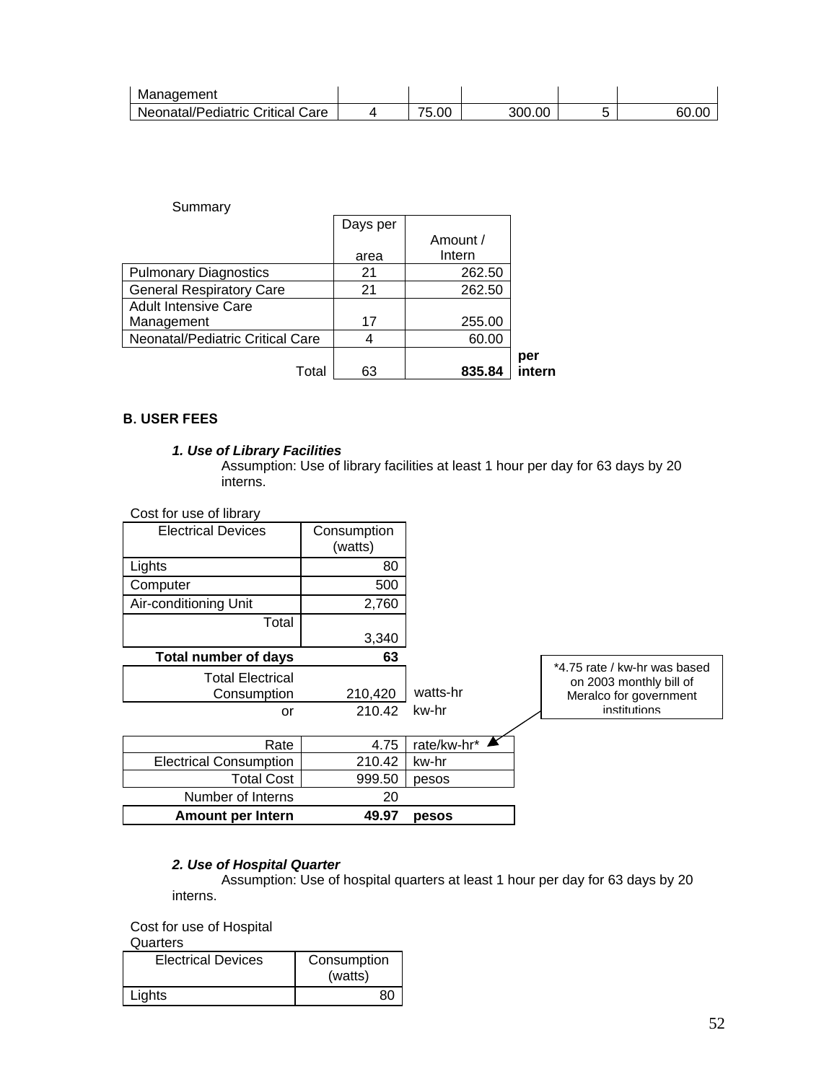| Management                       |                                        |        |       |
|----------------------------------|----------------------------------------|--------|-------|
| Neonatal/Pediatric Critical Care | --<br>5.00<br>$\overline{\phantom{a}}$ | 300.00 | 60.OC |

| Summary                          |          |          |        |
|----------------------------------|----------|----------|--------|
|                                  | Days per |          |        |
|                                  |          | Amount / |        |
|                                  | area     | Intern   |        |
| <b>Pulmonary Diagnostics</b>     | 21       | 262.50   |        |
| <b>General Respiratory Care</b>  | 21       | 262.50   |        |
| <b>Adult Intensive Care</b>      |          |          |        |
| Management                       | 17       | 255.00   |        |
| Neonatal/Pediatric Critical Care | 4        | 60.00    |        |
|                                  |          |          | per    |
| Total                            | 63       | 835.84   | intern |

#### **B. USER FEES**

### *1. Use of Library Facilities*

Assumption: Use of library facilities at least 1 hour per day for 63 days by 20 interns.

Cost for use of library

| <b>Electrical Devices</b>     | Consumption<br>(watts) |               |                                                         |
|-------------------------------|------------------------|---------------|---------------------------------------------------------|
| Lights                        | 80                     |               |                                                         |
| Computer                      | 500                    |               |                                                         |
| Air-conditioning Unit         | 2,760                  |               |                                                         |
| Total                         |                        |               |                                                         |
|                               | 3,340                  |               |                                                         |
| <b>Total number of days</b>   | 63                     |               |                                                         |
| <b>Total Electrical</b>       |                        |               | *4.75 rate / kw-hr was based<br>on 2003 monthly bill of |
| Consumption                   | 210,420                | watts-hr      | Meralco for government                                  |
| or                            | 210.42                 | kw-hr         | institutions                                            |
|                               |                        |               |                                                         |
| Rate                          | 4.75                   | rate/kw-hr* ▲ |                                                         |
| <b>Electrical Consumption</b> | 210.42                 | kw-hr         |                                                         |
| <b>Total Cost</b>             | 999.50                 | pesos         |                                                         |
| Number of Interns             | 20                     |               |                                                         |
| <b>Amount per Intern</b>      | 49.97                  | pesos         |                                                         |

#### *2. Use of Hospital Quarter*

Assumption: Use of hospital quarters at least 1 hour per day for 63 days by 20 interns.

Cost for use of Hospital

**Quarters** 

| <b>Electrical Devices</b> | Consumption<br>(watts) |
|---------------------------|------------------------|
| Lights                    | 80                     |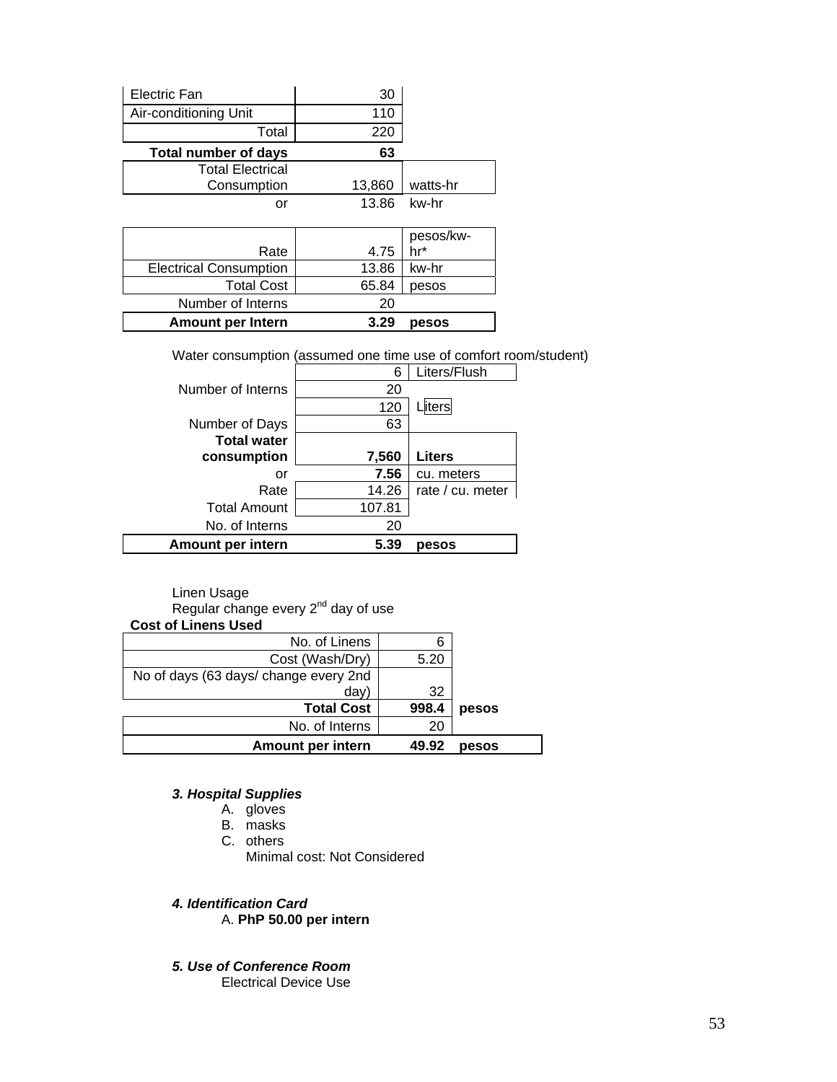| Electric Fan                | 30     |           |
|-----------------------------|--------|-----------|
| Air-conditioning Unit       | 110    |           |
| Total                       | 220    |           |
| <b>Total number of days</b> | 63     |           |
| <b>Total Electrical</b>     |        |           |
| Consumption                 | 13,860 | watts-hr  |
| or                          | 13.86  | kw-hr     |
|                             |        |           |
|                             |        | pesos/kw- |
| Rate                        | 4.75   | hr*       |

| <b>Amount per Intern</b>      |    | 3.29 pesos    |
|-------------------------------|----|---------------|
| Number of Interns             | 20 |               |
| <b>Total Cost</b>             |    | $65.84$ pesos |
| <b>Electrical Consumption</b> |    | 13.86 kw-hr   |

Water consumption (assumed one time use of comfort room/student)

|                     | 6      | Liters/Flush     |
|---------------------|--------|------------------|
| Number of Interns   | 20     |                  |
|                     | 120    | liters           |
| Number of Days      | 63     |                  |
| <b>Total water</b>  |        |                  |
| consumption         | 7,560  | <b>Liters</b>    |
| or                  | 7.56   | cu. meters       |
| Rate                | 14.26  | rate / cu. meter |
| <b>Total Amount</b> | 107.81 |                  |
| No. of Interns      | 20     |                  |
| Amount per intern   | 5.39   | pesos            |

Linen Usage

Regular change every  $2^{nd}$  day of use

| <b>Cost of Linens Used</b>            |       |       |
|---------------------------------------|-------|-------|
| No. of Linens                         |       |       |
| Cost (Wash/Dry)                       | 5.20  |       |
| No of days (63 days/ change every 2nd |       |       |
| day)                                  | 32    |       |
| <b>Total Cost</b>                     | 998.4 | pesos |
| No. of Interns                        | 20    |       |
| Amount per intern                     | 49.92 | pesos |

#### *3. Hospital Supplies*

- A. gloves
- B. masks
- C. others
	- Minimal cost: Not Considered

*4. Identification Card*  A. **PhP 50.00 per intern**

*5. Use of Conference Room* Electrical Device Use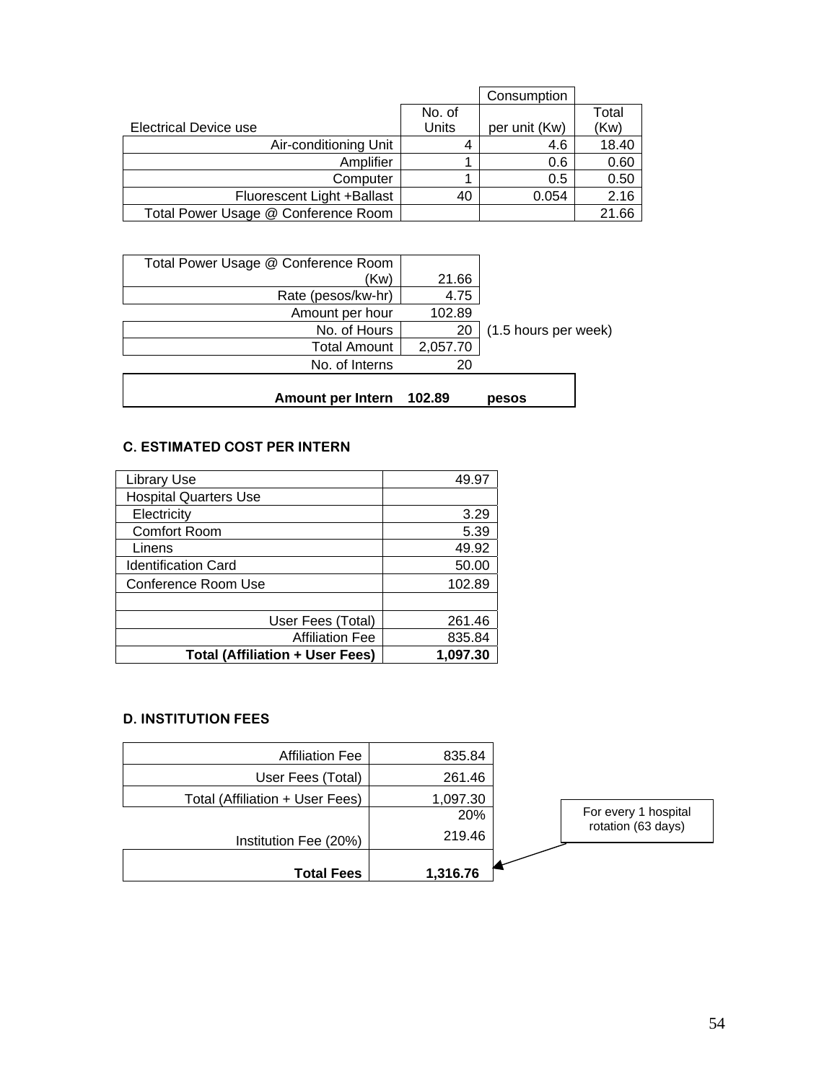|                                     |        | Consumption   |       |
|-------------------------------------|--------|---------------|-------|
|                                     | No. of |               | Total |
| Electrical Device use               | Units  | per unit (Kw) | (Kw)  |
| Air-conditioning Unit               | 4      | 4.6           | 18.40 |
| Amplifier                           |        | 0.6           | 0.60  |
| Computer                            |        | 0.5           | 0.50  |
| Fluorescent Light +Ballast          | 40     | 0.054         | 2.16  |
| Total Power Usage @ Conference Room |        |               | 21.66 |

| Total Power Usage @ Conference Room |          |                      |
|-------------------------------------|----------|----------------------|
| (Kw)                                | 21.66    |                      |
| Rate (pesos/kw-hr)                  | 4.75     |                      |
| Amount per hour                     | 102.89   |                      |
| No. of Hours                        | 20       | (1.5 hours per week) |
| <b>Total Amount</b>                 | 2,057.70 |                      |
| No. of Interns                      | 20       |                      |
|                                     |          |                      |
| <b>Amount per Intern</b>            | 102.89   | pesos                |

# **C. ESTIMATED COST PER INTERN**

| <b>Library Use</b>                     | 49.97    |
|----------------------------------------|----------|
| <b>Hospital Quarters Use</b>           |          |
| Electricity                            | 3.29     |
| <b>Comfort Room</b>                    | 5.39     |
| Linens                                 | 49.92    |
| <b>Identification Card</b>             | 50.00    |
| Conference Room Use                    | 102.89   |
|                                        |          |
| User Fees (Total)                      | 261.46   |
| <b>Affiliation Fee</b>                 | 835.84   |
| <b>Total (Affiliation + User Fees)</b> | 1,097.30 |

#### **D. INSTITUTION FEES**

| <b>Affiliation Fee</b>          | 835.84   |                                            |
|---------------------------------|----------|--------------------------------------------|
| User Fees (Total)               | 261.46   |                                            |
| Total (Affiliation + User Fees) | 1,097.30 |                                            |
|                                 | 20%      | For every 1 hospital<br>rotation (63 days) |
| Institution Fee (20%)           | 219.46   |                                            |
| <b>Total Fees</b>               | 1,316.76 |                                            |